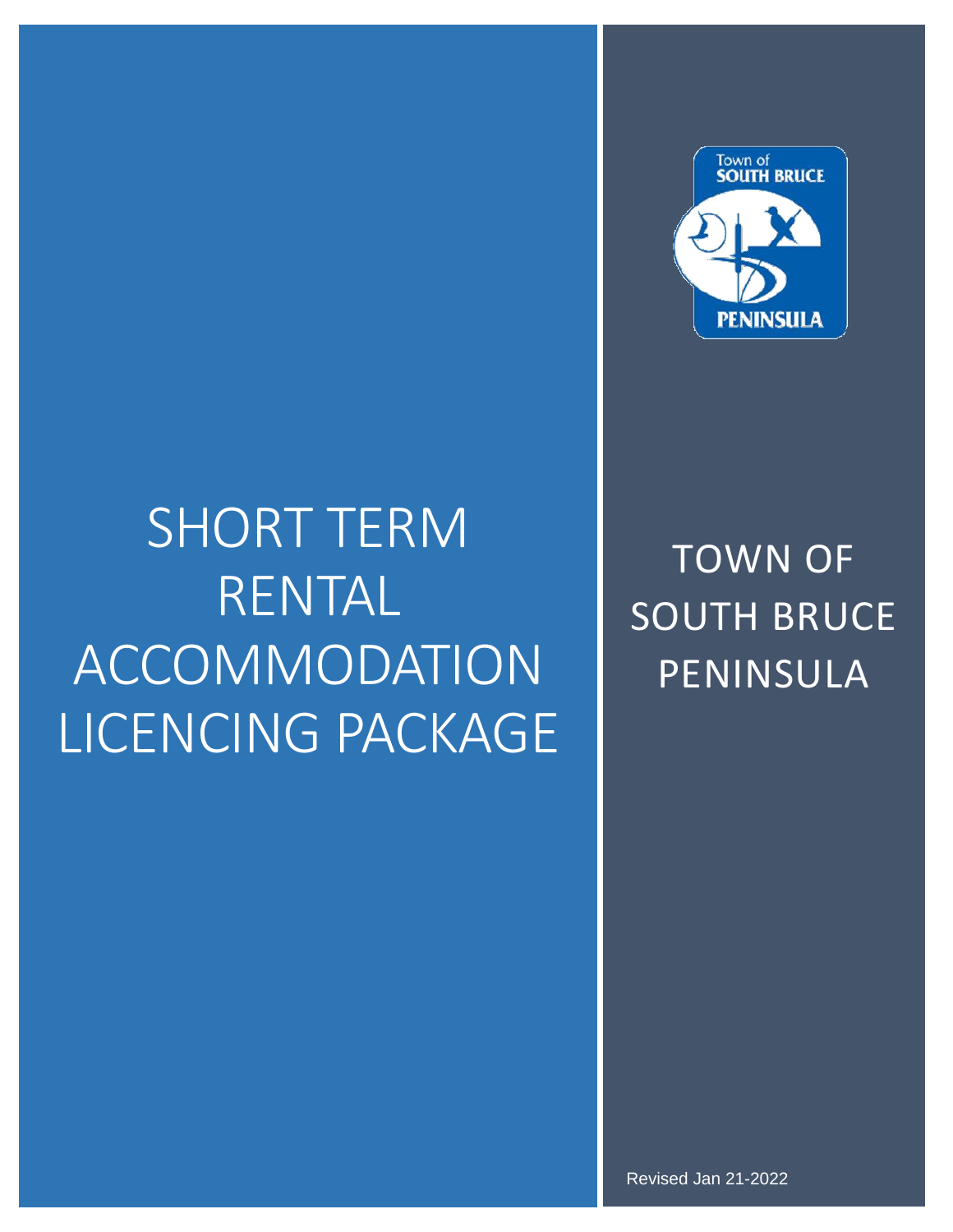

# SHORT TERM RENTAL ACCOMMODATION LICENCING PACKAGE

TOWN OF SOUTH BRUCE PENINSULA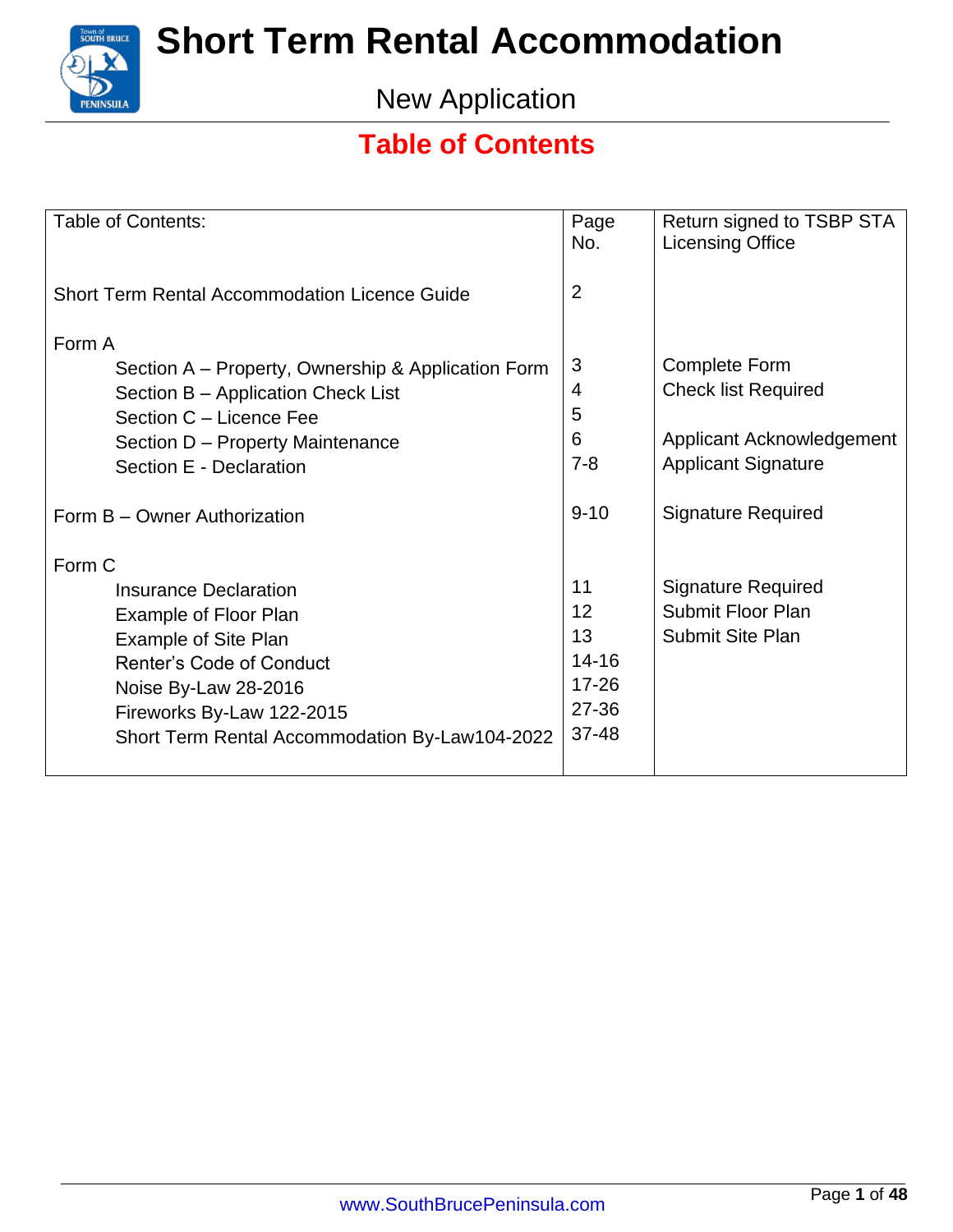

New Application

### **Table of Contents**

| <b>Table of Contents:</b>                            | Page<br>No.    | Return signed to TSBP STA<br><b>Licensing Office</b> |
|------------------------------------------------------|----------------|------------------------------------------------------|
| <b>Short Term Rental Accommodation Licence Guide</b> | $\overline{2}$ |                                                      |
| Form A                                               |                |                                                      |
| Section A – Property, Ownership & Application Form   | 3              | <b>Complete Form</b>                                 |
| Section B - Application Check List                   | $\overline{4}$ | <b>Check list Required</b>                           |
| Section C - Licence Fee                              | 5              |                                                      |
| Section D - Property Maintenance                     | 6              | Applicant Acknowledgement                            |
| Section E - Declaration                              | $7 - 8$        | <b>Applicant Signature</b>                           |
| Form B - Owner Authorization                         | $9 - 10$       | <b>Signature Required</b>                            |
|                                                      |                |                                                      |
| Form C                                               |                |                                                      |
| <b>Insurance Declaration</b>                         | 11             | <b>Signature Required</b>                            |
| Example of Floor Plan                                | 12             | <b>Submit Floor Plan</b>                             |
| <b>Example of Site Plan</b>                          | 13             | <b>Submit Site Plan</b>                              |
| <b>Renter's Code of Conduct</b>                      | $14 - 16$      |                                                      |
| Noise By-Law 28-2016                                 | $17 - 26$      |                                                      |
| Fireworks By-Law 122-2015                            | 27-36          |                                                      |
| Short Term Rental Accommodation By-Law104-2022       | 37-48          |                                                      |
|                                                      |                |                                                      |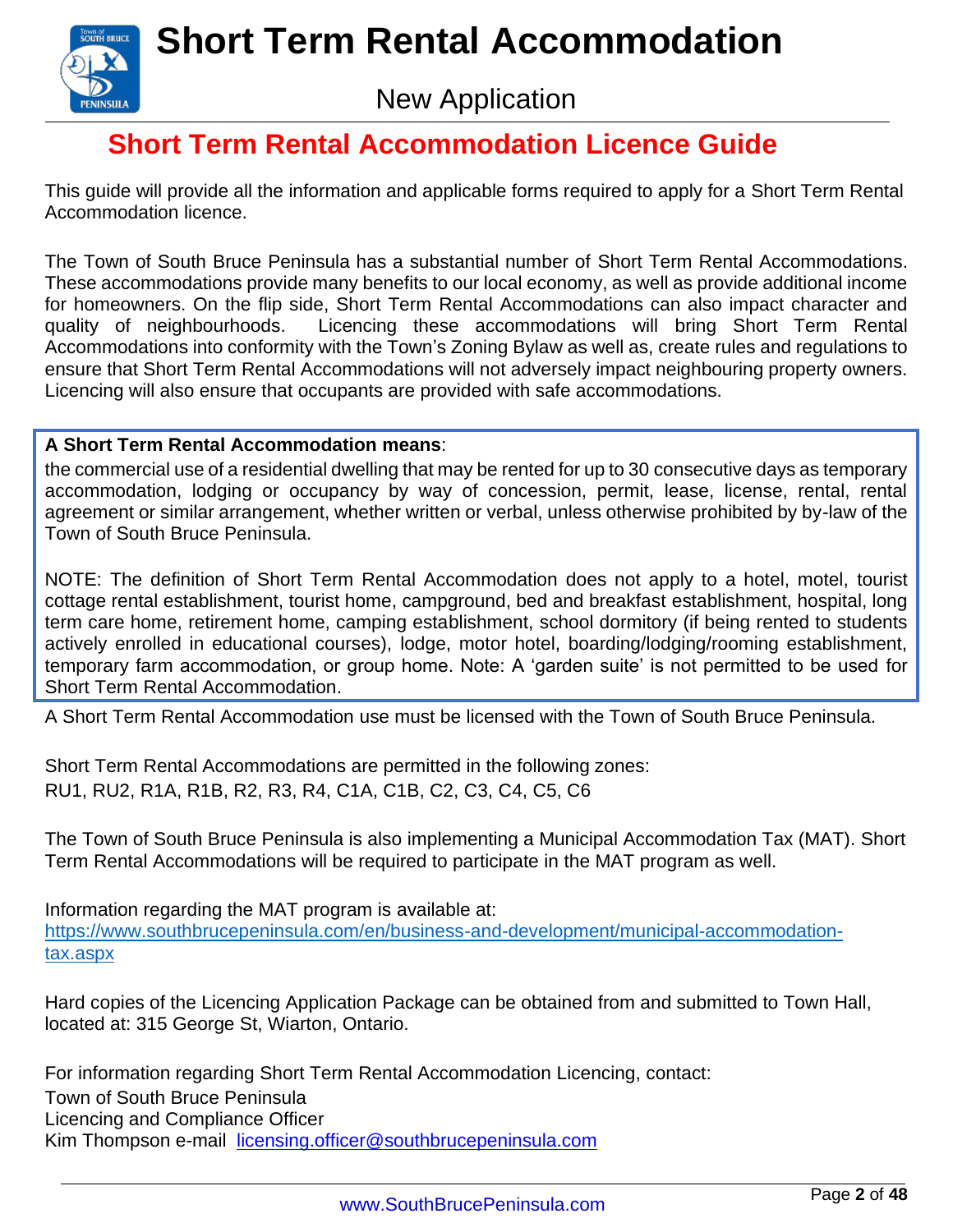

New Application

### **Short Term Rental Accommodation Licence Guide**

This guide will provide all the information and applicable forms required to apply for a Short Term Rental Accommodation licence.

The Town of South Bruce Peninsula has a substantial number of Short Term Rental Accommodations. These accommodations provide many benefits to our local economy, as well as provide additional income for homeowners. On the flip side, Short Term Rental Accommodations can also impact character and quality of neighbourhoods. Licencing these accommodations will bring Short Term Rental Accommodations into conformity with the Town's Zoning Bylaw as well as, create rules and regulations to ensure that Short Term Rental Accommodations will not adversely impact neighbouring property owners. Licencing will also ensure that occupants are provided with safe accommodations.

#### **A Short Term Rental Accommodation means**:

the commercial use of a residential dwelling that may be rented for up to 30 consecutive days as temporary accommodation, lodging or occupancy by way of concession, permit, lease, license, rental, rental agreement or similar arrangement, whether written or verbal, unless otherwise prohibited by by-law of the Town of South Bruce Peninsula.

NOTE: The definition of Short Term Rental Accommodation does not apply to a hotel, motel, tourist cottage rental establishment, tourist home, campground, bed and breakfast establishment, hospital, long term care home, retirement home, camping establishment, school dormitory (if being rented to students actively enrolled in educational courses), lodge, motor hotel, boarding/lodging/rooming establishment, temporary farm accommodation, or group home. Note: A 'garden suite' is not permitted to be used for Short Term Rental Accommodation.

A Short Term Rental Accommodation use must be licensed with the Town of South Bruce Peninsula.

Short Term Rental Accommodations are permitted in the following zones: RU1, RU2, R1A, R1B, R2, R3, R4, C1A, C1B, C2, C3, C4, C5, C6

The Town of South Bruce Peninsula is also implementing a Municipal Accommodation Tax (MAT). Short Term Rental Accommodations will be required to participate in the MAT program as well.

Information regarding the MAT program is available at: [https://www.southbrucepeninsula.com/en/business-and-development/municipal-accommodation](https://www.southbrucepeninsula.com/en/business-and-development/municipal-accommodation-tax.aspx)[tax.aspx](https://www.southbrucepeninsula.com/en/business-and-development/municipal-accommodation-tax.aspx)

Hard copies of the Licencing Application Package can be obtained from and submitted to Town Hall, located at: 315 George St, Wiarton, Ontario.

<span id="page-2-0"></span>For information regarding Short Term Rental Accommodation Licencing, contact: Town of South Bruce Peninsula Licencing and Compliance Officer Kim Thompson e-mail [licensing.officer@southbrucepeninsula.com](mailto:licensing.office@southbrucepeninsula.com)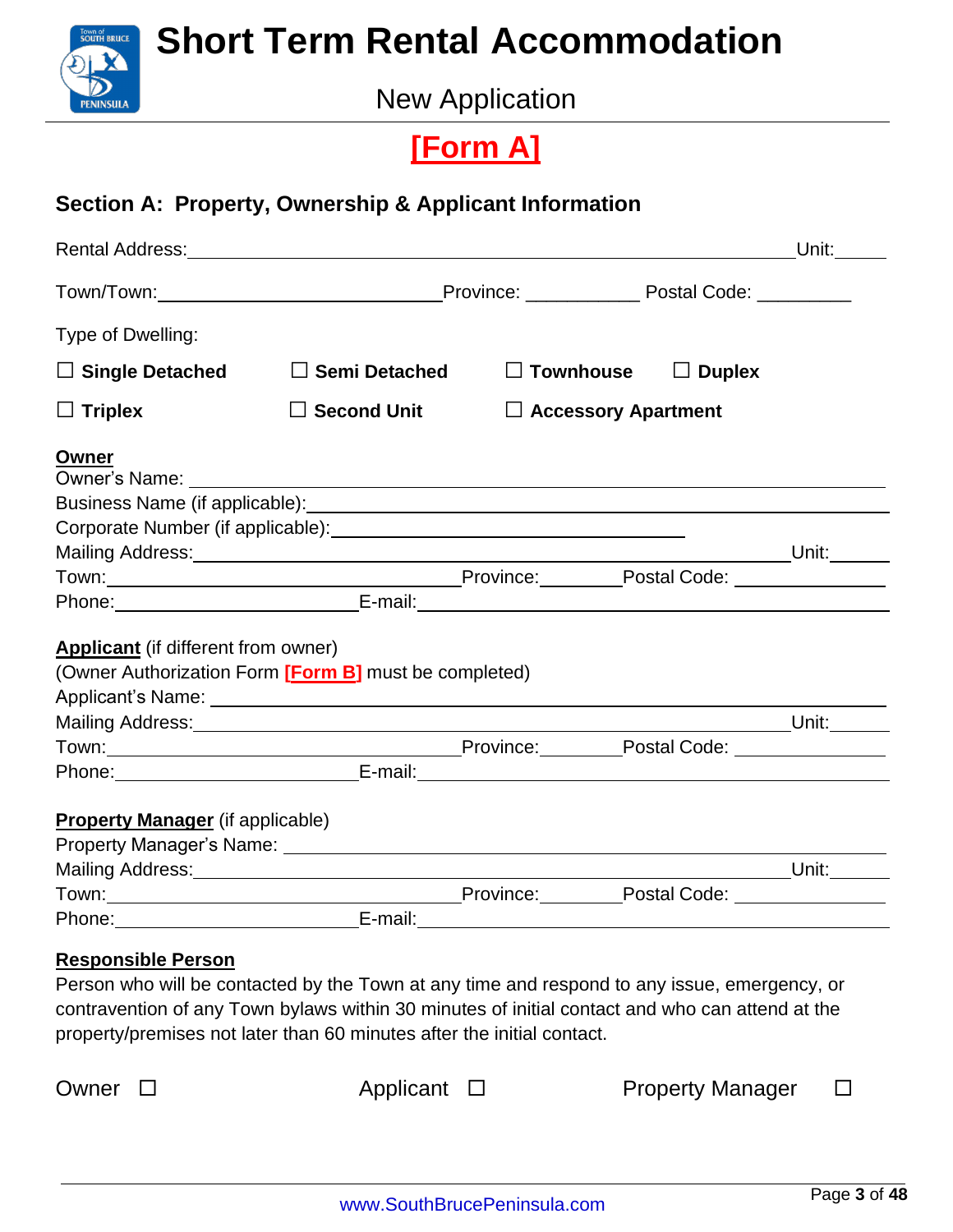

New Application

### **[Form A]**

#### **Section A: Property, Ownership & Applicant Information**

|                                            |                                                                                                                                                                                                                                |                            |                                                    | Unit: $\_\_$ |
|--------------------------------------------|--------------------------------------------------------------------------------------------------------------------------------------------------------------------------------------------------------------------------------|----------------------------|----------------------------------------------------|--------------|
|                                            |                                                                                                                                                                                                                                |                            |                                                    |              |
| Type of Dwelling:                          |                                                                                                                                                                                                                                |                            |                                                    |              |
| $\Box$ Single Detached                     | $\square$ Semi Detached                                                                                                                                                                                                        |                            | $\Box$ Townhouse $\Box$ Duplex                     |              |
| $\Box$ Triplex                             | $\square$ Second Unit                                                                                                                                                                                                          | $\Box$ Accessory Apartment |                                                    |              |
| <b>Owner</b>                               |                                                                                                                                                                                                                                |                            |                                                    |              |
|                                            |                                                                                                                                                                                                                                |                            |                                                    |              |
|                                            |                                                                                                                                                                                                                                |                            |                                                    |              |
|                                            |                                                                                                                                                                                                                                |                            |                                                    |              |
|                                            |                                                                                                                                                                                                                                |                            |                                                    |              |
|                                            |                                                                                                                                                                                                                                |                            |                                                    |              |
| <b>Applicant</b> (if different from owner) |                                                                                                                                                                                                                                |                            |                                                    |              |
|                                            | (Owner Authorization Form [Form B] must be completed)                                                                                                                                                                          |                            |                                                    |              |
|                                            | Mailing Address: Unit: Unit: Unit: Unit: Unit: Unit: Unit: Unit:                                                                                                                                                               |                            |                                                    |              |
|                                            | Town: Town: Town: Town: Town: Town: Town: Town: Town: Town: Town: Town: Town: Town: Town: Town: Town: Town: Town: Town: Town: Town: Town: Town: Town: Town: Town: Town: Town: Town: Town: Town: Town: Town: Town: Town: Town:  |                            |                                                    |              |
|                                            | Phone: E-mail: E-mail: E-mail: E-mail: E-mail: E-mail: E-mail: E-mail: E-mail: E-mail: E-mail: E-mail: E-mail: E-mail: E-mail: E-mail: E-mail: E-mail: E-mail: E-mail: E-mail: E-mail: E-mail: E-mail: E-mail: E-mail: E-mail: |                            |                                                    |              |
|                                            |                                                                                                                                                                                                                                |                            |                                                    |              |
|                                            |                                                                                                                                                                                                                                |                            |                                                    |              |
|                                            |                                                                                                                                                                                                                                |                            | <u>Unit: Unit: Unit: Little Section 2001 (Unit</u> |              |
| <b>Property Manager</b> (if applicable)    |                                                                                                                                                                                                                                |                            |                                                    |              |

Person who will be contacted by the Town at any time and respond to any issue, emergency, or contravention of any Town bylaws within 30 minutes of initial contact and who can attend at the property/premises not later than 60 minutes after the initial contact.

Owner  $\square$  Applicant  $\square$  Property Manager  $\square$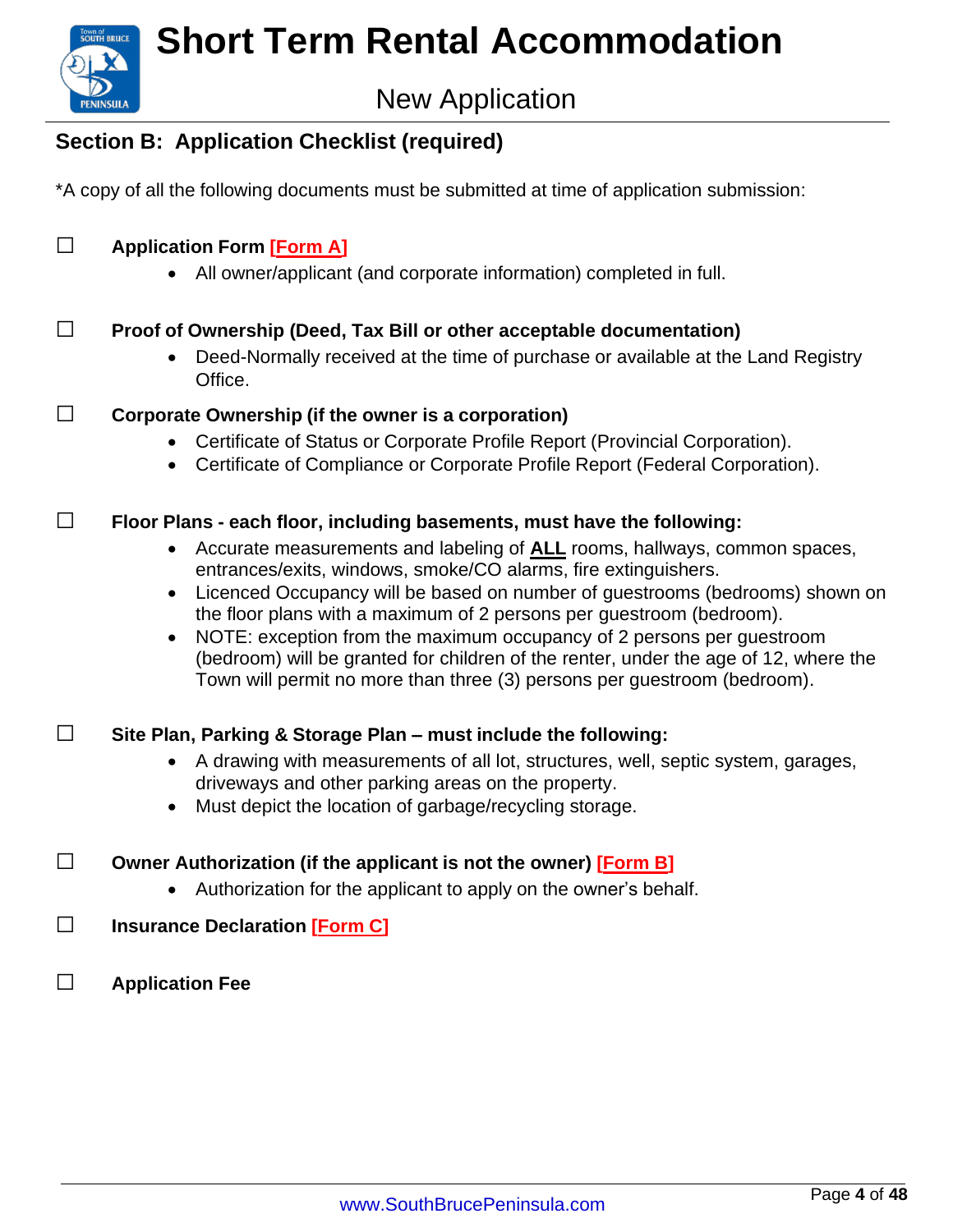

### New Application

### **Section B: Application Checklist (required)**

\*A copy of all the following documents must be submitted at time of application submission:

#### **□ Application Form [\[Form A\]](#page-2-0)**

• All owner/applicant (and corporate information) completed in full.

#### **□ Proof of Ownership (Deed, Tax Bill or other acceptable documentation)**

• Deed-Normally received at the time of purchase or available at the Land Registry Office.

#### **□ Corporate Ownership (if the owner is <sup>a</sup> corporation)**

- Certificate of Status or Corporate Profile Report (Provincial Corporation).
- Certificate of Compliance or Corporate Profile Report (Federal Corporation).

#### **□ Floor Plans - each floor, including basements, must have the following:**

- Accurate measurements and labeling of **ALL** rooms, hallways, common spaces, entrances/exits, windows, smoke/CO alarms, fire extinguishers.
- Licenced Occupancy will be based on number of guestrooms (bedrooms) shown on the floor plans with a maximum of 2 persons per guestroom (bedroom).
- NOTE: exception from the maximum occupancy of 2 persons per guestroom (bedroom) will be granted for children of the renter, under the age of 12, where the Town will permit no more than three (3) persons per guestroom (bedroom).

#### **□ Site Plan, Parking & Storage Plan – must include the following:**

- A drawing with measurements of all lot, structures, well, septic system, garages, driveways and other parking areas on the property.
- Must depict the location of garbage/recycling storage.
- **□ Owner Authorization (if the applicant is not the owner) [\[Form](#page-9-0) B]**
	- Authorization for the applicant to apply on the owner's behalf.
- **□ Insurance Declaration [\[Form](#page-10-0) C]**
- **□ Application Fee**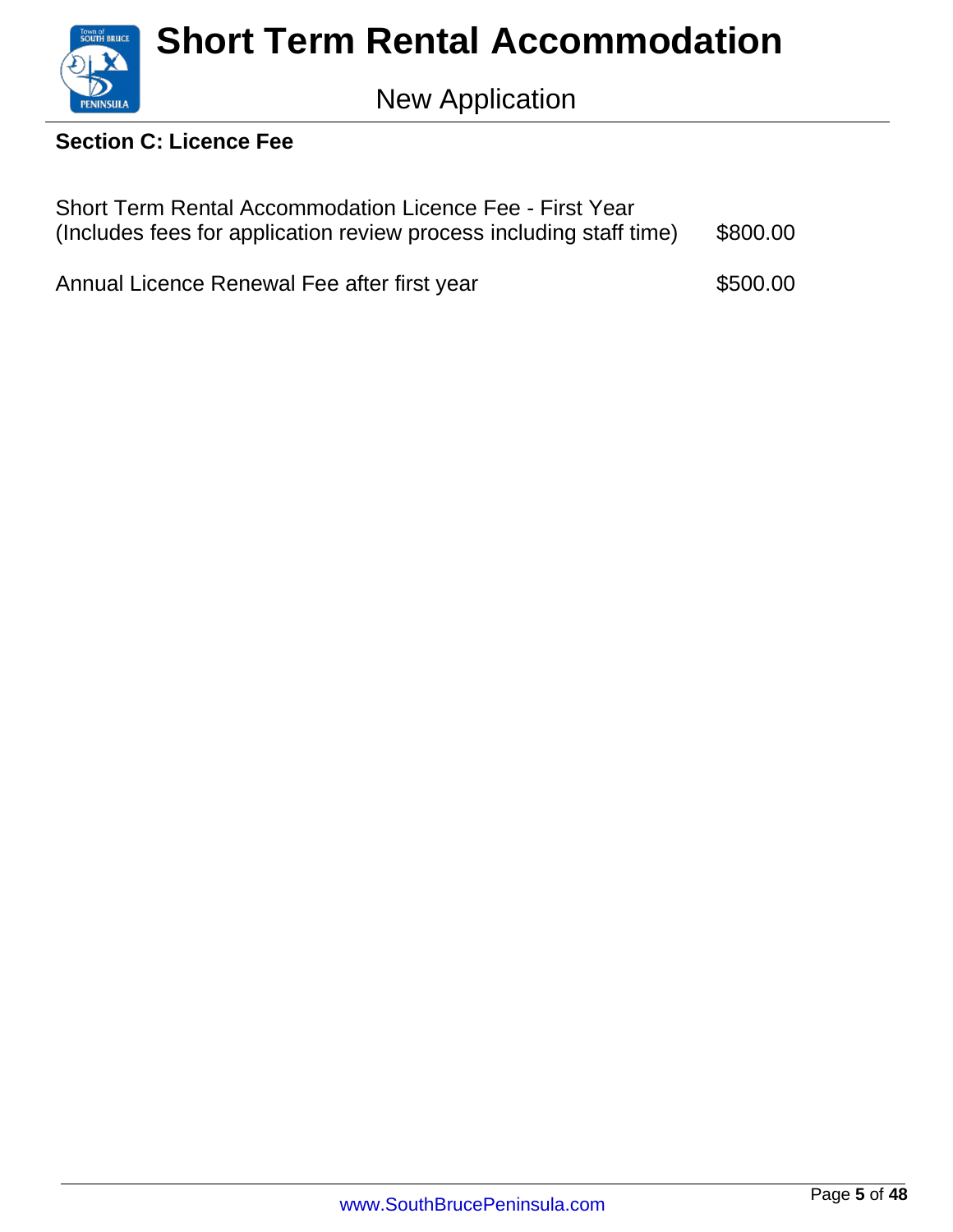

#### **Section C: Licence Fee**

| <b>Short Term Rental Accommodation Licence Fee - First Year</b><br>(Includes fees for application review process including staff time) |          |
|----------------------------------------------------------------------------------------------------------------------------------------|----------|
| Annual Licence Renewal Fee after first year                                                                                            | \$500.00 |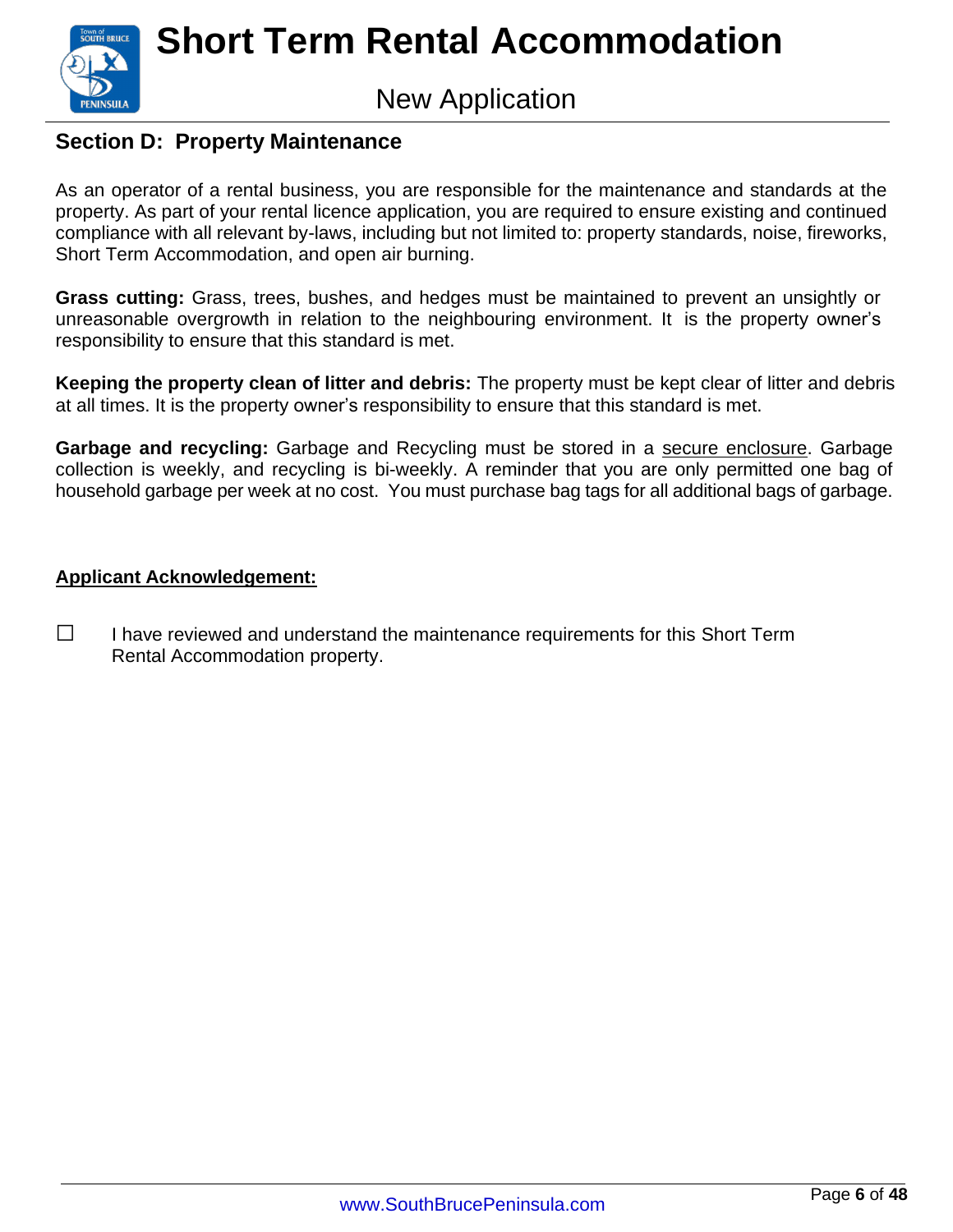

### New Application

#### **Section D: Property Maintenance**

As an operator of a rental business, you are responsible for the maintenance and standards at the property. As part of your rental licence application, you are required to ensure existing and continued compliance with all relevant by-laws, including but not limited to: property standards, noise, fireworks, Short Term Accommodation, and open air burning.

**Grass cutting:** Grass, trees, bushes, and hedges must be maintained to prevent an unsightly or unreasonable overgrowth in relation to the neighbouring environment. It is the property owner's responsibility to ensure that this standard is met.

**Keeping the property clean of litter and debris:** The property must be kept clear of litter and debris at all times. It is the property owner's responsibility to ensure that this standard is met.

**Garbage and recycling:** Garbage and Recycling must be stored in a secure enclosure. Garbage collection is weekly, and recycling is bi-weekly. A reminder that you are only permitted one bag of household garbage per week at no cost. You must purchase bag tags for all additional bags of garbage.

#### **Applicant Acknowledgement:**

**□** I have reviewed and understand the maintenance requirements for this Short Term Rental Accommodation property.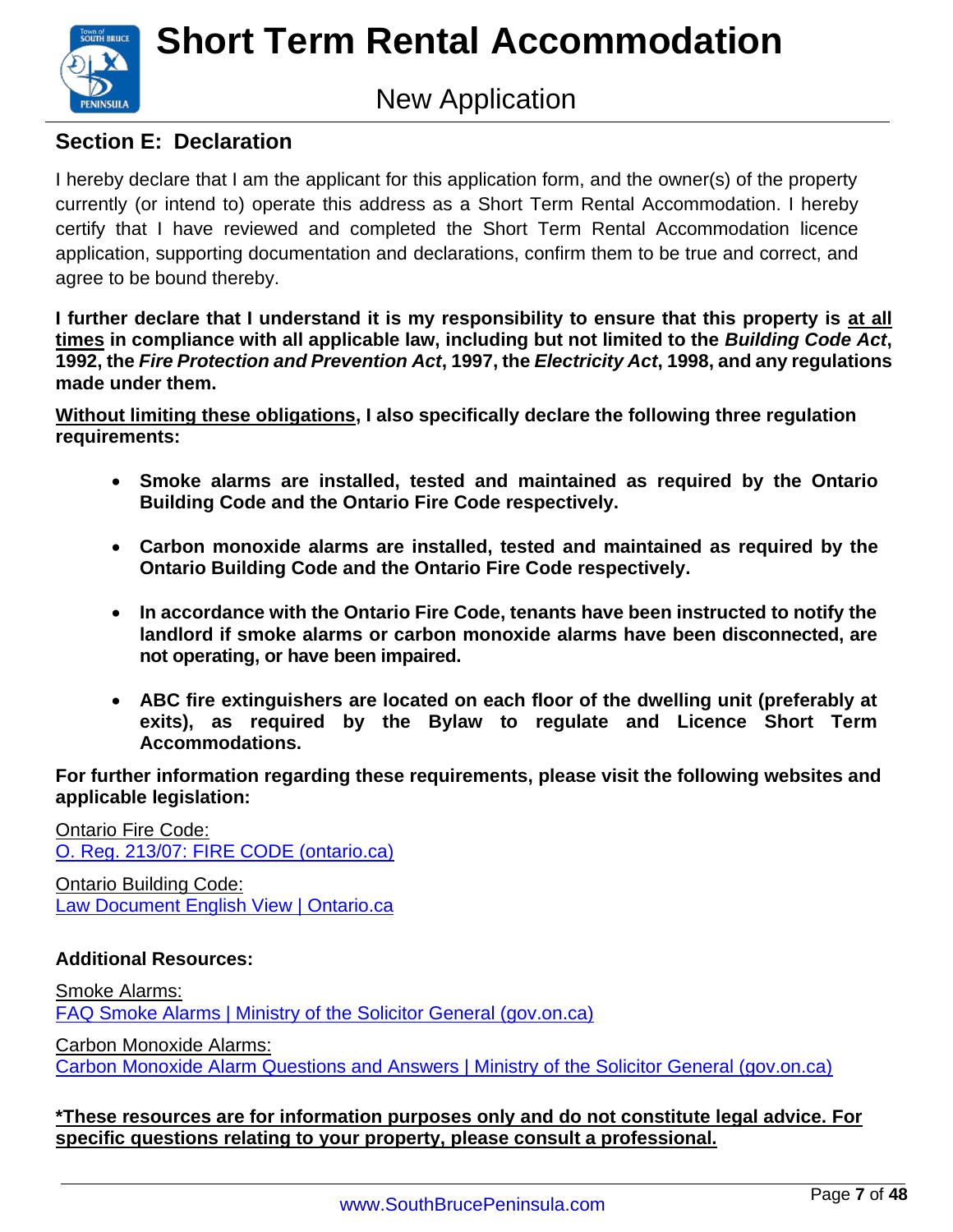

### New Application

#### **Section E: Declaration**

I hereby declare that I am the applicant for this application form, and the owner(s) of the property currently (or intend to) operate this address as a Short Term Rental Accommodation. I hereby certify that I have reviewed and completed the Short Term Rental Accommodation licence application, supporting documentation and declarations, confirm them to be true and correct, and agree to be bound thereby.

**I further declare that I understand it is my responsibility to ensure that this property is at all times in compliance with all applicable law, including but not limited to the** *Building Code Act***, 1992, the** *Fire Protection and Prevention Act***, 1997, the** *Electricity Act***, 1998, and any regulations made under them.**

**Without limiting these obligations, I also specifically declare the following three regulation requirements:**

- **Smoke alarms are installed, tested and maintained as required by the Ontario Building Code and the Ontario Fire Code respectively.**
- **Carbon monoxide alarms are installed, tested and maintained as required by the Ontario Building Code and the Ontario Fire Code respectively.**
- **In accordance with the Ontario Fire Code, tenants have been instructed to notify the landlord if smoke alarms or carbon monoxide alarms have been disconnected, are not operating, or have been impaired.**
- **ABC fire extinguishers are located on each floor of the dwelling unit (preferably at exits), as required by the Bylaw to regulate and Licence Short Term Accommodations.**

**For further information regarding these requirements, please visit the following websites and applicable legislation:**

[Ontario Fire](https://www.ontario.ca/laws/regulation/r07213) Code: [O. Reg. 213/07: FIRE CODE \(ontario.ca\)](https://www.ontario.ca/laws/regulation/070213?_ga=2.111359687.2135169352.1583251443-1766712954.1582205930)

Ontario Building Code: [Law Document English View | Ontario.ca](https://www.ontario.ca/laws/regulation/120332)

#### **Additional Resources:**

Smoke Alarms: [FAQ Smoke Alarms | Ministry of the Solicitor General \(gov.on.ca\)](https://www.mcscs.jus.gov.on.ca/english/FireMarshal/FAQ/SmokeAlarms/OFM_FAQ_Smoke_Alarms.html) Carbon Monoxide Alarms: [Carbon Monoxide Alarm Questions and Answers | Ministry of the Solicitor General \(gov.on.ca\)](https://www.mcscs.jus.gov.on.ca/english/FireMarshal/CarbonMonoxideAlarms/QuestionsandAnswers/OFM_COAlarms_QandA.html)

**\*These resources are for information purposes only and do not constitute legal advice. For specific questions relating to your property, please consult a professional.**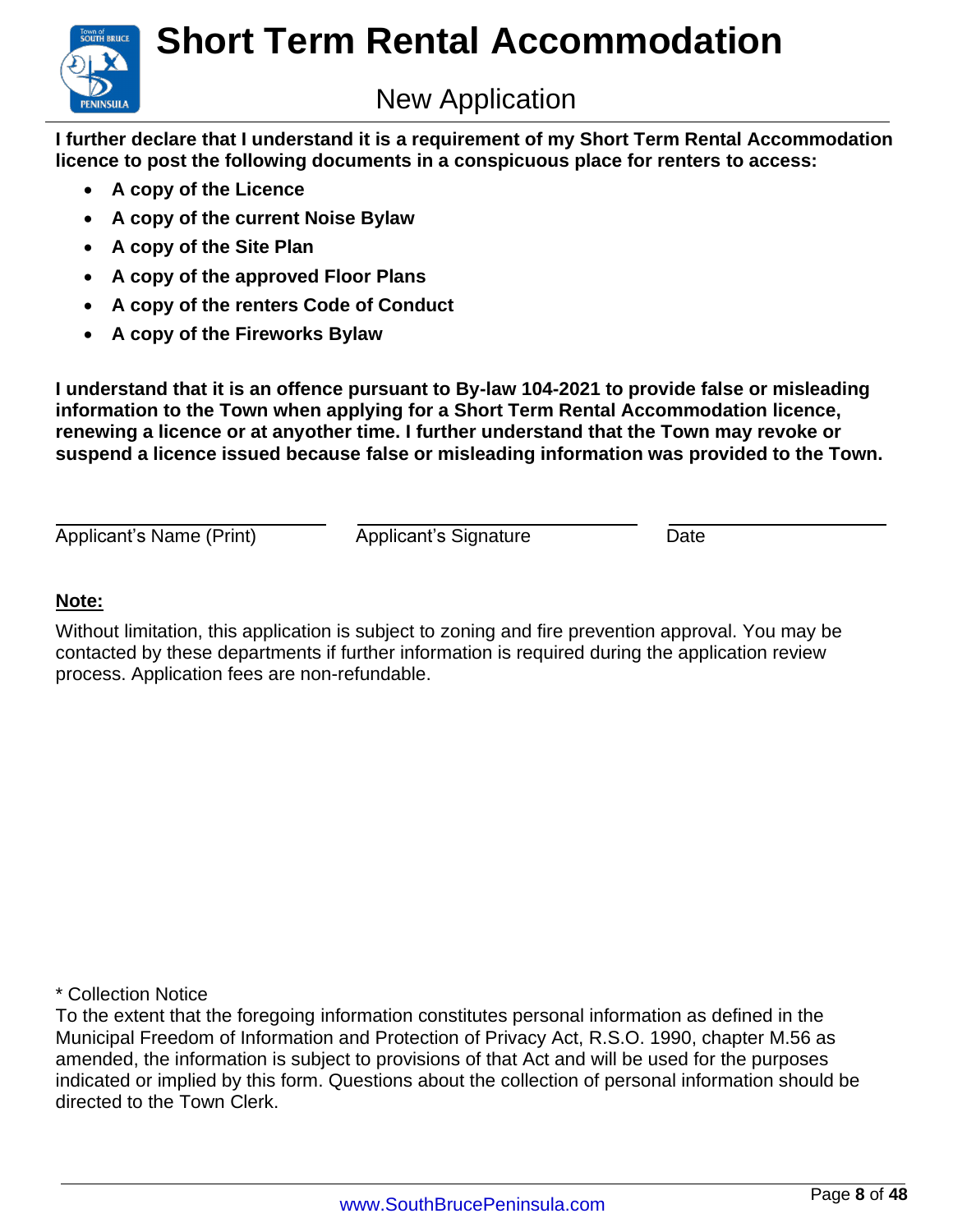

**I further declare that I understand it is a requirement of my Short Term Rental Accommodation licence to post the following documents in a conspicuous place for renters to access:**

- **A copy of the Licence**
- **A copy of the current Noise Bylaw**
- **A copy of the Site Plan**
- **A copy of the approved Floor Plans**
- **A copy of the renters Code of Conduct**
- **A copy of the Fireworks Bylaw**

**I understand that it is an offence pursuant to By-law 104-2021 to provide false or misleading information to the Town when applying for a Short Term Rental Accommodation licence, renewing a licence or at anyother time. I further understand that the Town may revoke or suspend a licence issued because false or misleading information was provided to the Town.**

Applicant's Name (Print) Applicant's Signature Date

#### **Note:**

Without limitation, this application is subject to zoning and fire prevention approval. You may be contacted by these departments if further information is required during the application review process. Application fees are non-refundable.

\* Collection Notice

To the extent that the foregoing information constitutes personal information as defined in the Municipal Freedom of Information and Protection of Privacy Act, R.S.O. 1990, chapter M.56 as amended, the information is subject to provisions of that Act and will be used for the purposes indicated or implied by this form. Questions about the collection of personal information should be directed to the Town Clerk.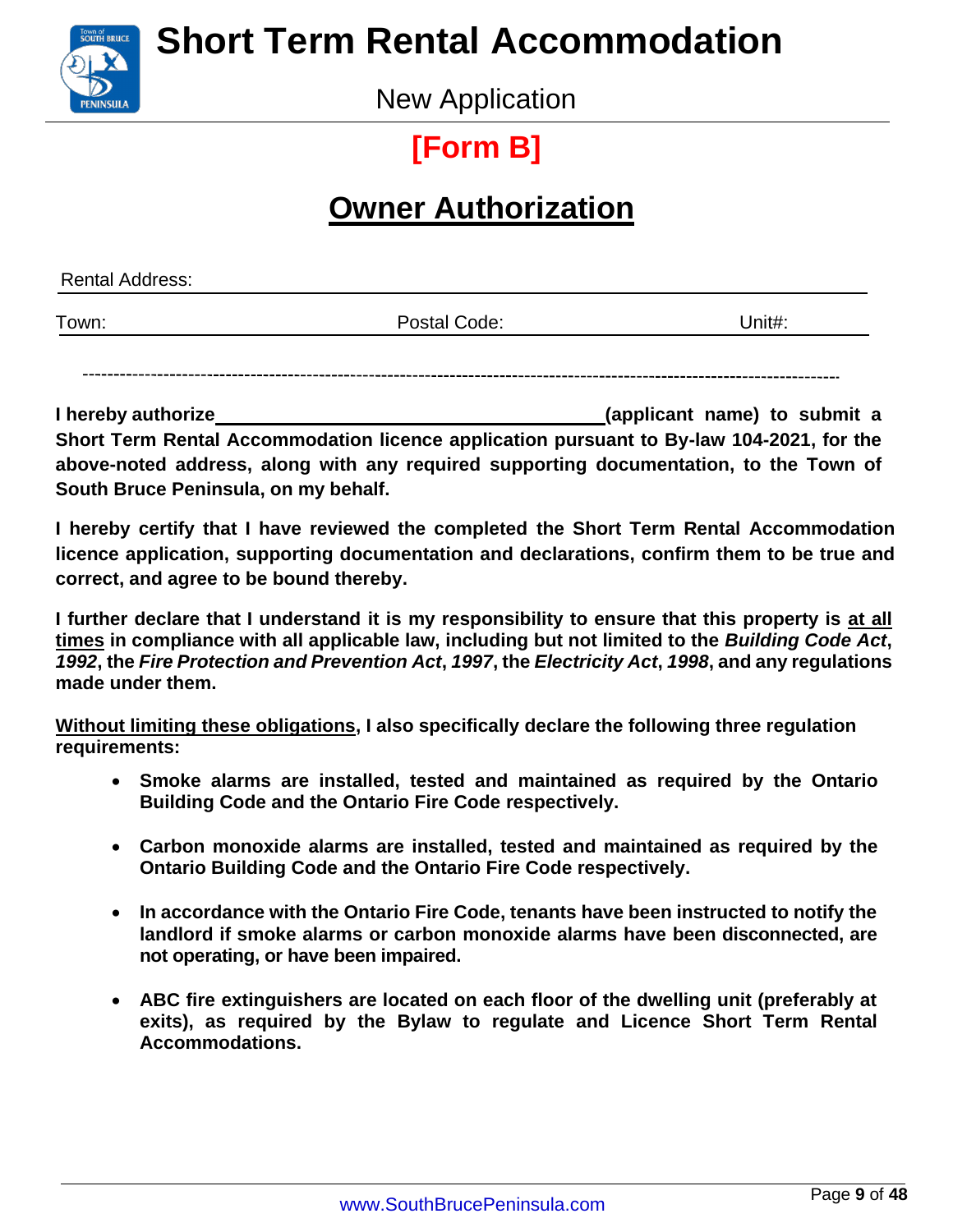

New Application

## **[Form B]**

### **Owner Authorization**

<span id="page-9-0"></span>

| <b>Rental Address:</b> |              |        |
|------------------------|--------------|--------|
| Town:                  | Postal Code: | Unit#: |
|                        |              |        |

**I hereby authorize (applicant name) to submit a Short Term Rental Accommodation licence application pursuant to By-law 104-2021, for the above-noted address, along with any required supporting documentation, to the Town of South Bruce Peninsula, on my behalf.**

**I hereby certify that I have reviewed the completed the Short Term Rental Accommodation licence application, supporting documentation and declarations, confirm them to be true and correct, and agree to be bound thereby.**

I further declare that I understand it is my responsibility to ensure that this property is at all **times in compliance with all applicable law, including but not limited to the** *Building Code Act***,** *1992***, the** *Fire Protection and Prevention Act***,** *1997***, the** *Electricity Act***,** *1998***, and any regulations made under them.**

**Without limiting these obligations, I also specifically declare the following three regulation requirements:**

- **Smoke alarms are installed, tested and maintained as required by the Ontario Building Code and the Ontario Fire Code respectively.**
- **Carbon monoxide alarms are installed, tested and maintained as required by the Ontario Building Code and the Ontario Fire Code respectively.**
- **In accordance with the Ontario Fire Code, tenants have been instructed to notify the landlord if smoke alarms or carbon monoxide alarms have been disconnected, are not operating, or have been impaired.**
- **ABC fire extinguishers are located on each floor of the dwelling unit (preferably at exits), as required by the Bylaw to regulate and Licence Short Term Rental Accommodations.**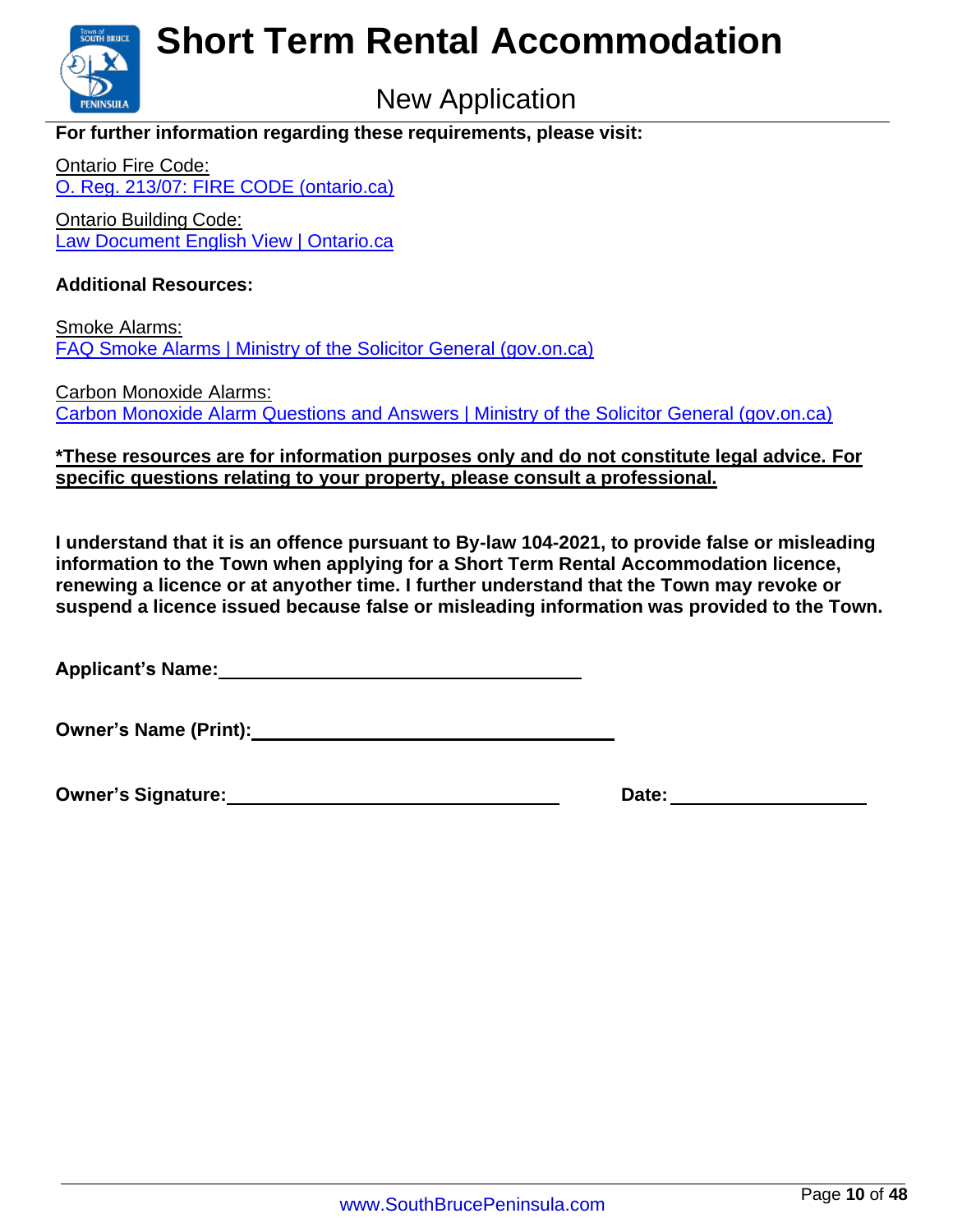

### New Application

#### **For further information regarding these requirements, please visit:**

Ontario Fire Code: [O. Reg. 213/07: FIRE CODE \(ontario.ca\)](https://www.ontario.ca/laws/regulation/070213?_ga=2.111359687.2135169352.1583251443-%201766712954.1582205930)

Ontario Building Code: [Law Document English View | Ontario.ca](https://www.ontario.ca/laws/regulation/120332)

#### **Additional Resources:**

Smoke Alarms: [FAQ Smoke Alarms | Ministry of the Solicitor General \(gov.on.ca\)](https://www.mcscs.jus.gov.on.ca/english/FireMarshal/FAQ/SmokeAlarms/OFM_FAQ_Smoke_Alarms.html)

Carbon Monoxide Alarms: [Carbon Monoxide Alarm Questions and Answers | Ministry of the Solicitor General \(gov.on.ca\)](https://www.mcscs.jus.gov.on.ca/english/FireMarshal/CarbonMonoxideAlarms/QuestionsandAnswers/OFM_COAlarms_QandA.html)

#### **\*These resources are for information purposes only and do not constitute legal advice. For specific questions relating to your property, please consult a professional.**

**I understand that it is an offence pursuant to By-law 104-2021, to provide false or misleading information to the Town when applying for a Short Term Rental Accommodation licence, renewing a licence or at anyother time. I further understand that the Town may revoke or suspend a licence issued because false or misleading information was provided to the Town.**

**Applicant's Name:**

**Owner's Name (Print):**

<span id="page-10-0"></span>

**Owner's Signature: Date: Date: Date: Date: Date: Date: Date: Date: Date: Date: Date: Date: Date: Date: Date: Date: Date: Date: Date: Date: Date: Date: Date: Date: Date:**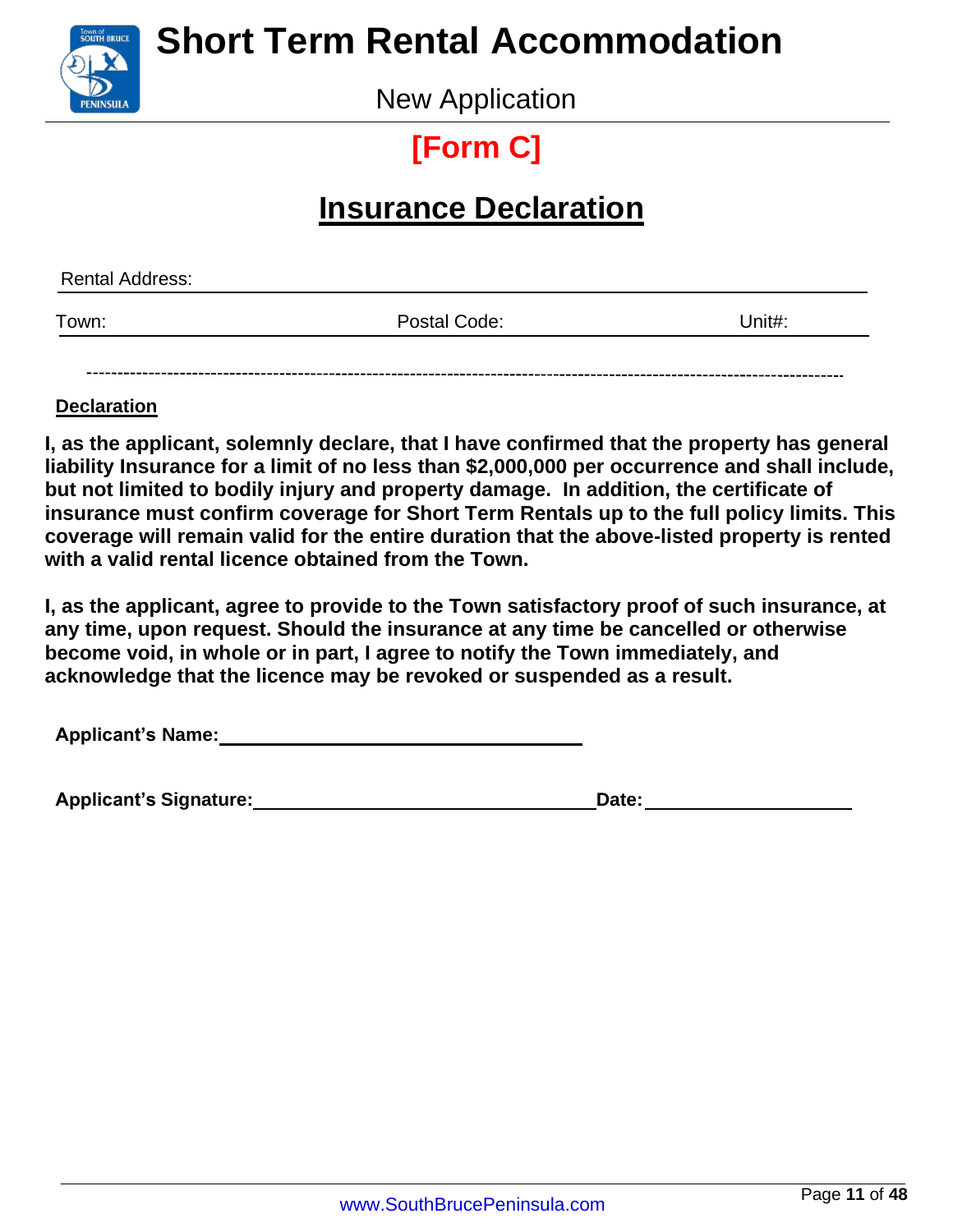

New Application

## **[Form C]**

### **Insurance Declaration**

| <b>Rental Address:</b> |              |        |
|------------------------|--------------|--------|
| Town:                  | Postal Code: | Unit#: |
|                        |              |        |

#### **Declaration**

**I, as the applicant, solemnly declare, that I have confirmed that the property has general liability Insurance for a limit of no less than \$2,000,000 per occurrence and shall include, but not limited to bodily injury and property damage. In addition, the certificate of insurance must confirm coverage for Short Term Rentals up to the full policy limits. This coverage will remain valid for the entire duration that the above-listed property is rented with a valid rental licence obtained from the Town.**

**I, as the applicant, agree to provide to the Town satisfactory proof of such insurance, at any time, upon request. Should the insurance at any time be cancelled or otherwise become void, in whole or in part, I agree to notify the Town immediately, and acknowledge that the licence may be revoked or suspended as a result.**

**Applicant's Name:**

| <b>Applicant's Signature:</b> | Date: |  |
|-------------------------------|-------|--|
|                               |       |  |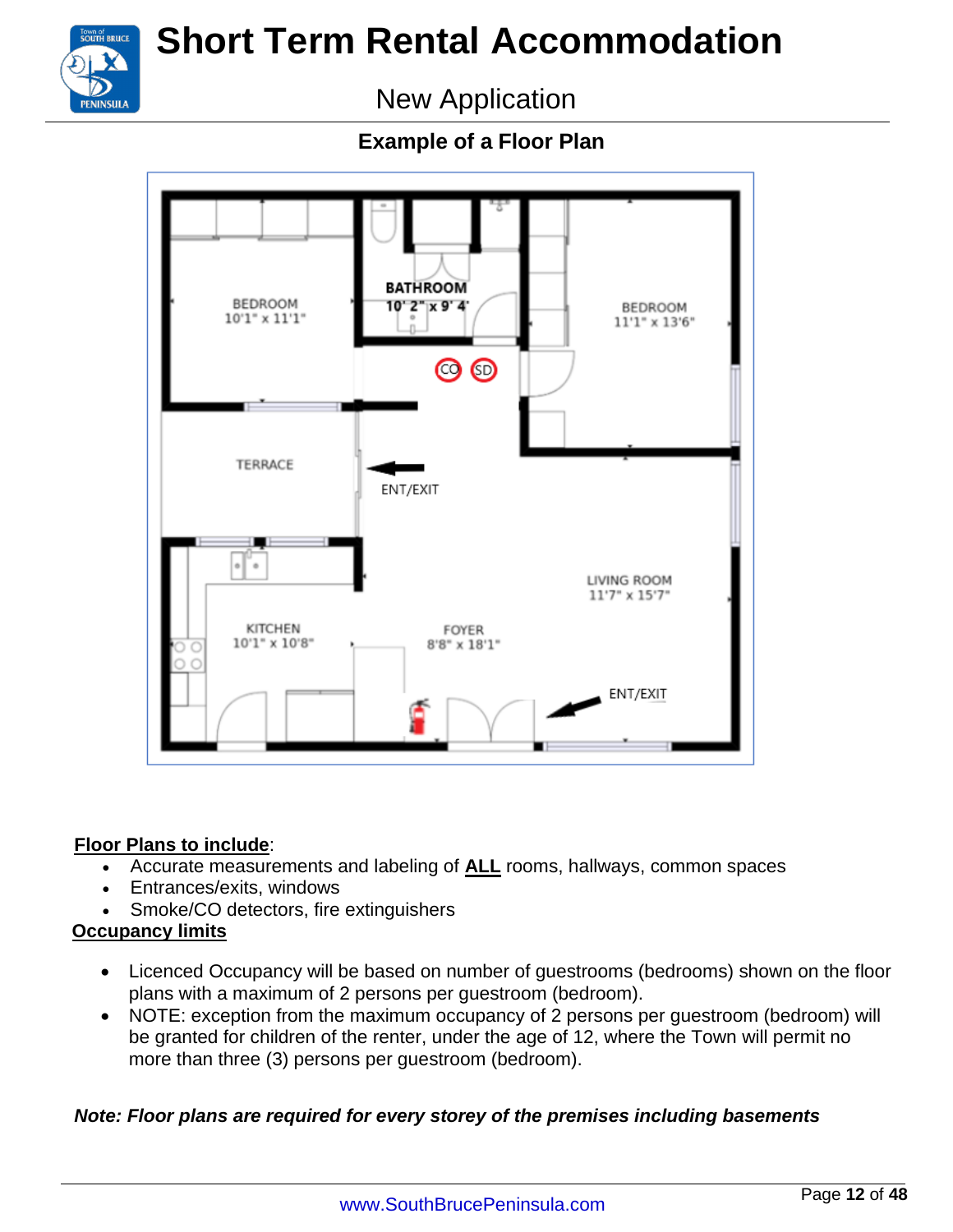

New Application

**Example of a Floor Plan** 



#### **Floor Plans to include**:

- Accurate measurements and labeling of **ALL** rooms, hallways, common spaces
- Entrances/exits, windows
- Smoke/CO detectors, fire extinguishers

#### **Occupancy limits**

- Licenced Occupancy will be based on number of guestrooms (bedrooms) shown on the floor plans with a maximum of 2 persons per guestroom (bedroom).
- NOTE: exception from the maximum occupancy of 2 persons per guestroom (bedroom) will be granted for children of the renter, under the age of 12, where the Town will permit no more than three (3) persons per guestroom (bedroom).

#### *Note: Floor plans are required for every storey of the premises including basements*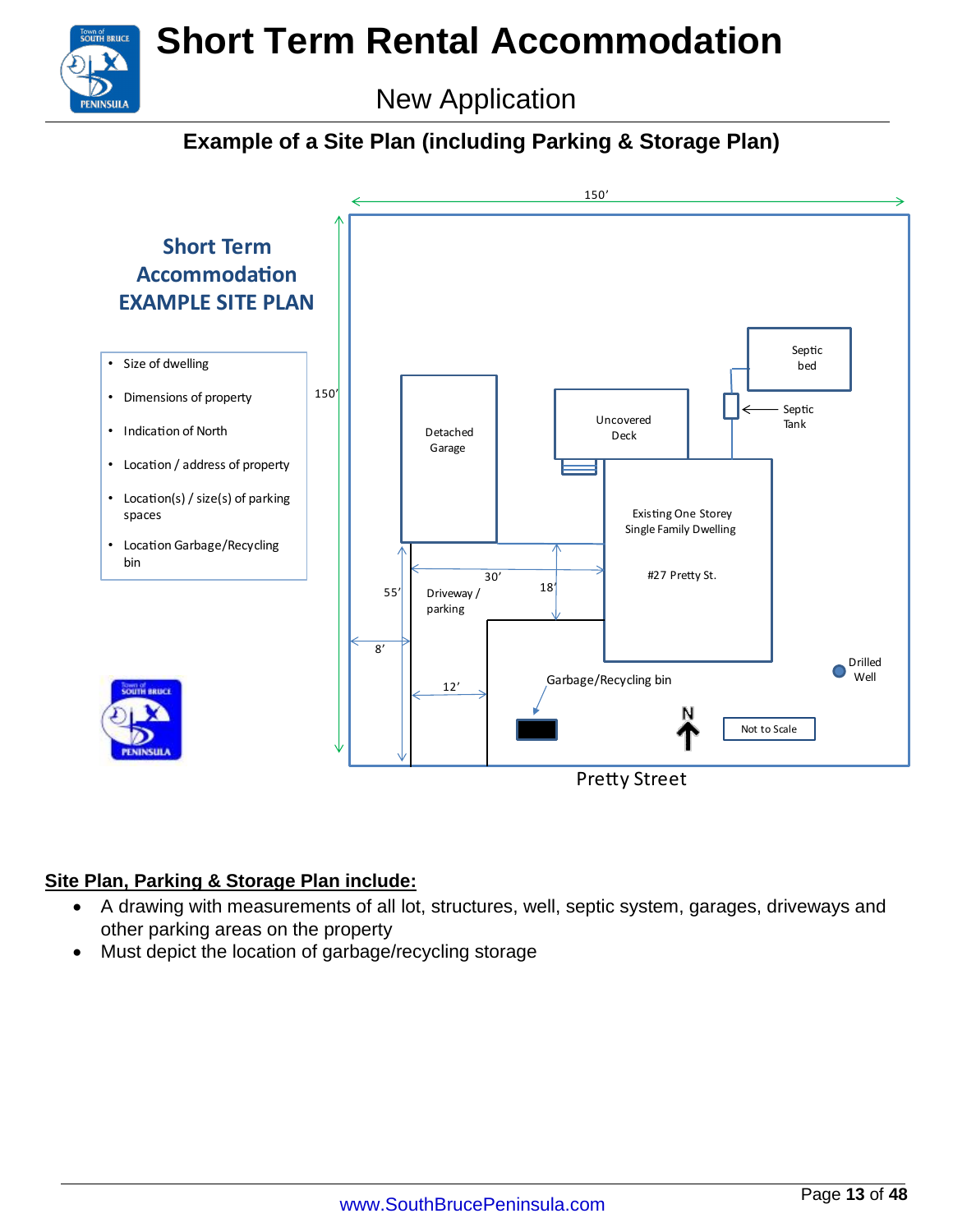### New Application

#### **Example of a Site Plan (including Parking & Storage Plan)**



#### **Site Plan, Parking & Storage Plan include:**

**UTH BRUCE** 

**PENINSIII A** 

- A drawing with measurements of all lot, structures, well, septic system, garages, driveways and other parking areas on the property
- Must depict the location of garbage/recycling storage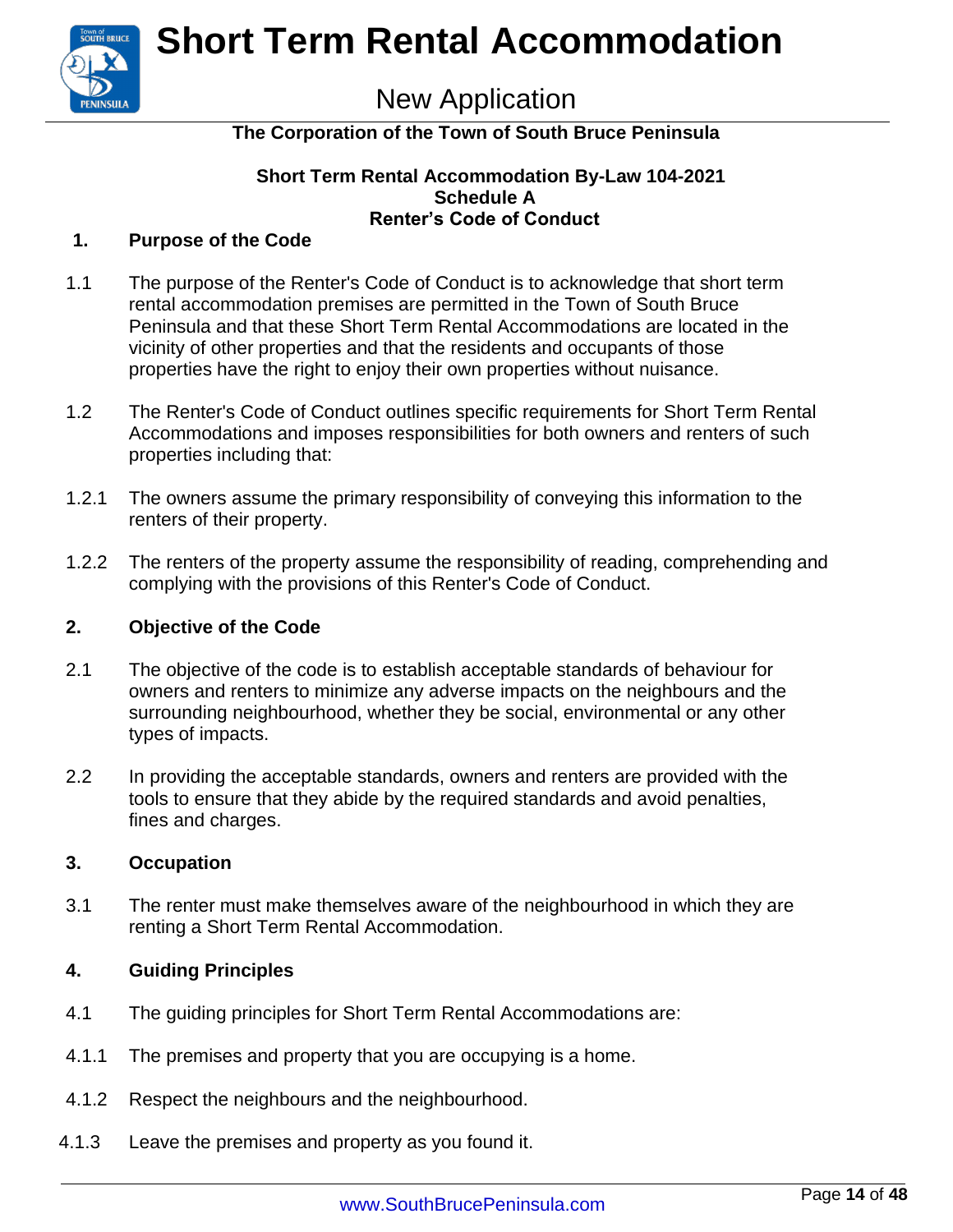

### New Application

#### **The Corporation of the Town of South Bruce Peninsula**

#### **Short Term Rental Accommodation By-Law 104-2021 Schedule A Renter's Code of Conduct**

#### **1. Purpose of the Code**

- 1.1 The purpose of the Renter's Code of Conduct is to acknowledge that short term rental accommodation premises are permitted in the Town of South Bruce Peninsula and that these Short Term Rental Accommodations are located in the vicinity of other properties and that the residents and occupants of those properties have the right to enjoy their own properties without nuisance.
- 1.2 The Renter's Code of Conduct outlines specific requirements for Short Term Rental Accommodations and imposes responsibilities for both owners and renters of such properties including that:
- 1.2.1 The owners assume the primary responsibility of conveying this information to the renters of their property.
- 1.2.2 The renters of the property assume the responsibility of reading, comprehending and complying with the provisions of this Renter's Code of Conduct.

#### **2. Objective of the Code**

- 2.1 The objective of the code is to establish acceptable standards of behaviour for owners and renters to minimize any adverse impacts on the neighbours and the surrounding neighbourhood, whether they be social, environmental or any other types of impacts.
- 2.2 In providing the acceptable standards, owners and renters are provided with the tools to ensure that they abide by the required standards and avoid penalties, fines and charges.

#### **3. Occupation**

3.1 The renter must make themselves aware of the neighbourhood in which they are renting a Short Term Rental Accommodation.

#### **4. Guiding Principles**

- 4.1 The guiding principles for Short Term Rental Accommodations are:
- 4.1.1 The premises and property that you are occupying is a home.
- 4.1.2 Respect the neighbours and the neighbourhood.
- 4.1.3 Leave the premises and property as you found it.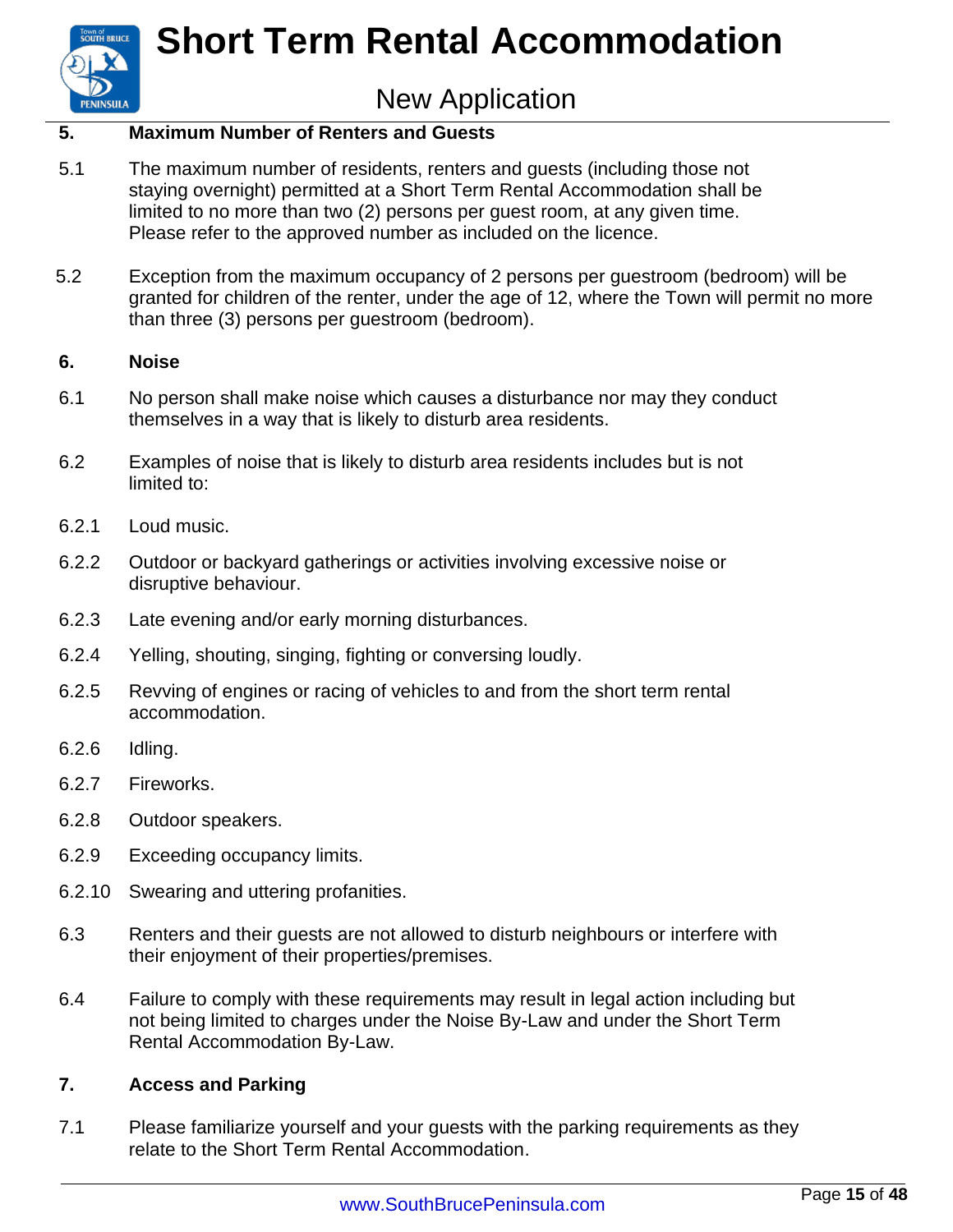### New Application

#### **5. Maximum Number of Renters and Guests**

- 5.1 The maximum number of residents, renters and guests (including those not staying overnight) permitted at a Short Term Rental Accommodation shall be limited to no more than two (2) persons per guest room, at any given time. Please refer to the approved number as included on the licence.
- 5.2 Exception from the maximum occupancy of 2 persons per guestroom (bedroom) will be granted for children of the renter, under the age of 12, where the Town will permit no more than three (3) persons per guestroom (bedroom).

#### **6. Noise**

**PENINSULA** 

- 6.1 No person shall make noise which causes a disturbance nor may they conduct themselves in a way that is likely to disturb area residents.
- 6.2 Examples of noise that is likely to disturb area residents includes but is not limited to:
- 6.2.1 Loud music.
- 6.2.2 Outdoor or backyard gatherings or activities involving excessive noise or disruptive behaviour.
- 6.2.3 Late evening and/or early morning disturbances.
- 6.2.4 Yelling, shouting, singing, fighting or conversing loudly.
- 6.2.5 Revving of engines or racing of vehicles to and from the short term rental accommodation.
- 6.2.6 Idling.
- 6.2.7 Fireworks.
- 6.2.8 Outdoor speakers.
- 6.2.9 Exceeding occupancy limits.
- 6.2.10 Swearing and uttering profanities.
- 6.3 Renters and their guests are not allowed to disturb neighbours or interfere with their enjoyment of their properties/premises.
- 6.4 Failure to comply with these requirements may result in legal action including but not being limited to charges under the Noise By-Law and under the Short Term Rental Accommodation By-Law.

#### **7. Access and Parking**

7.1 Please familiarize yourself and your guests with the parking requirements as they relate to the Short Term Rental Accommodation.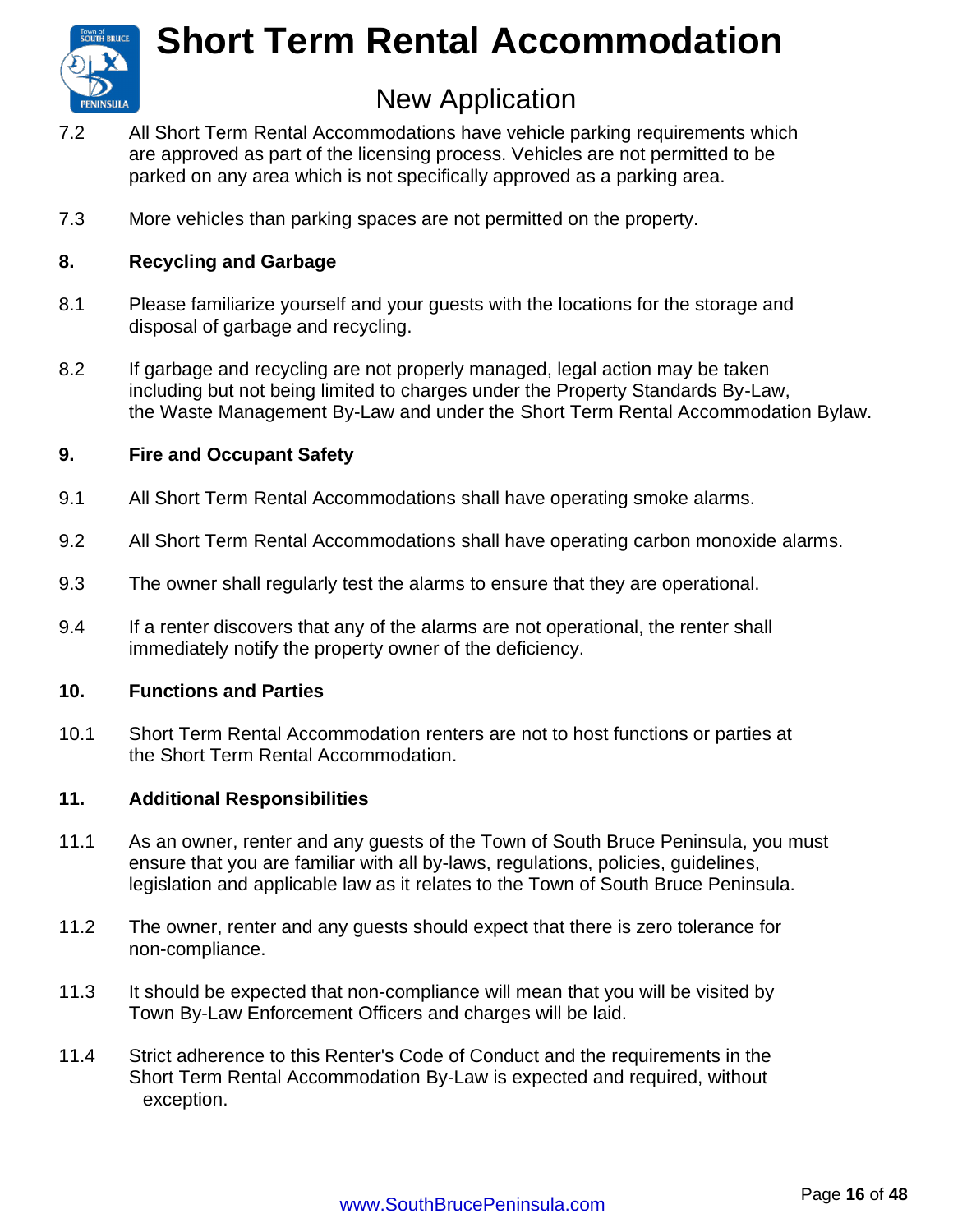

### New Application

- 7.2 All Short Term Rental Accommodations have vehicle parking requirements which are approved as part of the licensing process. Vehicles are not permitted to be parked on any area which is not specifically approved as a parking area.
- 7.3 More vehicles than parking spaces are not permitted on the property.

#### **8. Recycling and Garbage**

- 8.1 Please familiarize yourself and your guests with the locations for the storage and disposal of garbage and recycling.
- 8.2 If garbage and recycling are not properly managed, legal action may be taken including but not being limited to charges under the Property Standards By-Law, the Waste Management By-Law and under the Short Term Rental Accommodation Bylaw.

#### **9. Fire and Occupant Safety**

- 9.1 All Short Term Rental Accommodations shall have operating smoke alarms.
- 9.2 All Short Term Rental Accommodations shall have operating carbon monoxide alarms.
- 9.3 The owner shall regularly test the alarms to ensure that they are operational.
- 9.4 If a renter discovers that any of the alarms are not operational, the renter shall immediately notify the property owner of the deficiency.

#### **10. Functions and Parties**

10.1 Short Term Rental Accommodation renters are not to host functions or parties at the Short Term Rental Accommodation.

#### **11. Additional Responsibilities**

- 11.1 As an owner, renter and any guests of the Town of South Bruce Peninsula, you must ensure that you are familiar with all by-laws, regulations, policies, guidelines, legislation and applicable law as it relates to the Town of South Bruce Peninsula.
- 11.2 The owner, renter and any guests should expect that there is zero tolerance for non-compliance.
- 11.3 It should be expected that non-compliance will mean that you will be visited by Town By-Law Enforcement Officers and charges will be laid.
- 11.4 Strict adherence to this Renter's Code of Conduct and the requirements in the Short Term Rental Accommodation By-Law is expected and required, without exception.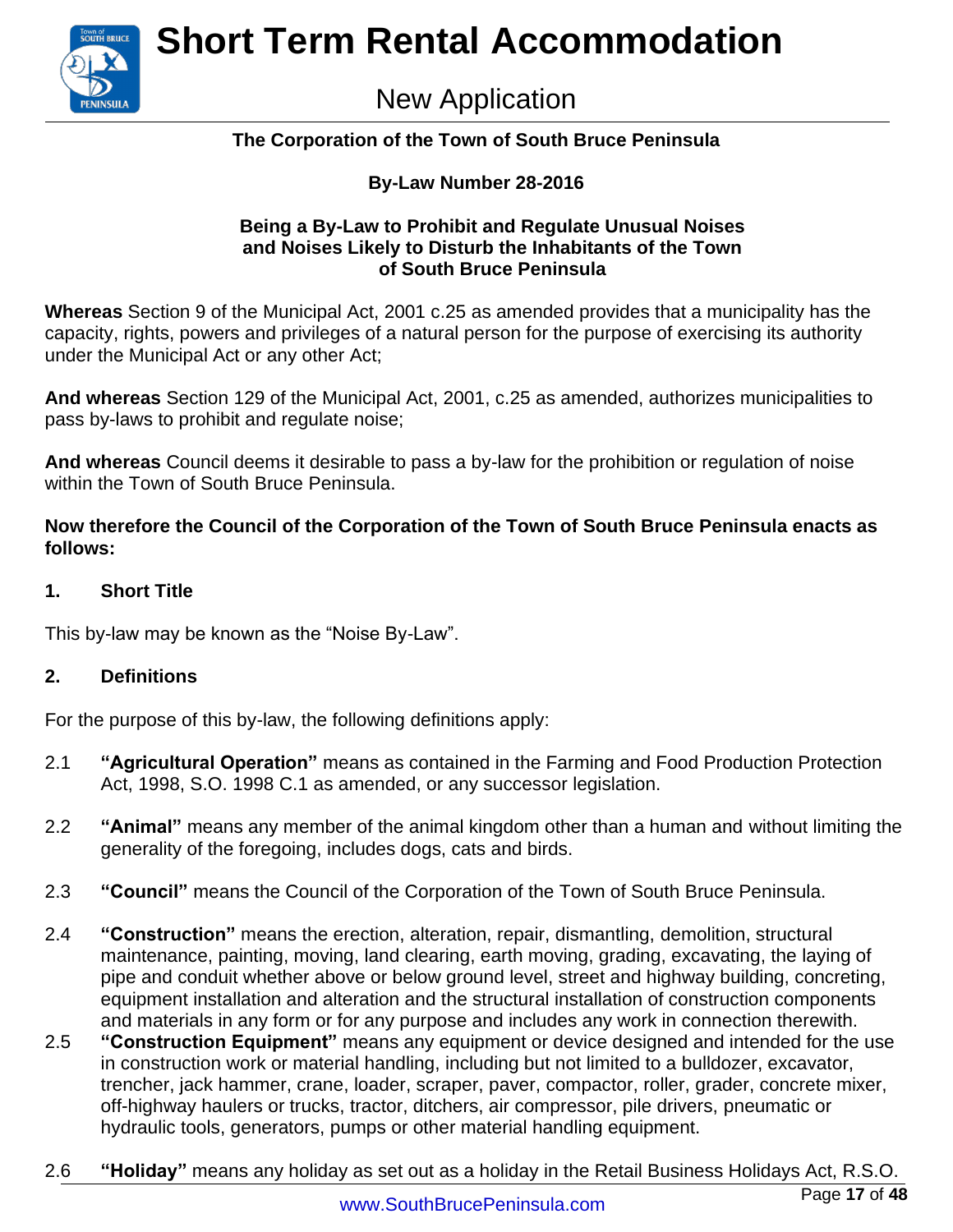

### New Application

#### **The Corporation of the Town of South Bruce Peninsula**

#### **By-Law Number 28-2016**

#### **Being a By-Law to Prohibit and Regulate Unusual Noises and Noises Likely to Disturb the Inhabitants of the Town of South Bruce Peninsula**

**Whereas** Section 9 of the Municipal Act, 2001 c.25 as amended provides that a municipality has the capacity, rights, powers and privileges of a natural person for the purpose of exercising its authority under the Municipal Act or any other Act;

**And whereas** Section 129 of the Municipal Act, 2001, c.25 as amended, authorizes municipalities to pass by-laws to prohibit and regulate noise;

**And whereas** Council deems it desirable to pass a by-law for the prohibition or regulation of noise within the Town of South Bruce Peninsula.

**Now therefore the Council of the Corporation of the Town of South Bruce Peninsula enacts as follows:**

#### **1. Short Title**

This by-law may be known as the "Noise By-Law".

#### **2. Definitions**

For the purpose of this by-law, the following definitions apply:

- 2.1 **"Agricultural Operation"** means as contained in the Farming and Food Production Protection Act, 1998, S.O. 1998 C.1 as amended, or any successor legislation.
- 2.2 **"Animal"** means any member of the animal kingdom other than a human and without limiting the generality of the foregoing, includes dogs, cats and birds.
- 2.3 **"Council"** means the Council of the Corporation of the Town of South Bruce Peninsula.
- 2.4 **"Construction"** means the erection, alteration, repair, dismantling, demolition, structural maintenance, painting, moving, land clearing, earth moving, grading, excavating, the laying of pipe and conduit whether above or below ground level, street and highway building, concreting, equipment installation and alteration and the structural installation of construction components and materials in any form or for any purpose and includes any work in connection therewith.
- 2.5 **"Construction Equipment"** means any equipment or device designed and intended for the use in construction work or material handling, including but not limited to a bulldozer, excavator, trencher, jack hammer, crane, loader, scraper, paver, compactor, roller, grader, concrete mixer, off-highway haulers or trucks, tractor, ditchers, air compressor, pile drivers, pneumatic or hydraulic tools, generators, pumps or other material handling equipment.
- 2.6 **"Holiday"** means any holiday as set out as a holiday in the Retail Business Holidays Act, R.S.O.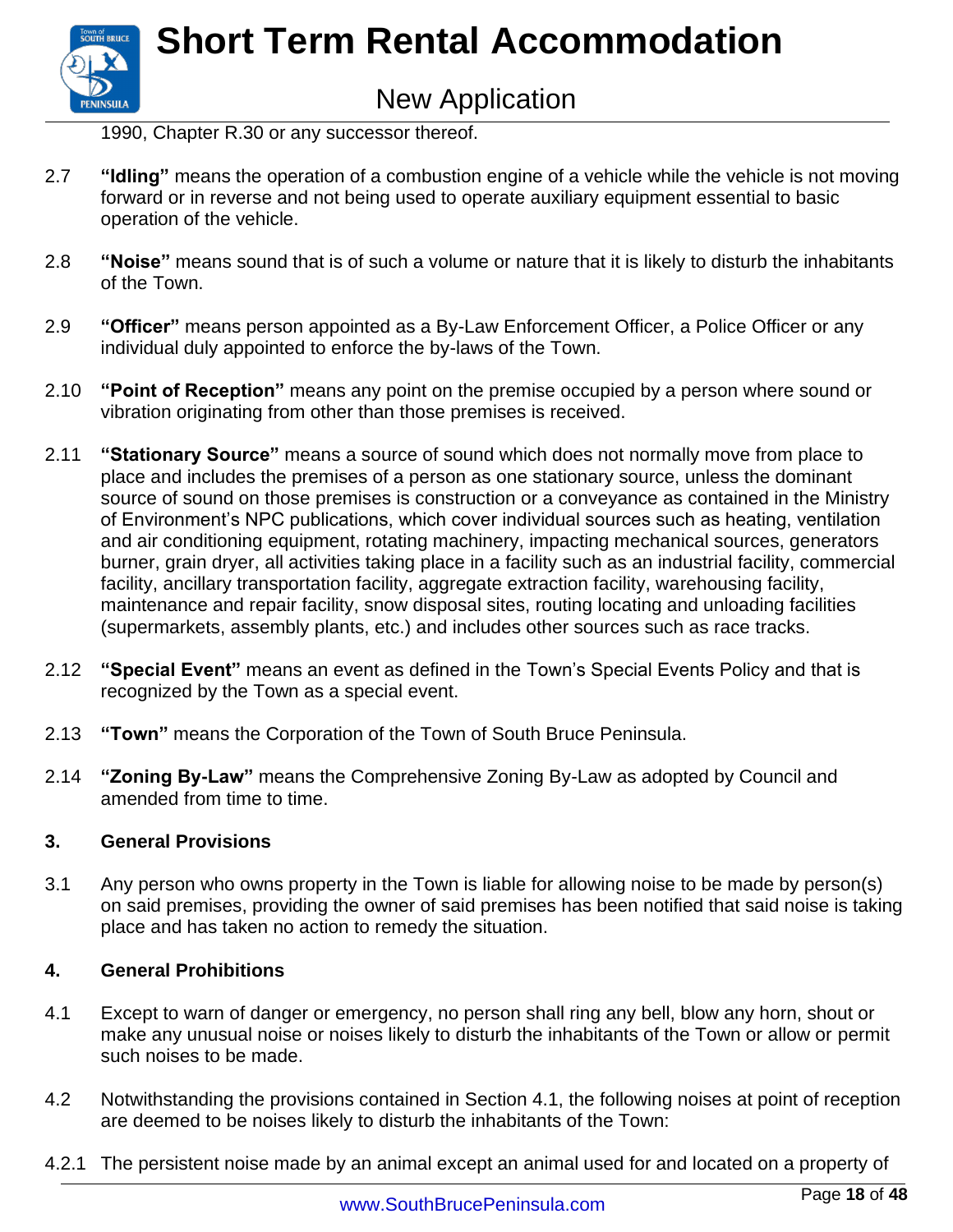

1990, Chapter R.30 or any successor thereof.

- 2.7 **"Idling"** means the operation of a combustion engine of a vehicle while the vehicle is not moving forward or in reverse and not being used to operate auxiliary equipment essential to basic operation of the vehicle.
- 2.8 **"Noise"** means sound that is of such a volume or nature that it is likely to disturb the inhabitants of the Town.
- 2.9 **"Officer"** means person appointed as a By-Law Enforcement Officer, a Police Officer or any individual duly appointed to enforce the by-laws of the Town.
- 2.10 **"Point of Reception"** means any point on the premise occupied by a person where sound or vibration originating from other than those premises is received.
- 2.11 **"Stationary Source"** means a source of sound which does not normally move from place to place and includes the premises of a person as one stationary source, unless the dominant source of sound on those premises is construction or a conveyance as contained in the Ministry of Environment's NPC publications, which cover individual sources such as heating, ventilation and air conditioning equipment, rotating machinery, impacting mechanical sources, generators burner, grain dryer, all activities taking place in a facility such as an industrial facility, commercial facility, ancillary transportation facility, aggregate extraction facility, warehousing facility, maintenance and repair facility, snow disposal sites, routing locating and unloading facilities (supermarkets, assembly plants, etc.) and includes other sources such as race tracks.
- 2.12 **"Special Event"** means an event as defined in the Town's Special Events Policy and that is recognized by the Town as a special event.
- 2.13 **"Town"** means the Corporation of the Town of South Bruce Peninsula.
- 2.14 **"Zoning By-Law"** means the Comprehensive Zoning By-Law as adopted by Council and amended from time to time.

#### **3. General Provisions**

3.1 Any person who owns property in the Town is liable for allowing noise to be made by person(s) on said premises, providing the owner of said premises has been notified that said noise is taking place and has taken no action to remedy the situation.

#### **4. General Prohibitions**

- 4.1 Except to warn of danger or emergency, no person shall ring any bell, blow any horn, shout or make any unusual noise or noises likely to disturb the inhabitants of the Town or allow or permit such noises to be made.
- 4.2 Notwithstanding the provisions contained in Section 4.1, the following noises at point of reception are deemed to be noises likely to disturb the inhabitants of the Town:
- 4.2.1 The persistent noise made by an animal except an animal used for and located on a property of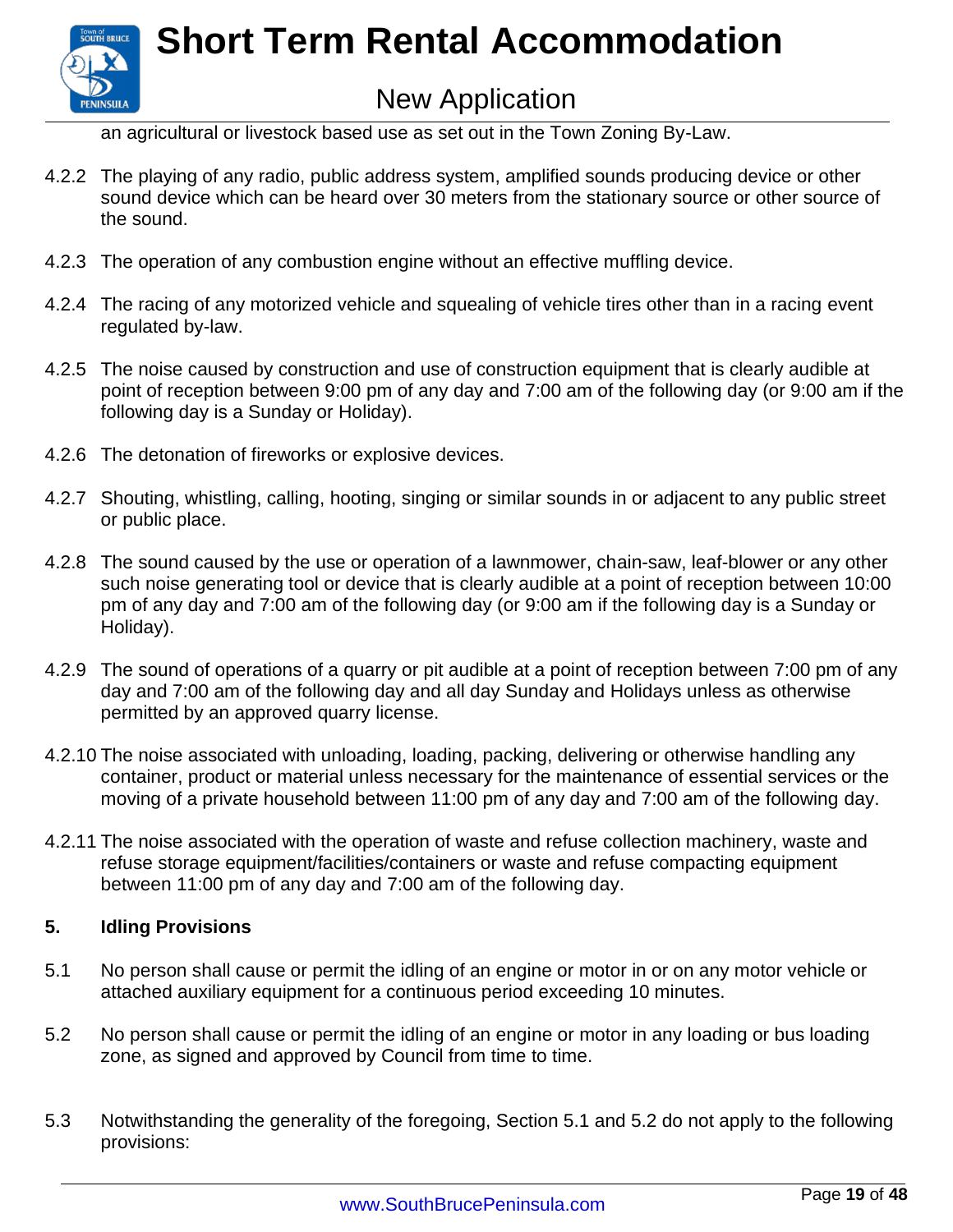

an agricultural or livestock based use as set out in the Town Zoning By-Law.

- 4.2.2 The playing of any radio, public address system, amplified sounds producing device or other sound device which can be heard over 30 meters from the stationary source or other source of the sound.
- 4.2.3 The operation of any combustion engine without an effective muffling device.
- 4.2.4 The racing of any motorized vehicle and squealing of vehicle tires other than in a racing event regulated by-law.
- 4.2.5 The noise caused by construction and use of construction equipment that is clearly audible at point of reception between 9:00 pm of any day and 7:00 am of the following day (or 9:00 am if the following day is a Sunday or Holiday).
- 4.2.6 The detonation of fireworks or explosive devices.
- 4.2.7 Shouting, whistling, calling, hooting, singing or similar sounds in or adjacent to any public street or public place.
- 4.2.8 The sound caused by the use or operation of a lawnmower, chain-saw, leaf-blower or any other such noise generating tool or device that is clearly audible at a point of reception between 10:00 pm of any day and 7:00 am of the following day (or 9:00 am if the following day is a Sunday or Holiday).
- 4.2.9 The sound of operations of a quarry or pit audible at a point of reception between 7:00 pm of any day and 7:00 am of the following day and all day Sunday and Holidays unless as otherwise permitted by an approved quarry license.
- 4.2.10 The noise associated with unloading, loading, packing, delivering or otherwise handling any container, product or material unless necessary for the maintenance of essential services or the moving of a private household between 11:00 pm of any day and 7:00 am of the following day.
- 4.2.11 The noise associated with the operation of waste and refuse collection machinery, waste and refuse storage equipment/facilities/containers or waste and refuse compacting equipment between 11:00 pm of any day and 7:00 am of the following day.

#### **5. Idling Provisions**

- 5.1 No person shall cause or permit the idling of an engine or motor in or on any motor vehicle or attached auxiliary equipment for a continuous period exceeding 10 minutes.
- 5.2 No person shall cause or permit the idling of an engine or motor in any loading or bus loading zone, as signed and approved by Council from time to time.
- 5.3 Notwithstanding the generality of the foregoing, Section 5.1 and 5.2 do not apply to the following provisions: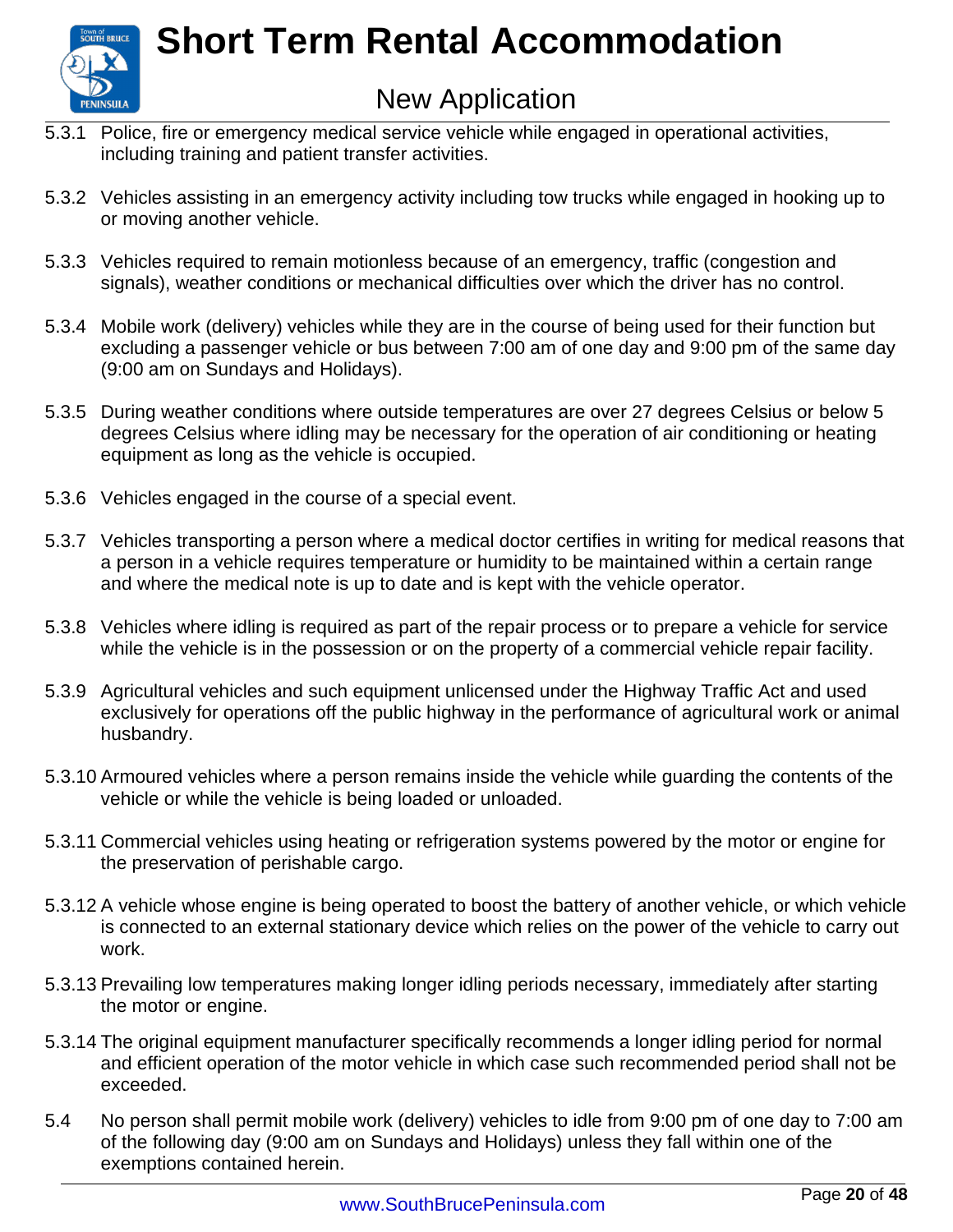

### New Application

- 5.3.1 Police, fire or emergency medical service vehicle while engaged in operational activities, including training and patient transfer activities.
- 5.3.2 Vehicles assisting in an emergency activity including tow trucks while engaged in hooking up to or moving another vehicle.
- 5.3.3 Vehicles required to remain motionless because of an emergency, traffic (congestion and signals), weather conditions or mechanical difficulties over which the driver has no control.
- 5.3.4 Mobile work (delivery) vehicles while they are in the course of being used for their function but excluding a passenger vehicle or bus between 7:00 am of one day and 9:00 pm of the same day (9:00 am on Sundays and Holidays).
- 5.3.5 During weather conditions where outside temperatures are over 27 degrees Celsius or below 5 degrees Celsius where idling may be necessary for the operation of air conditioning or heating equipment as long as the vehicle is occupied.
- 5.3.6 Vehicles engaged in the course of a special event.
- 5.3.7 Vehicles transporting a person where a medical doctor certifies in writing for medical reasons that a person in a vehicle requires temperature or humidity to be maintained within a certain range and where the medical note is up to date and is kept with the vehicle operator.
- 5.3.8 Vehicles where idling is required as part of the repair process or to prepare a vehicle for service while the vehicle is in the possession or on the property of a commercial vehicle repair facility.
- 5.3.9 Agricultural vehicles and such equipment unlicensed under the Highway Traffic Act and used exclusively for operations off the public highway in the performance of agricultural work or animal husbandry.
- 5.3.10 Armoured vehicles where a person remains inside the vehicle while guarding the contents of the vehicle or while the vehicle is being loaded or unloaded.
- 5.3.11 Commercial vehicles using heating or refrigeration systems powered by the motor or engine for the preservation of perishable cargo.
- 5.3.12 A vehicle whose engine is being operated to boost the battery of another vehicle, or which vehicle is connected to an external stationary device which relies on the power of the vehicle to carry out work.
- 5.3.13 Prevailing low temperatures making longer idling periods necessary, immediately after starting the motor or engine.
- 5.3.14 The original equipment manufacturer specifically recommends a longer idling period for normal and efficient operation of the motor vehicle in which case such recommended period shall not be exceeded.
- 5.4 No person shall permit mobile work (delivery) vehicles to idle from 9:00 pm of one day to 7:00 am of the following day (9:00 am on Sundays and Holidays) unless they fall within one of the exemptions contained herein.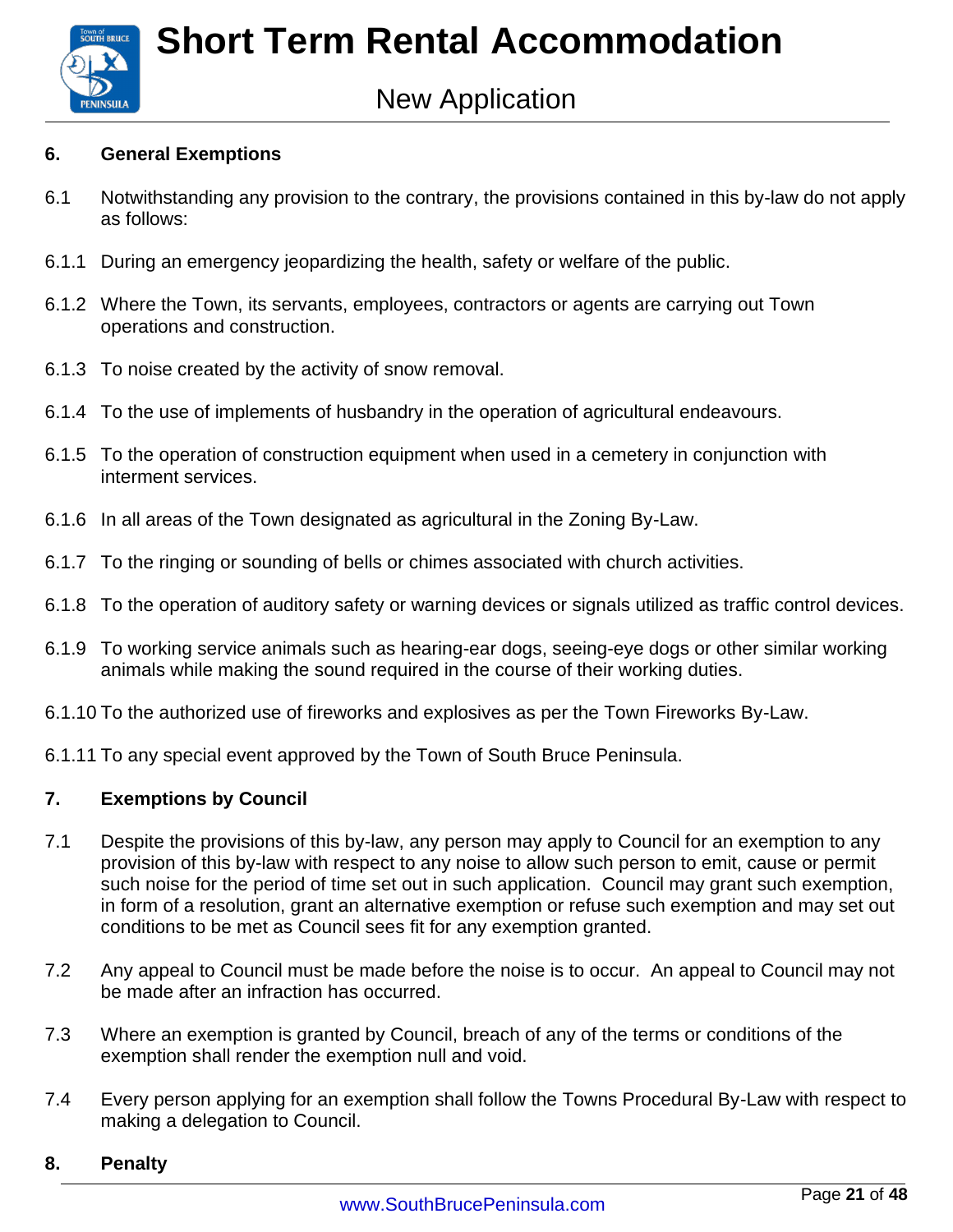

#### **6. General Exemptions**

- 6.1 Notwithstanding any provision to the contrary, the provisions contained in this by-law do not apply as follows:
- 6.1.1 During an emergency jeopardizing the health, safety or welfare of the public.
- 6.1.2 Where the Town, its servants, employees, contractors or agents are carrying out Town operations and construction.
- 6.1.3 To noise created by the activity of snow removal.
- 6.1.4 To the use of implements of husbandry in the operation of agricultural endeavours.
- 6.1.5 To the operation of construction equipment when used in a cemetery in conjunction with interment services.
- 6.1.6 In all areas of the Town designated as agricultural in the Zoning By-Law.
- 6.1.7 To the ringing or sounding of bells or chimes associated with church activities.
- 6.1.8 To the operation of auditory safety or warning devices or signals utilized as traffic control devices.
- 6.1.9 To working service animals such as hearing-ear dogs, seeing-eye dogs or other similar working animals while making the sound required in the course of their working duties.
- 6.1.10 To the authorized use of fireworks and explosives as per the Town Fireworks By-Law.
- 6.1.11 To any special event approved by the Town of South Bruce Peninsula.

#### **7. Exemptions by Council**

- 7.1 Despite the provisions of this by-law, any person may apply to Council for an exemption to any provision of this by-law with respect to any noise to allow such person to emit, cause or permit such noise for the period of time set out in such application. Council may grant such exemption, in form of a resolution, grant an alternative exemption or refuse such exemption and may set out conditions to be met as Council sees fit for any exemption granted.
- 7.2 Any appeal to Council must be made before the noise is to occur. An appeal to Council may not be made after an infraction has occurred.
- 7.3 Where an exemption is granted by Council, breach of any of the terms or conditions of the exemption shall render the exemption null and void.
- 7.4 Every person applying for an exemption shall follow the Towns Procedural By-Law with respect to making a delegation to Council.

#### **8. Penalty**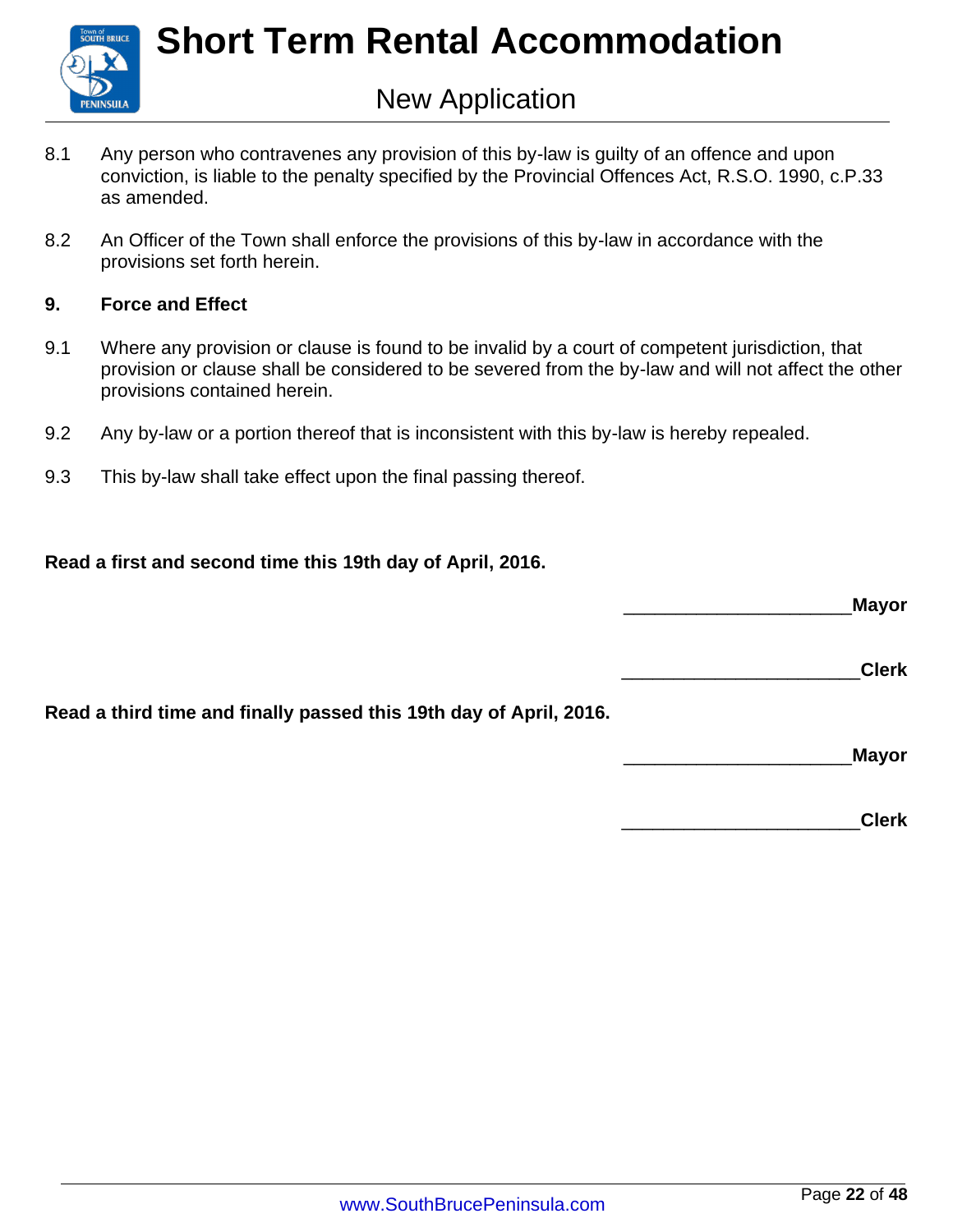

- 8.1 Any person who contravenes any provision of this by-law is guilty of an offence and upon conviction, is liable to the penalty specified by the Provincial Offences Act, R.S.O. 1990, c.P.33 as amended.
- 8.2 An Officer of the Town shall enforce the provisions of this by-law in accordance with the provisions set forth herein.

#### **9. Force and Effect**

- 9.1 Where any provision or clause is found to be invalid by a court of competent jurisdiction, that provision or clause shall be considered to be severed from the by-law and will not affect the other provisions contained herein.
- 9.2 Any by-law or a portion thereof that is inconsistent with this by-law is hereby repealed.
- 9.3 This by-law shall take effect upon the final passing thereof.

#### **Read a first and second time this 19th day of April, 2016.**

\_\_\_\_\_\_\_\_\_\_\_\_\_\_\_\_\_\_\_\_\_\_**Mayor**

\_\_\_\_\_\_\_\_\_\_\_\_\_\_\_\_\_\_\_\_\_\_\_**Clerk**

**Read a third time and finally passed this 19th day of April, 2016.**

\_\_\_\_\_\_\_\_\_\_\_\_\_\_\_\_\_\_\_\_\_\_**Mayor**

\_\_\_\_\_\_\_\_\_\_\_\_\_\_\_\_\_\_\_\_\_\_\_**Clerk**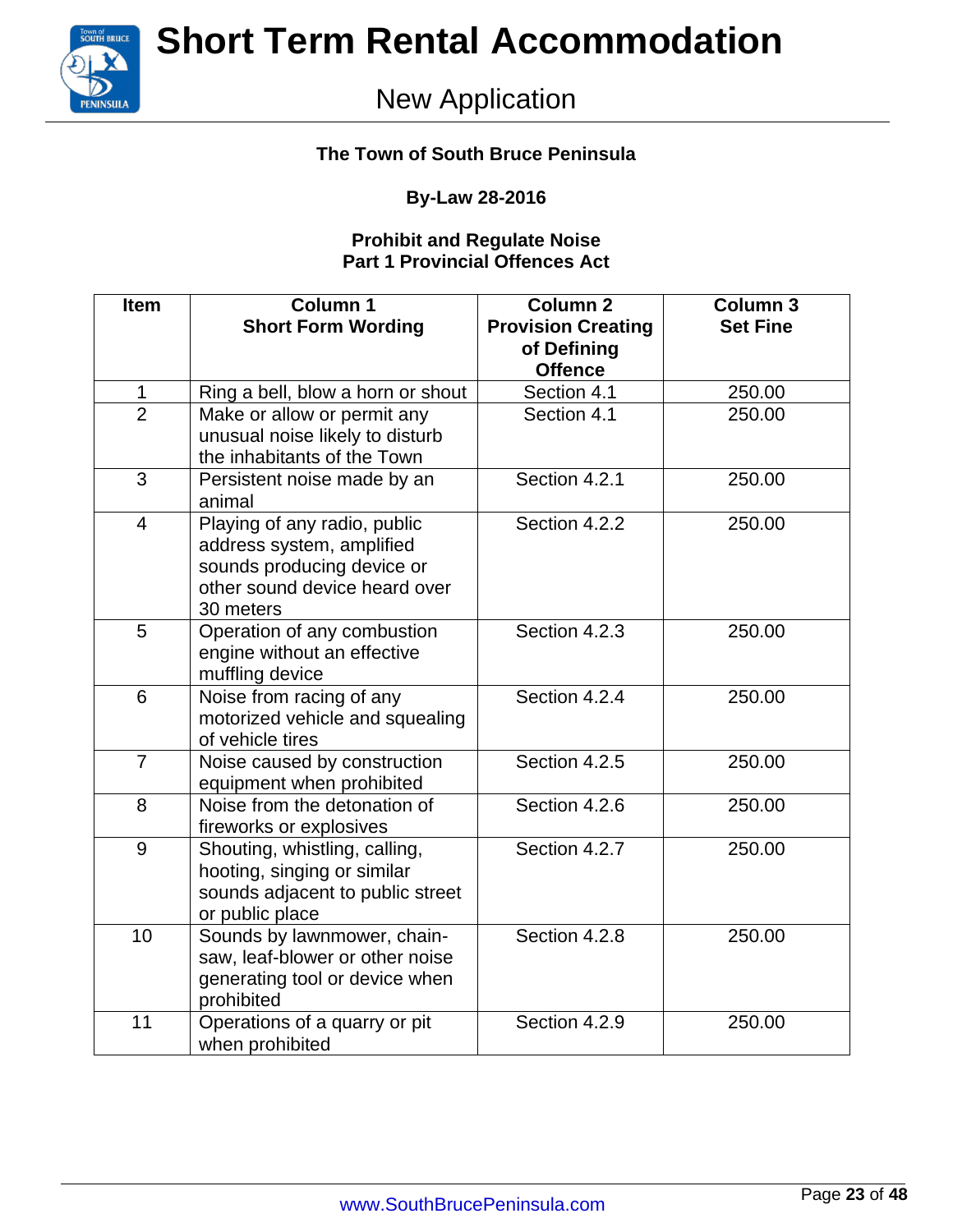

### New Application

#### **The Town of South Bruce Peninsula**

#### **By-Law 28-2016**

#### **Prohibit and Regulate Noise Part 1 Provincial Offences Act**

| <b>Item</b>    | <b>Column 1</b><br><b>Short Form Wording</b>                                                                                          | <b>Column 2</b><br><b>Provision Creating</b><br>of Defining<br><b>Offence</b> | <b>Column 3</b><br><b>Set Fine</b> |
|----------------|---------------------------------------------------------------------------------------------------------------------------------------|-------------------------------------------------------------------------------|------------------------------------|
| $\mathbf{1}$   | Ring a bell, blow a horn or shout                                                                                                     | Section 4.1                                                                   | 250.00                             |
| $\overline{2}$ | Make or allow or permit any<br>unusual noise likely to disturb<br>the inhabitants of the Town                                         | Section 4.1                                                                   | 250.00                             |
| 3              | Persistent noise made by an<br>animal                                                                                                 | Section 4.2.1                                                                 | 250.00                             |
| $\overline{4}$ | Playing of any radio, public<br>address system, amplified<br>sounds producing device or<br>other sound device heard over<br>30 meters | Section 4.2.2                                                                 | 250.00                             |
| 5              | Operation of any combustion<br>engine without an effective<br>muffling device                                                         | Section 4.2.3                                                                 | 250.00                             |
| 6              | Noise from racing of any<br>motorized vehicle and squealing<br>of vehicle tires                                                       | Section 4.2.4                                                                 | 250.00                             |
| $\overline{7}$ | Noise caused by construction<br>equipment when prohibited                                                                             | Section 4.2.5                                                                 | 250.00                             |
| 8              | Noise from the detonation of<br>fireworks or explosives                                                                               | Section 4.2.6                                                                 | 250.00                             |
| 9              | Shouting, whistling, calling,<br>hooting, singing or similar<br>sounds adjacent to public street<br>or public place                   | Section 4.2.7                                                                 | 250.00                             |
| 10             | Sounds by lawnmower, chain-<br>saw, leaf-blower or other noise<br>generating tool or device when<br>prohibited                        | Section 4.2.8                                                                 | 250.00                             |
| 11             | Operations of a quarry or pit<br>when prohibited                                                                                      | Section 4.2.9                                                                 | 250.00                             |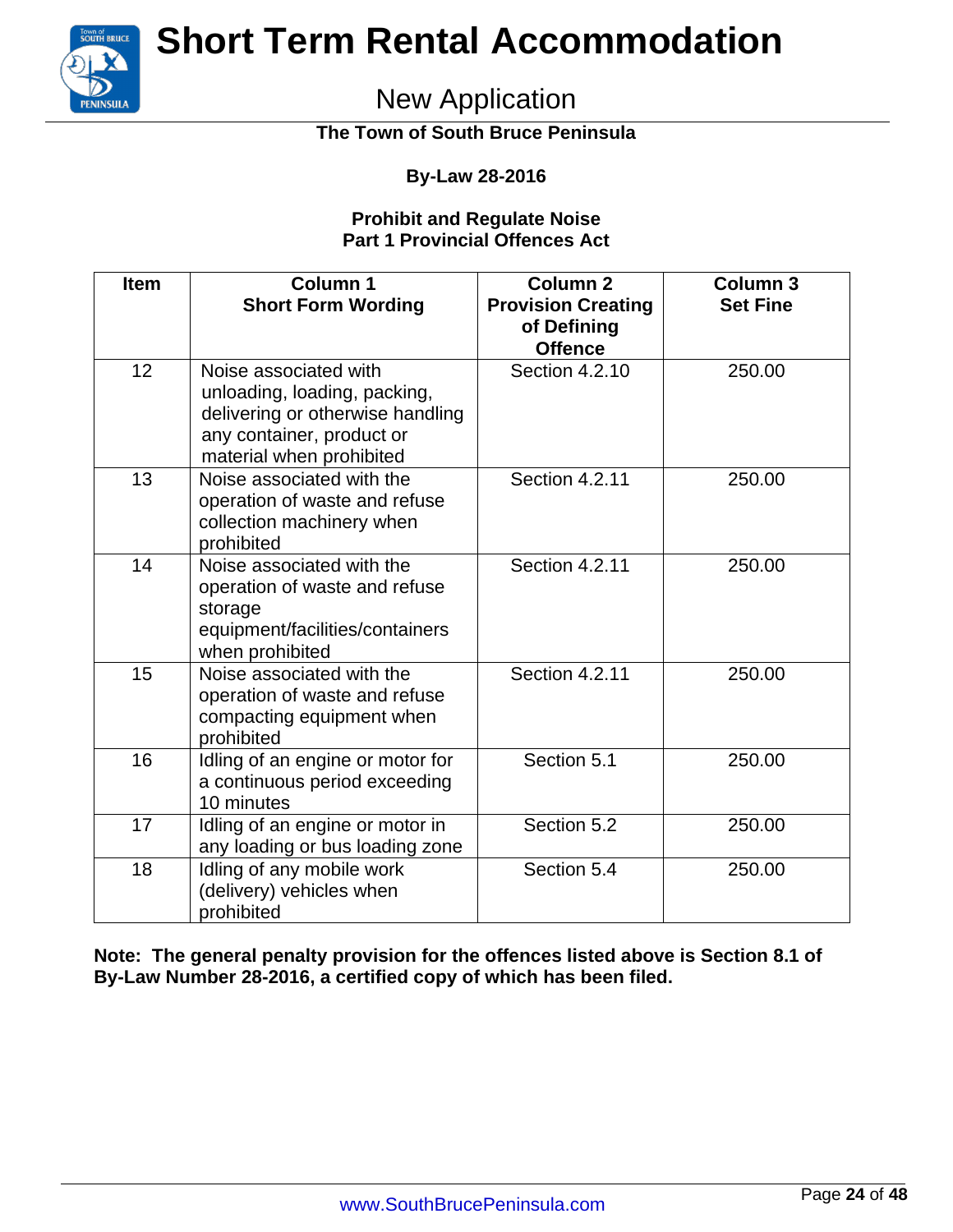

### New Application

**The Town of South Bruce Peninsula**

#### **By-Law 28-2016**

#### **Prohibit and Regulate Noise Part 1 Provincial Offences Act**

| <b>Item</b> | <b>Column 1</b><br><b>Short Form Wording</b>                                                                                                       | <b>Column 2</b><br><b>Provision Creating</b><br>of Defining<br><b>Offence</b> | <b>Column 3</b><br><b>Set Fine</b> |
|-------------|----------------------------------------------------------------------------------------------------------------------------------------------------|-------------------------------------------------------------------------------|------------------------------------|
| 12          | Noise associated with<br>unloading, loading, packing,<br>delivering or otherwise handling<br>any container, product or<br>material when prohibited | Section 4.2.10                                                                | 250.00                             |
| 13          | Noise associated with the<br>operation of waste and refuse<br>collection machinery when<br>prohibited                                              | Section 4.2.11                                                                | 250.00                             |
| 14          | Noise associated with the<br>operation of waste and refuse<br>storage<br>equipment/facilities/containers<br>when prohibited                        | <b>Section 4.2.11</b>                                                         | 250.00                             |
| 15          | Noise associated with the<br>operation of waste and refuse<br>compacting equipment when<br>prohibited                                              | Section 4.2.11                                                                | 250.00                             |
| 16          | Idling of an engine or motor for<br>a continuous period exceeding<br>10 minutes                                                                    | Section 5.1                                                                   | 250.00                             |
| 17          | Idling of an engine or motor in<br>any loading or bus loading zone                                                                                 | Section 5.2                                                                   | 250.00                             |
| 18          | Idling of any mobile work<br>(delivery) vehicles when<br>prohibited                                                                                | Section 5.4                                                                   | 250.00                             |

**Note: The general penalty provision for the offences listed above is Section 8.1 of By-Law Number 28-2016, a certified copy of which has been filed.**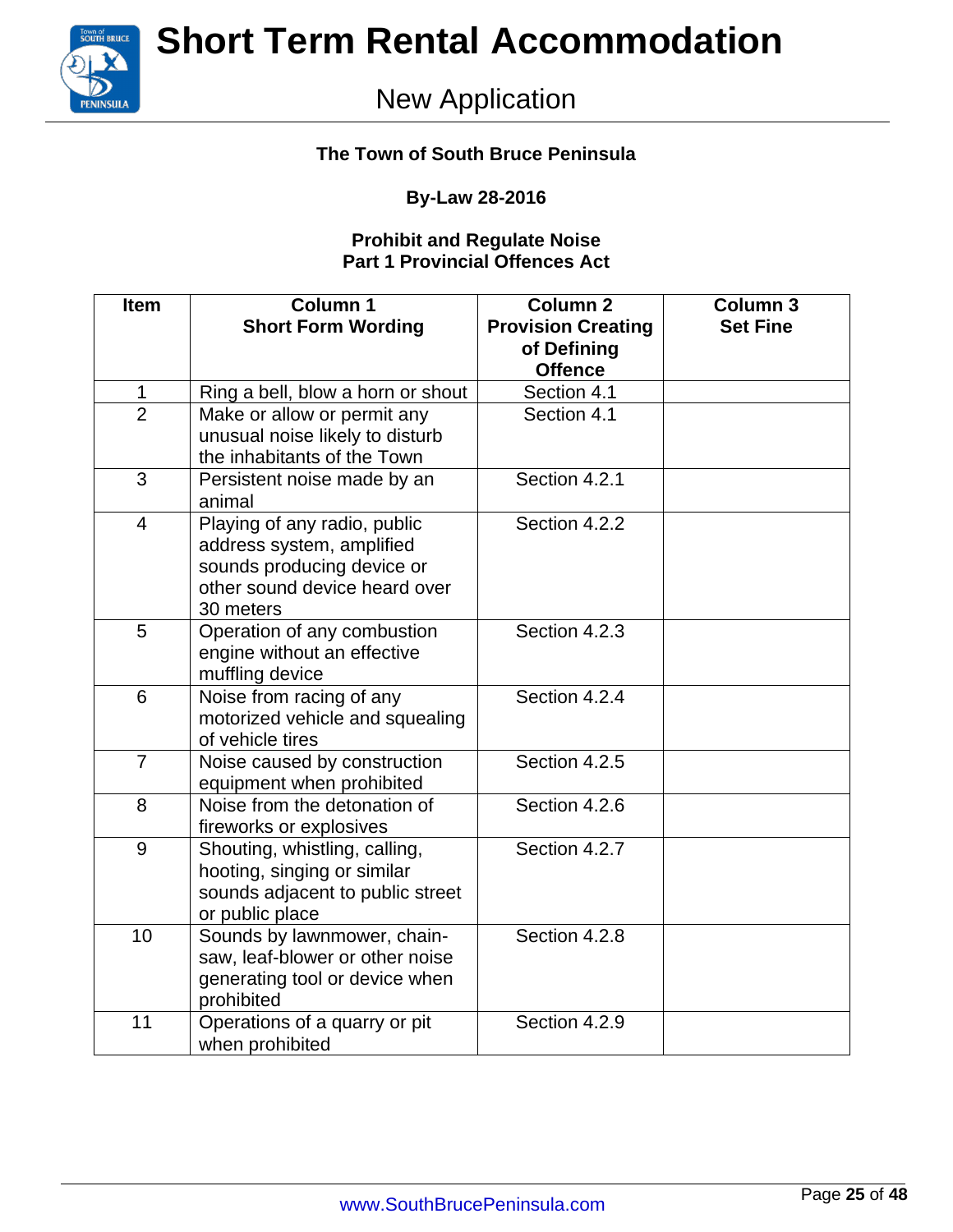

### New Application

#### **The Town of South Bruce Peninsula**

#### **By-Law 28-2016**

#### **Prohibit and Regulate Noise Part 1 Provincial Offences Act**

| <b>Item</b>    | <b>Column 1</b><br><b>Short Form Wording</b>                                                                                          | <b>Column 2</b><br><b>Provision Creating</b><br>of Defining<br><b>Offence</b> | <b>Column 3</b><br><b>Set Fine</b> |
|----------------|---------------------------------------------------------------------------------------------------------------------------------------|-------------------------------------------------------------------------------|------------------------------------|
| $\mathbf{1}$   | Ring a bell, blow a horn or shout                                                                                                     | Section 4.1                                                                   |                                    |
| $\overline{2}$ | Make or allow or permit any<br>unusual noise likely to disturb<br>the inhabitants of the Town                                         | Section 4.1                                                                   |                                    |
| 3              | Persistent noise made by an<br>animal                                                                                                 | Section 4.2.1                                                                 |                                    |
| $\overline{4}$ | Playing of any radio, public<br>address system, amplified<br>sounds producing device or<br>other sound device heard over<br>30 meters | Section 4.2.2                                                                 |                                    |
| 5              | Operation of any combustion<br>engine without an effective<br>muffling device                                                         | Section 4.2.3                                                                 |                                    |
| 6              | Noise from racing of any<br>motorized vehicle and squealing<br>of vehicle tires                                                       | Section 4.2.4                                                                 |                                    |
| $\overline{7}$ | Noise caused by construction<br>equipment when prohibited                                                                             | Section 4.2.5                                                                 |                                    |
| 8              | Noise from the detonation of<br>fireworks or explosives                                                                               | Section 4.2.6                                                                 |                                    |
| 9              | Shouting, whistling, calling,<br>hooting, singing or similar<br>sounds adjacent to public street<br>or public place                   | Section 4.2.7                                                                 |                                    |
| 10             | Sounds by lawnmower, chain-<br>saw, leaf-blower or other noise<br>generating tool or device when<br>prohibited                        | Section 4.2.8                                                                 |                                    |
| 11             | Operations of a quarry or pit<br>when prohibited                                                                                      | Section 4.2.9                                                                 |                                    |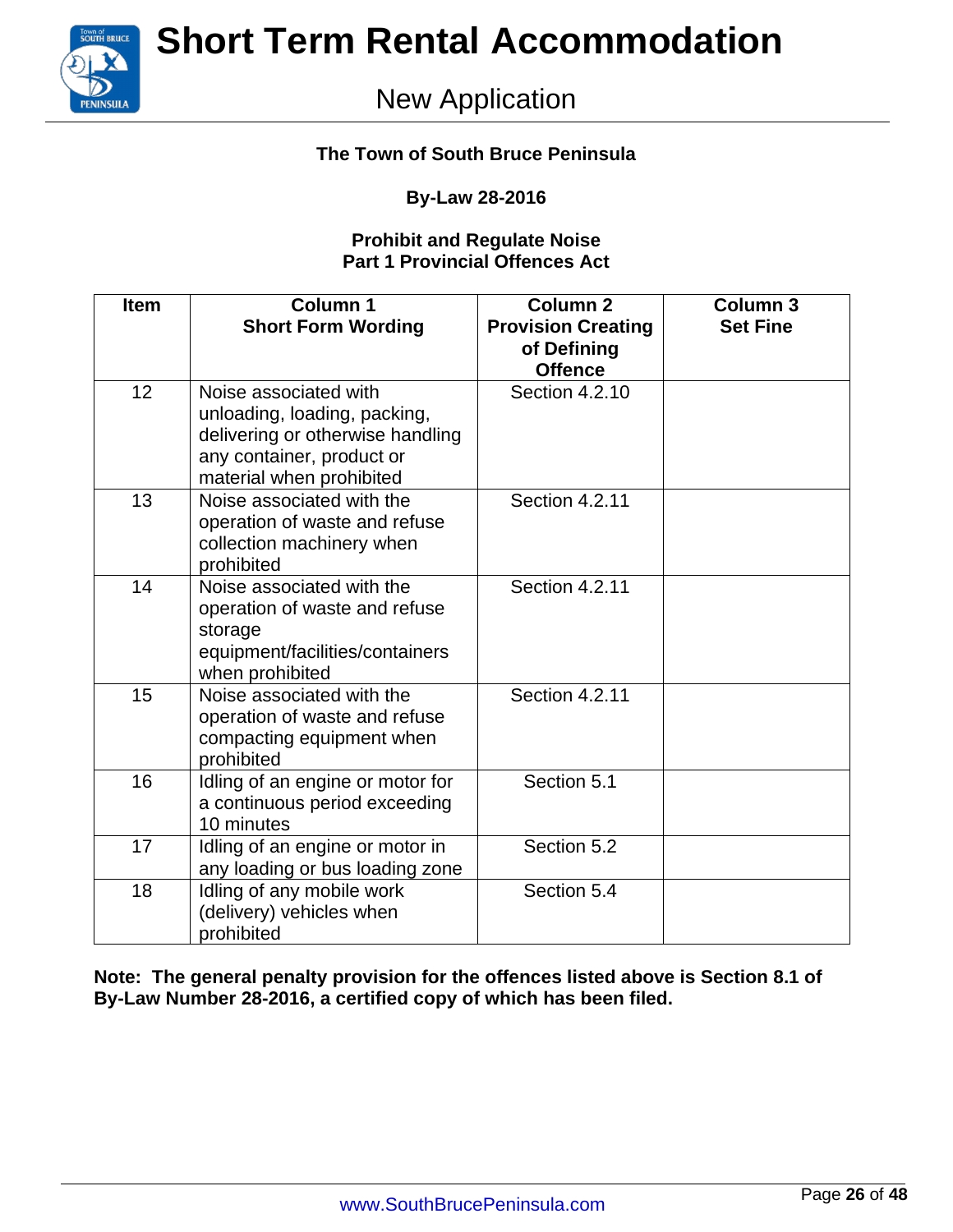

### New Application

#### **The Town of South Bruce Peninsula**

#### **By-Law 28-2016**

#### **Prohibit and Regulate Noise Part 1 Provincial Offences Act**

| <b>Item</b> | <b>Column 1</b><br><b>Short Form Wording</b>                                                                                                       | <b>Column 2</b><br><b>Provision Creating</b><br>of Defining<br><b>Offence</b> | <b>Column 3</b><br><b>Set Fine</b> |
|-------------|----------------------------------------------------------------------------------------------------------------------------------------------------|-------------------------------------------------------------------------------|------------------------------------|
| 12          | Noise associated with<br>unloading, loading, packing,<br>delivering or otherwise handling<br>any container, product or<br>material when prohibited | Section 4.2.10                                                                |                                    |
| 13          | Noise associated with the<br>operation of waste and refuse<br>collection machinery when<br>prohibited                                              | Section 4.2.11                                                                |                                    |
| 14          | Noise associated with the<br>operation of waste and refuse<br>storage<br>equipment/facilities/containers<br>when prohibited                        | Section 4.2.11                                                                |                                    |
| 15          | Noise associated with the<br>operation of waste and refuse<br>compacting equipment when<br>prohibited                                              | Section 4.2.11                                                                |                                    |
| 16          | Idling of an engine or motor for<br>a continuous period exceeding<br>10 minutes                                                                    | Section 5.1                                                                   |                                    |
| 17          | Idling of an engine or motor in<br>any loading or bus loading zone                                                                                 | Section 5.2                                                                   |                                    |
| 18          | Idling of any mobile work<br>(delivery) vehicles when<br>prohibited                                                                                | Section 5.4                                                                   |                                    |

**Note: The general penalty provision for the offences listed above is Section 8.1 of By-Law Number 28-2016, a certified copy of which has been filed.**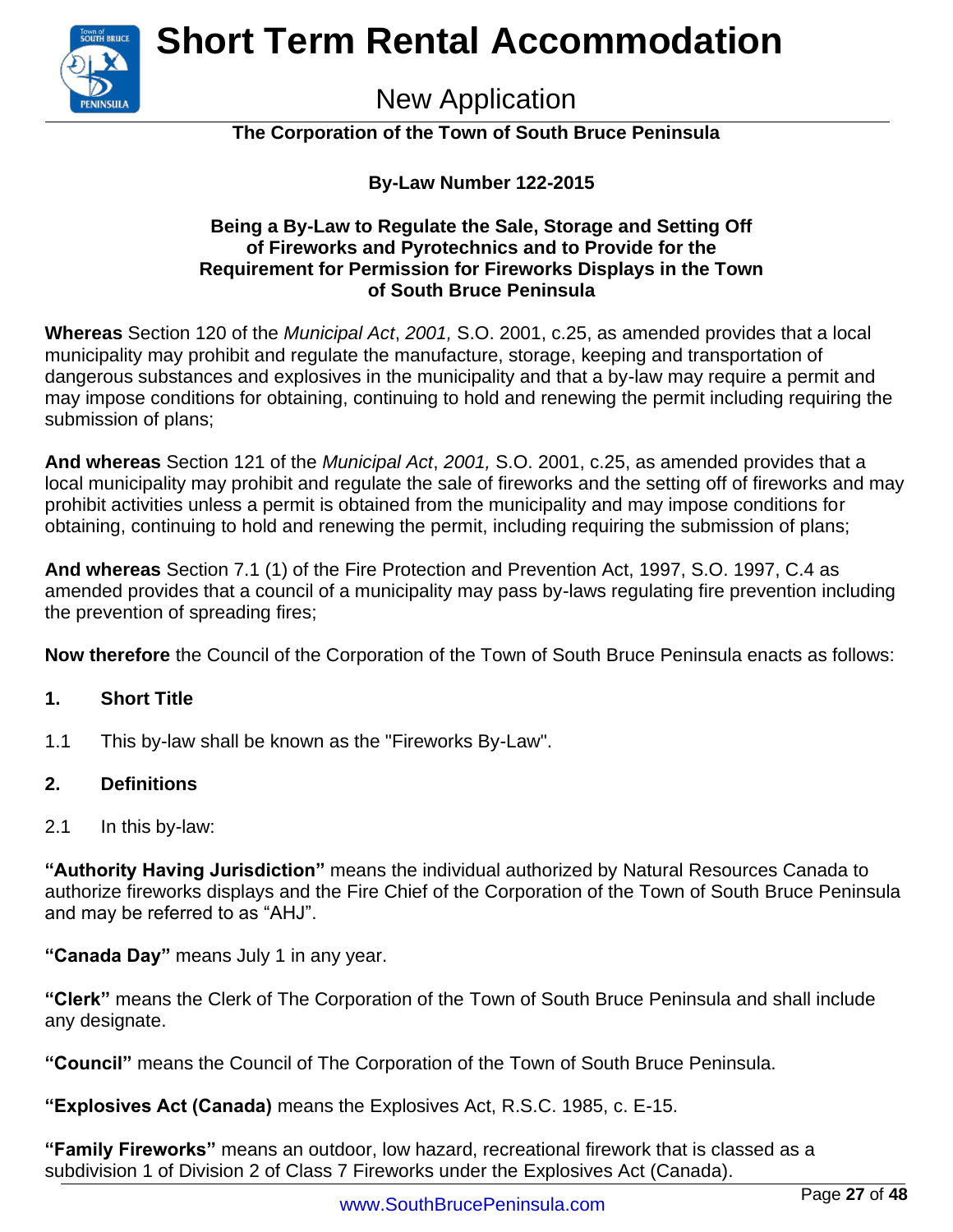

New Application

#### **The Corporation of the Town of South Bruce Peninsula**

#### **By-Law Number 122-2015**

#### **Being a By-Law to Regulate the Sale, Storage and Setting Off of Fireworks and Pyrotechnics and to Provide for the Requirement for Permission for Fireworks Displays in the Town of South Bruce Peninsula**

**Whereas** Section 120 of the *Municipal Act*, *2001,* S.O. 2001, c.25, as amended provides that a local municipality may prohibit and regulate the manufacture, storage, keeping and transportation of dangerous substances and explosives in the municipality and that a by-law may require a permit and may impose conditions for obtaining, continuing to hold and renewing the permit including requiring the submission of plans;

**And whereas** Section 121 of the *Municipal Act*, *2001,* S.O. 2001, c.25, as amended provides that a local municipality may prohibit and regulate the sale of fireworks and the setting off of fireworks and may prohibit activities unless a permit is obtained from the municipality and may impose conditions for obtaining, continuing to hold and renewing the permit, including requiring the submission of plans;

**And whereas** Section 7.1 (1) of the Fire Protection and Prevention Act, 1997, S.O. 1997, C.4 as amended provides that a council of a municipality may pass by-laws regulating fire prevention including the prevention of spreading fires;

**Now therefore** the Council of the Corporation of the Town of South Bruce Peninsula enacts as follows:

#### **1. Short Title**

1.1 This by-law shall be known as the "Fireworks By-Law".

#### **2. Definitions**

2.1 In this by-law:

**"Authority Having Jurisdiction"** means the individual authorized by Natural Resources Canada to authorize fireworks displays and the Fire Chief of the Corporation of the Town of South Bruce Peninsula and may be referred to as "AHJ".

**"Canada Day"** means July 1 in any year.

**"Clerk"** means the Clerk of The Corporation of the Town of South Bruce Peninsula and shall include any designate.

**"Council"** means the Council of The Corporation of the Town of South Bruce Peninsula.

**"Explosives Act (Canada)** means the Explosives Act, R.S.C. 1985, c. E-15.

**"Family Fireworks"** means an outdoor, low hazard, recreational firework that is classed as a subdivision 1 of Division 2 of Class 7 Fireworks under the Explosives Act (Canada).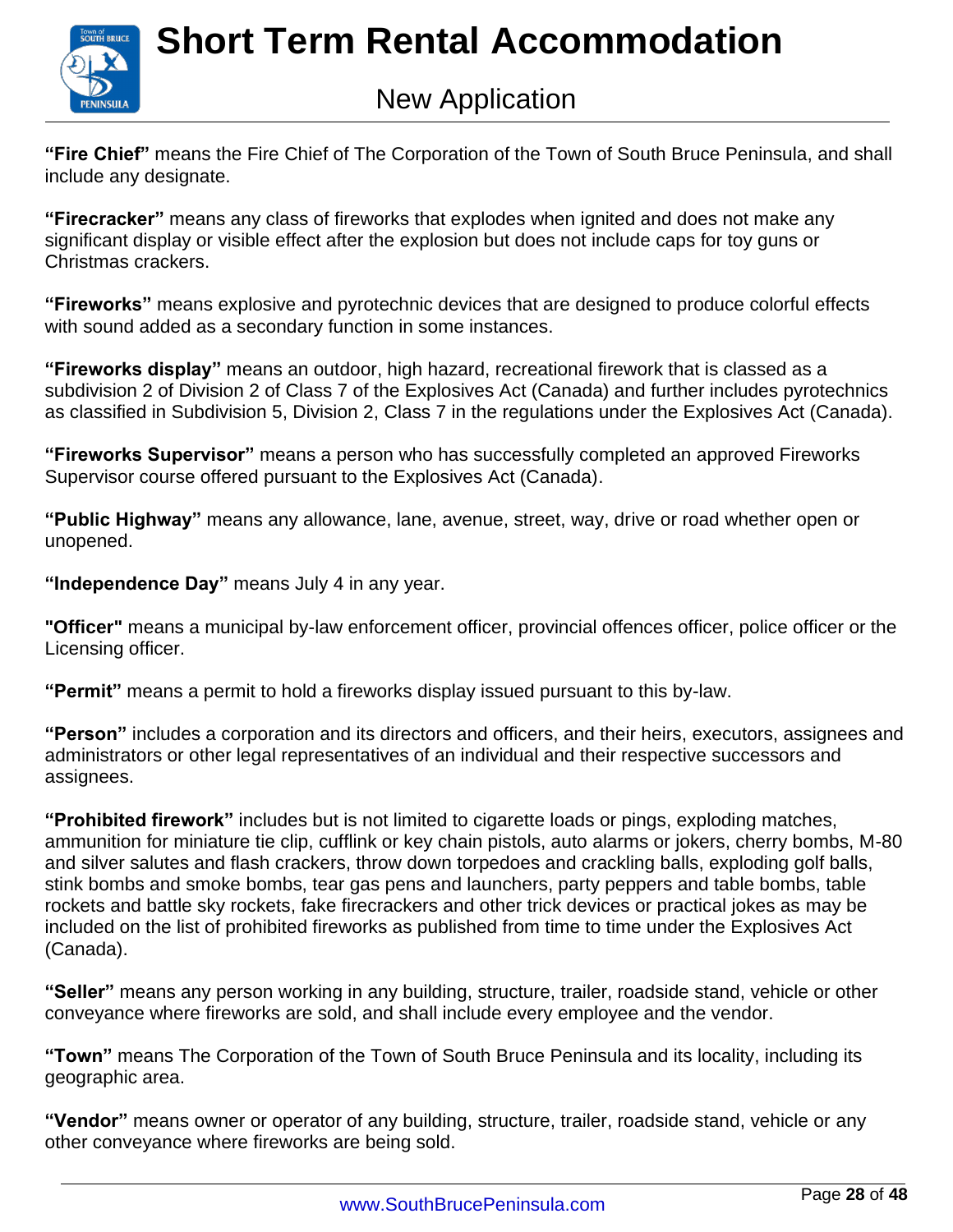

### New Application

**"Fire Chief"** means the Fire Chief of The Corporation of the Town of South Bruce Peninsula, and shall include any designate.

**"Firecracker"** means any class of fireworks that explodes when ignited and does not make any significant display or visible effect after the explosion but does not include caps for toy guns or Christmas crackers.

**"Fireworks"** means explosive and pyrotechnic devices that are designed to produce colorful effects with sound added as a secondary function in some instances.

**"Fireworks display"** means an outdoor, high hazard, recreational firework that is classed as a subdivision 2 of Division 2 of Class 7 of the Explosives Act (Canada) and further includes pyrotechnics as classified in Subdivision 5, Division 2, Class 7 in the regulations under the Explosives Act (Canada).

**"Fireworks Supervisor"** means a person who has successfully completed an approved Fireworks Supervisor course offered pursuant to the Explosives Act (Canada).

**"Public Highway"** means any allowance, lane, avenue, street, way, drive or road whether open or unopened.

**"Independence Day"** means July 4 in any year.

**"Officer"** means a municipal by-law enforcement officer, provincial offences officer, police officer or the Licensing officer.

**"Permit"** means a permit to hold a fireworks display issued pursuant to this by-law.

**"Person"** includes a corporation and its directors and officers, and their heirs, executors, assignees and administrators or other legal representatives of an individual and their respective successors and assignees.

**"Prohibited firework"** includes but is not limited to cigarette loads or pings, exploding matches, ammunition for miniature tie clip, cufflink or key chain pistols, auto alarms or jokers, cherry bombs, M-80 and silver salutes and flash crackers, throw down torpedoes and crackling balls, exploding golf balls, stink bombs and smoke bombs, tear gas pens and launchers, party peppers and table bombs, table rockets and battle sky rockets, fake firecrackers and other trick devices or practical jokes as may be included on the list of prohibited fireworks as published from time to time under the Explosives Act (Canada).

**"Seller"** means any person working in any building, structure, trailer, roadside stand, vehicle or other conveyance where fireworks are sold, and shall include every employee and the vendor.

**"Town"** means The Corporation of the Town of South Bruce Peninsula and its locality, including its geographic area.

**"Vendor"** means owner or operator of any building, structure, trailer, roadside stand, vehicle or any other conveyance where fireworks are being sold.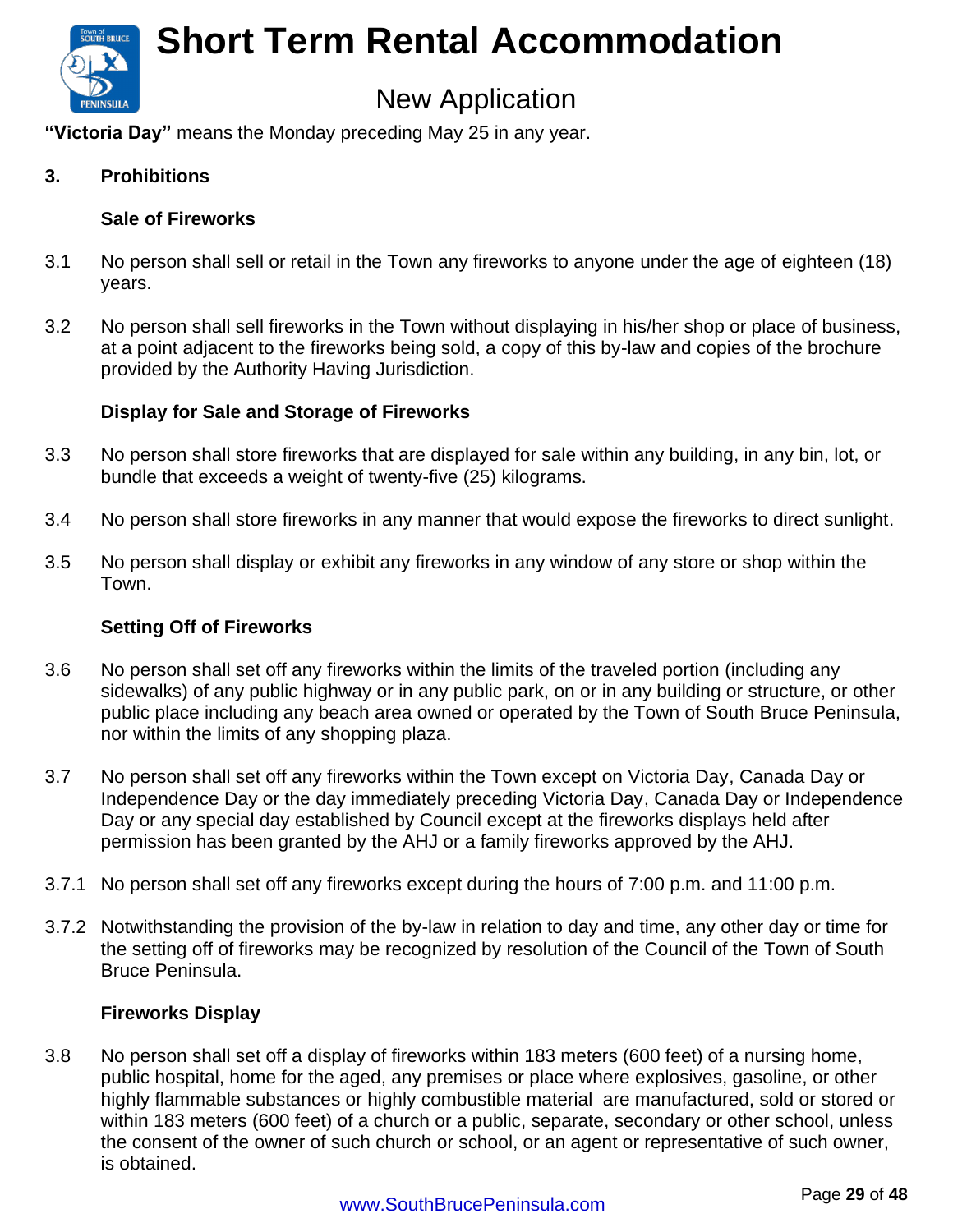

### New Application

**"Victoria Day"** means the Monday preceding May 25 in any year.

#### **3. Prohibitions**

#### **Sale of Fireworks**

- 3.1 No person shall sell or retail in the Town any fireworks to anyone under the age of eighteen (18) years.
- 3.2 No person shall sell fireworks in the Town without displaying in his/her shop or place of business, at a point adjacent to the fireworks being sold, a copy of this by-law and copies of the brochure provided by the Authority Having Jurisdiction.

#### **Display for Sale and Storage of Fireworks**

- 3.3 No person shall store fireworks that are displayed for sale within any building, in any bin, lot, or bundle that exceeds a weight of twenty-five (25) kilograms.
- 3.4 No person shall store fireworks in any manner that would expose the fireworks to direct sunlight.
- 3.5 No person shall display or exhibit any fireworks in any window of any store or shop within the Town.

#### **Setting Off of Fireworks**

- 3.6 No person shall set off any fireworks within the limits of the traveled portion (including any sidewalks) of any public highway or in any public park, on or in any building or structure, or other public place including any beach area owned or operated by the Town of South Bruce Peninsula, nor within the limits of any shopping plaza.
- 3.7 No person shall set off any fireworks within the Town except on Victoria Day, Canada Day or Independence Day or the day immediately preceding Victoria Day, Canada Day or Independence Day or any special day established by Council except at the fireworks displays held after permission has been granted by the AHJ or a family fireworks approved by the AHJ.
- 3.7.1 No person shall set off any fireworks except during the hours of 7:00 p.m. and 11:00 p.m.
- 3.7.2 Notwithstanding the provision of the by-law in relation to day and time, any other day or time for the setting off of fireworks may be recognized by resolution of the Council of the Town of South Bruce Peninsula.

#### **Fireworks Display**

3.8 No person shall set off a display of fireworks within 183 meters (600 feet) of a nursing home, public hospital, home for the aged, any premises or place where explosives, gasoline, or other highly flammable substances or highly combustible material are manufactured, sold or stored or within 183 meters (600 feet) of a church or a public, separate, secondary or other school, unless the consent of the owner of such church or school, or an agent or representative of such owner, is obtained.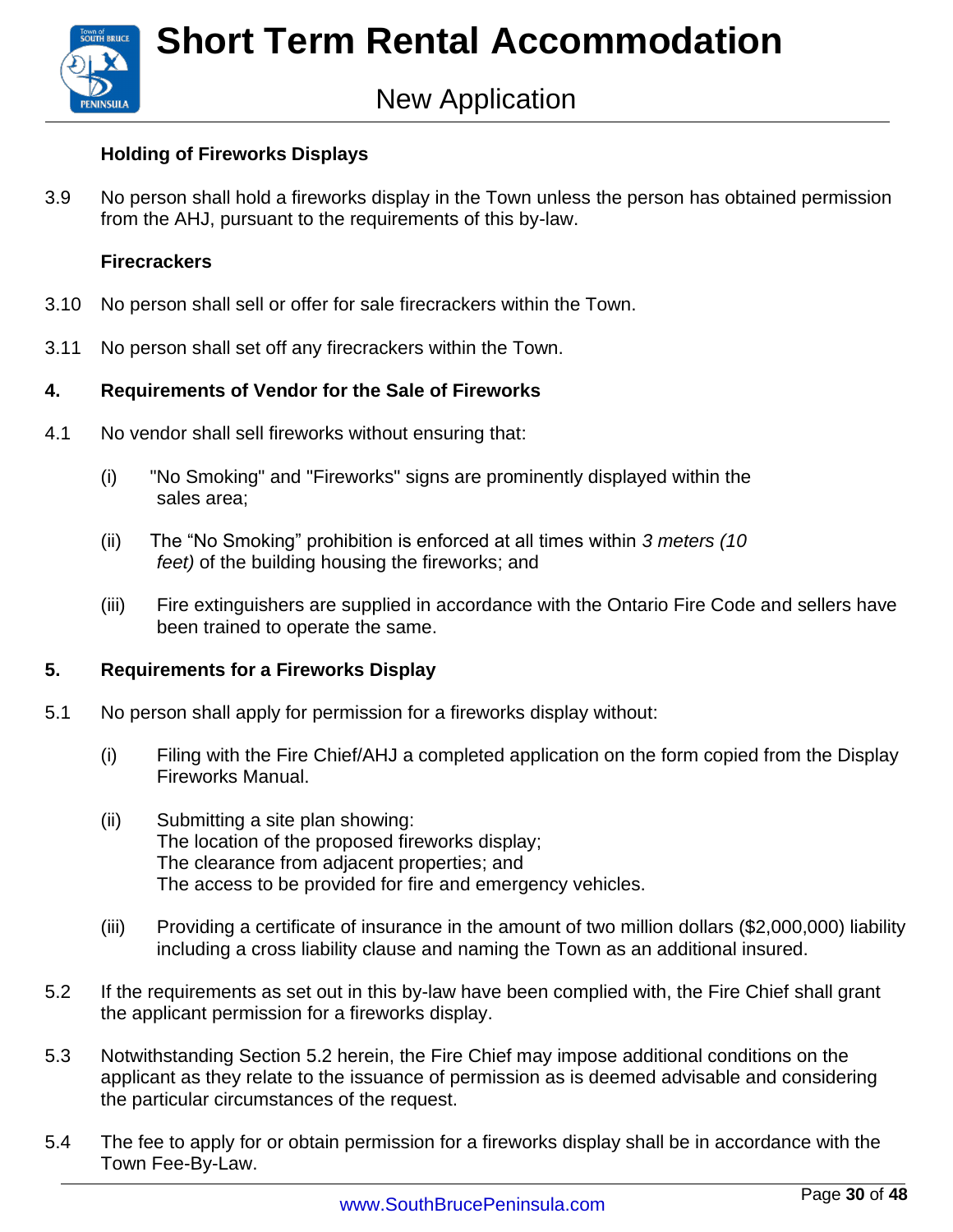### New Application

#### **Holding of Fireworks Displays**

3.9 No person shall hold a fireworks display in the Town unless the person has obtained permission from the AHJ, pursuant to the requirements of this by-law.

#### **Firecrackers**

- 3.10 No person shall sell or offer for sale firecrackers within the Town.
- 3.11 No person shall set off any firecrackers within the Town.

#### **4. Requirements of Vendor for the Sale of Fireworks**

- 4.1 No vendor shall sell fireworks without ensuring that:
	- (i) "No Smoking" and "Fireworks" signs are prominently displayed within the sales area;
	- (ii) The "No Smoking" prohibition is enforced at all times within *3 meters (10 feet)* of the building housing the fireworks; and
	- (iii) Fire extinguishers are supplied in accordance with the Ontario Fire Code and sellers have been trained to operate the same.

#### **5. Requirements for a Fireworks Display**

- 5.1 No person shall apply for permission for a fireworks display without:
	- (i) Filing with the Fire Chief/AHJ a completed application on the form copied from the Display Fireworks Manual.
	- (ii) Submitting a site plan showing: The location of the proposed fireworks display; The clearance from adjacent properties; and The access to be provided for fire and emergency vehicles.
	- (iii) Providing a certificate of insurance in the amount of two million dollars (\$2,000,000) liability including a cross liability clause and naming the Town as an additional insured.
- 5.2 If the requirements as set out in this by-law have been complied with, the Fire Chief shall grant the applicant permission for a fireworks display.
- 5.3 Notwithstanding Section 5.2 herein, the Fire Chief may impose additional conditions on the applicant as they relate to the issuance of permission as is deemed advisable and considering the particular circumstances of the request.
- 5.4 The fee to apply for or obtain permission for a fireworks display shall be in accordance with the Town Fee-By-Law.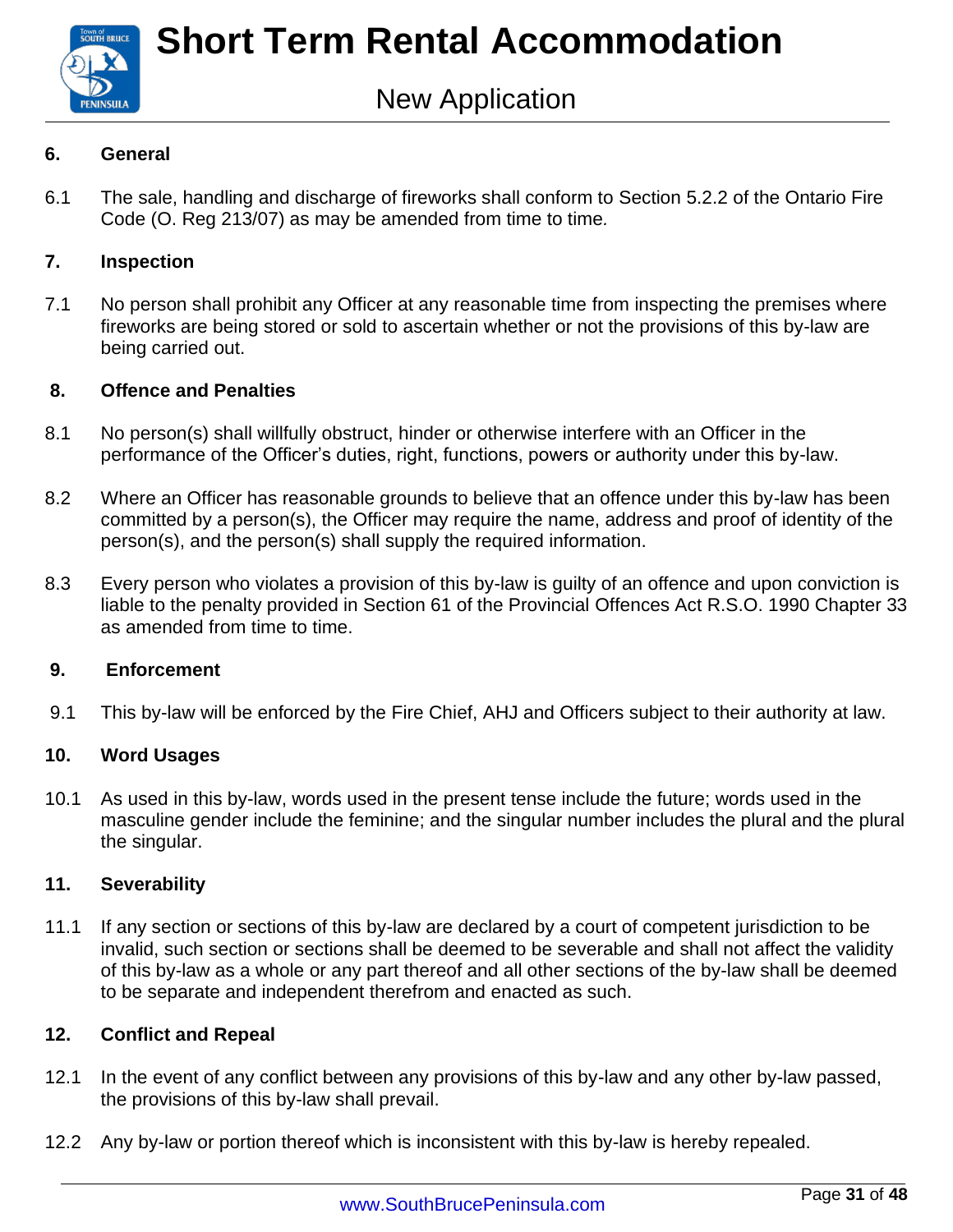

#### **6. General**

6.1 The sale, handling and discharge of fireworks shall conform to Section 5.2.2 of the Ontario Fire Code (O. Reg 213/07) as may be amended from time to time*.*

#### **7. Inspection**

7.1 No person shall prohibit any Officer at any reasonable time from inspecting the premises where fireworks are being stored or sold to ascertain whether or not the provisions of this by-law are being carried out.

#### **8. Offence and Penalties**

- 8.1 No person(s) shall willfully obstruct, hinder or otherwise interfere with an Officer in the performance of the Officer's duties, right, functions, powers or authority under this by-law.
- 8.2 Where an Officer has reasonable grounds to believe that an offence under this by-law has been committed by a person(s), the Officer may require the name, address and proof of identity of the person(s), and the person(s) shall supply the required information.
- 8.3 Every person who violates a provision of this by-law is guilty of an offence and upon conviction is liable to the penalty provided in Section 61 of the Provincial Offences Act R.S.O. 1990 Chapter 33 as amended from time to time.

#### **9. Enforcement**

9.1 This by-law will be enforced by the Fire Chief, AHJ and Officers subject to their authority at law.

#### **10. Word Usages**

10.1 As used in this by-law, words used in the present tense include the future; words used in the masculine gender include the feminine; and the singular number includes the plural and the plural the singular.

#### **11. Severability**

11.1 If any section or sections of this by-law are declared by a court of competent jurisdiction to be invalid, such section or sections shall be deemed to be severable and shall not affect the validity of this by-law as a whole or any part thereof and all other sections of the by-law shall be deemed to be separate and independent therefrom and enacted as such.

#### **12. Conflict and Repeal**

- 12.1 In the event of any conflict between any provisions of this by-law and any other by-law passed, the provisions of this by-law shall prevail.
- 12.2 Any by-law or portion thereof which is inconsistent with this by-law is hereby repealed.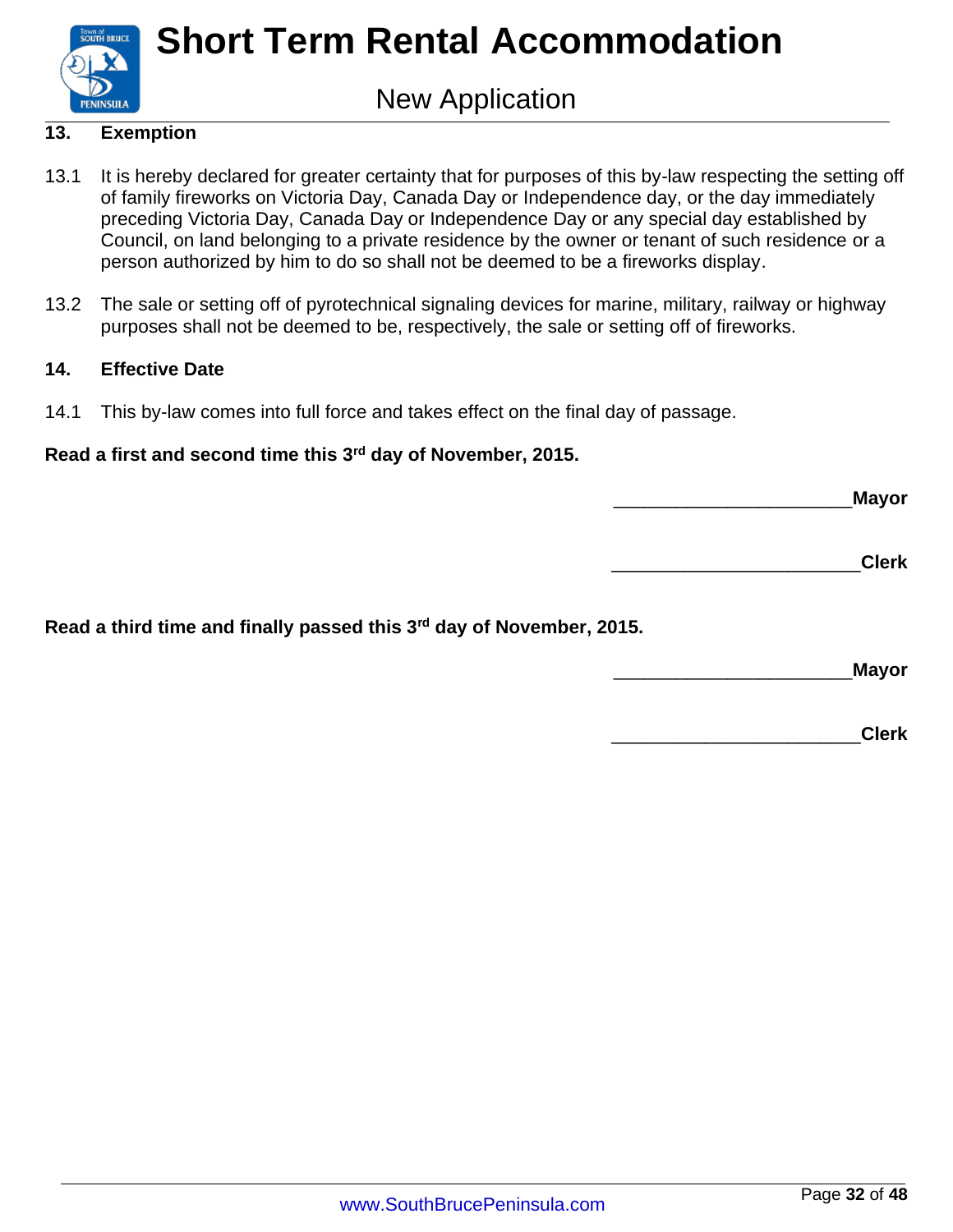

### New Application

#### **13. Exemption**

- 13.1 It is hereby declared for greater certainty that for purposes of this by-law respecting the setting off of family fireworks on Victoria Day, Canada Day or Independence day, or the day immediately preceding Victoria Day, Canada Day or Independence Day or any special day established by Council, on land belonging to a private residence by the owner or tenant of such residence or a person authorized by him to do so shall not be deemed to be a fireworks display.
- 13.2 The sale or setting off of pyrotechnical signaling devices for marine, military, railway or highway purposes shall not be deemed to be, respectively, the sale or setting off of fireworks.

#### **14. Effective Date**

14.1 This by-law comes into full force and takes effect on the final day of passage.

#### **Read a first and second time this 3rd day of November, 2015.**

\_\_\_\_\_\_\_\_\_\_\_\_\_\_\_\_\_\_\_\_\_\_\_**Mayor**

\_\_\_\_\_\_\_\_\_\_\_\_\_\_\_\_\_\_\_\_\_\_\_\_**Clerk**

**Read a third time and finally passed this 3rd day of November, 2015.**

\_\_\_\_\_\_\_\_\_\_\_\_\_\_\_\_\_\_\_\_\_\_\_**Mayor**

\_\_\_\_\_\_\_\_\_\_\_\_\_\_\_\_\_\_\_\_\_\_\_\_**Clerk**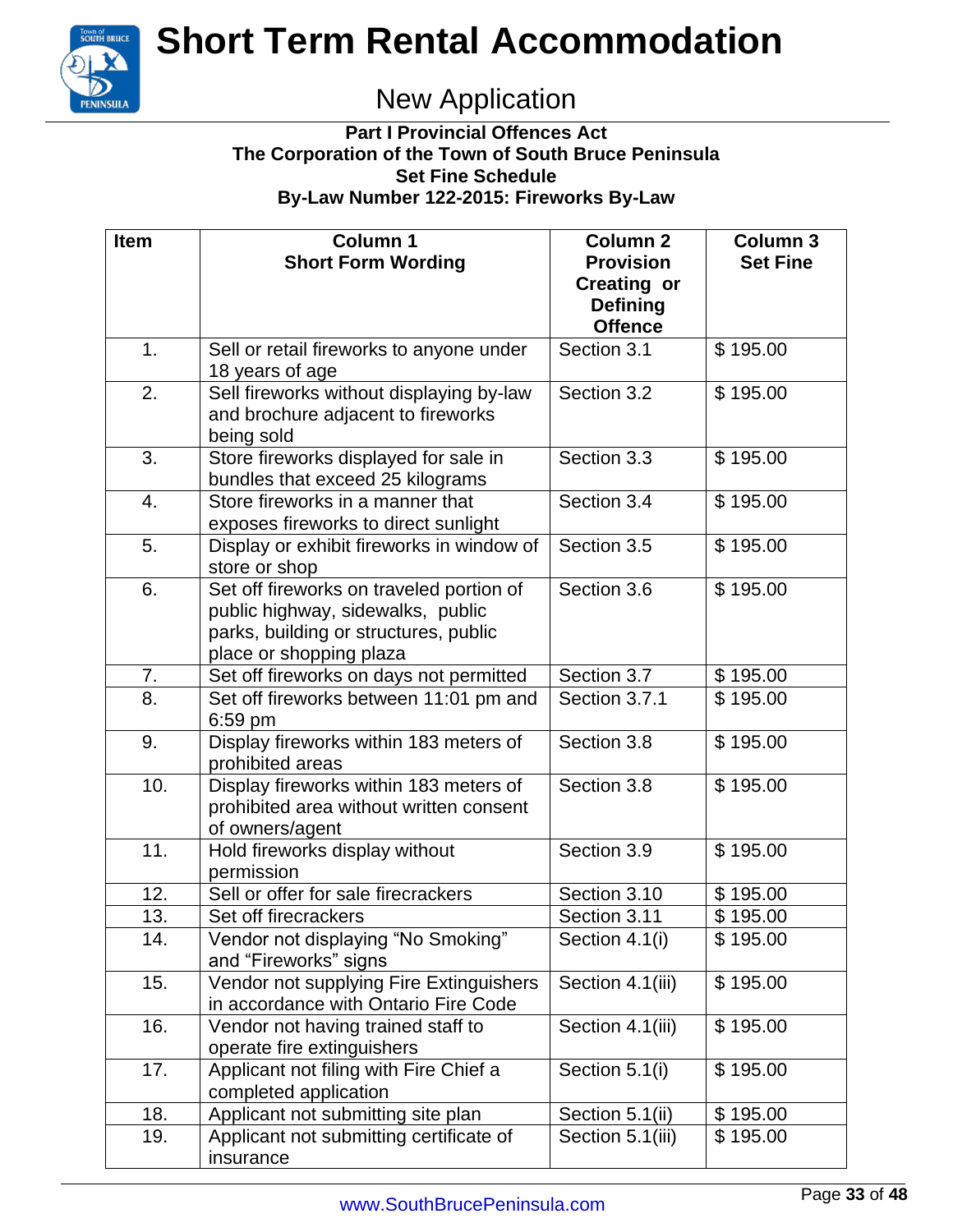

### New Application

#### **Part I Provincial Offences Act The Corporation of the Town of South Bruce Peninsula Set Fine Schedule By-Law Number 122-2015: Fireworks By-Law**

| <b>Item</b> | <b>Column 1</b>                                                                                                                                   | <b>Column 2</b>                                           | <b>Column 3</b> |
|-------------|---------------------------------------------------------------------------------------------------------------------------------------------------|-----------------------------------------------------------|-----------------|
|             | <b>Short Form Wording</b>                                                                                                                         | <b>Provision</b><br><b>Creating or</b><br><b>Defining</b> | <b>Set Fine</b> |
|             |                                                                                                                                                   | <b>Offence</b>                                            |                 |
| 1.          | Sell or retail fireworks to anyone under<br>18 years of age                                                                                       | Section 3.1                                               | \$195.00        |
| 2.          | Sell fireworks without displaying by-law<br>and brochure adjacent to fireworks<br>being sold                                                      | Section 3.2                                               | \$195.00        |
| 3.          | Store fireworks displayed for sale in<br>bundles that exceed 25 kilograms                                                                         | Section 3.3                                               | \$195.00        |
| 4.          | Store fireworks in a manner that<br>exposes fireworks to direct sunlight                                                                          | Section 3.4                                               | \$195.00        |
| 5.          | Display or exhibit fireworks in window of<br>store or shop                                                                                        | Section 3.5                                               | \$195.00        |
| 6.          | Set off fireworks on traveled portion of<br>public highway, sidewalks, public<br>parks, building or structures, public<br>place or shopping plaza | Section 3.6                                               | \$195.00        |
| 7.          | Set off fireworks on days not permitted                                                                                                           | Section 3.7                                               | \$195.00        |
| 8.          | Set off fireworks between 11:01 pm and<br>6:59 pm                                                                                                 | Section 3.7.1                                             | \$195.00        |
| 9.          | Display fireworks within 183 meters of<br>prohibited areas                                                                                        | Section 3.8                                               | \$195.00        |
| 10.         | Display fireworks within 183 meters of<br>prohibited area without written consent<br>of owners/agent                                              | Section 3.8                                               | \$195.00        |
| 11.         | Hold fireworks display without<br>permission                                                                                                      | Section 3.9                                               | \$195.00        |
| 12.         | Sell or offer for sale firecrackers                                                                                                               | Section 3.10                                              | \$195.00        |
| 13.         | Set off firecrackers                                                                                                                              | Section 3.11                                              | \$195.00        |
| 14.         | Vendor not displaying "No Smoking"<br>and "Fireworks" signs                                                                                       | Section 4.1(i)                                            | \$195.00        |
| 15.         | Vendor not supplying Fire Extinguishers<br>in accordance with Ontario Fire Code                                                                   | Section 4.1(iii)                                          | \$195.00        |
| 16.         | Vendor not having trained staff to<br>operate fire extinguishers                                                                                  | Section 4.1(iii)                                          | \$195.00        |
| 17.         | Applicant not filing with Fire Chief a<br>completed application                                                                                   | Section 5.1(i)                                            | \$195.00        |
| 18.         | Applicant not submitting site plan                                                                                                                | Section 5.1(ii)                                           | \$195.00        |
| 19.         | Applicant not submitting certificate of<br>insurance                                                                                              | Section 5.1(iii)                                          | \$195.00        |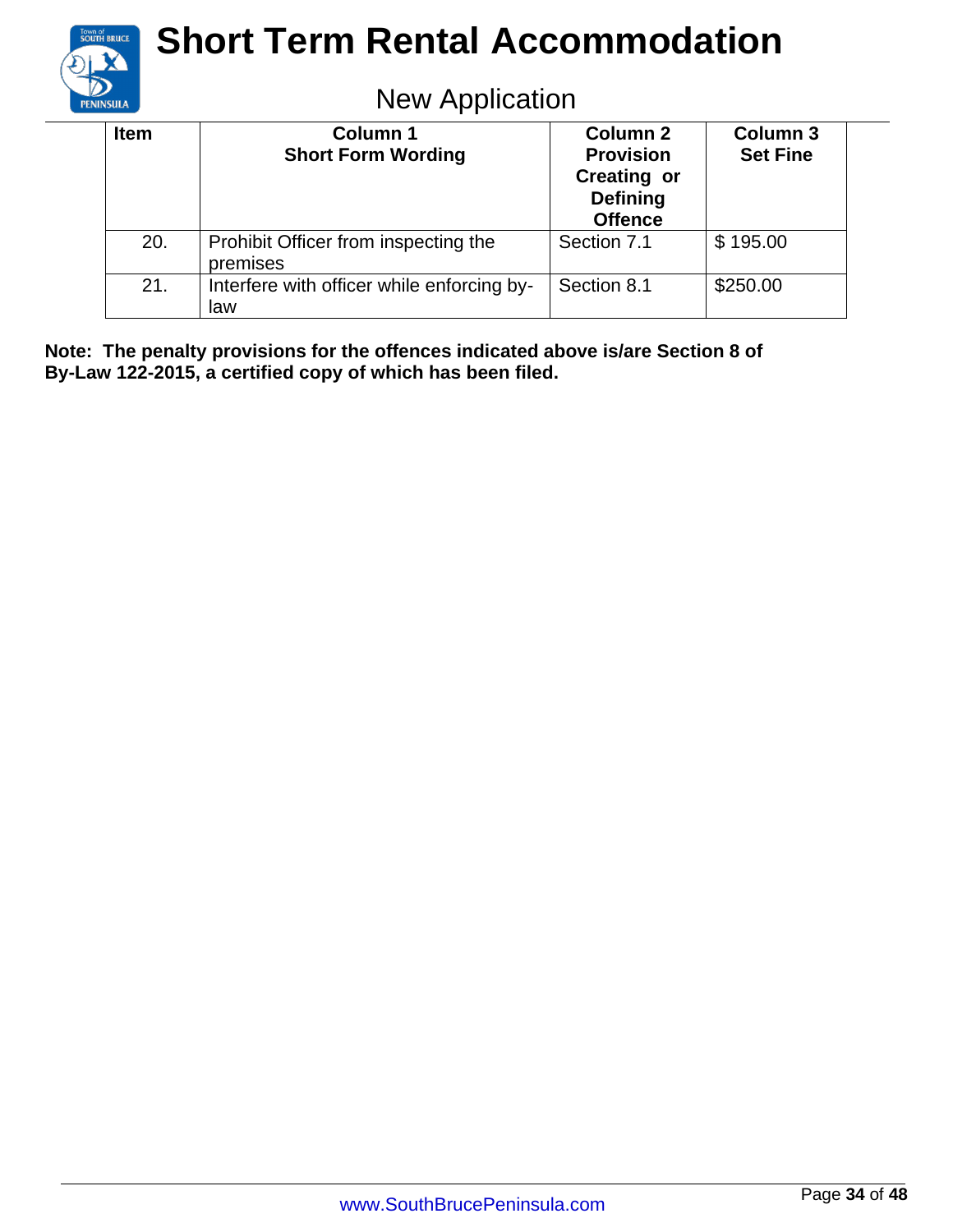

### New Application

| <b>Item</b> | <b>Column 1</b><br><b>Short Form Wording</b>      | <b>Column 2</b><br><b>Provision</b><br><b>Creating or</b><br><b>Defining</b><br><b>Offence</b> | Column <sub>3</sub><br><b>Set Fine</b> |
|-------------|---------------------------------------------------|------------------------------------------------------------------------------------------------|----------------------------------------|
| 20.         | Prohibit Officer from inspecting the<br>premises  | Section 7.1                                                                                    | \$195.00                               |
| 21.         | Interfere with officer while enforcing by-<br>law | Section 8.1                                                                                    | \$250.00                               |

**Note: The penalty provisions for the offences indicated above is/are Section 8 of By-Law 122-2015, a certified copy of which has been filed.**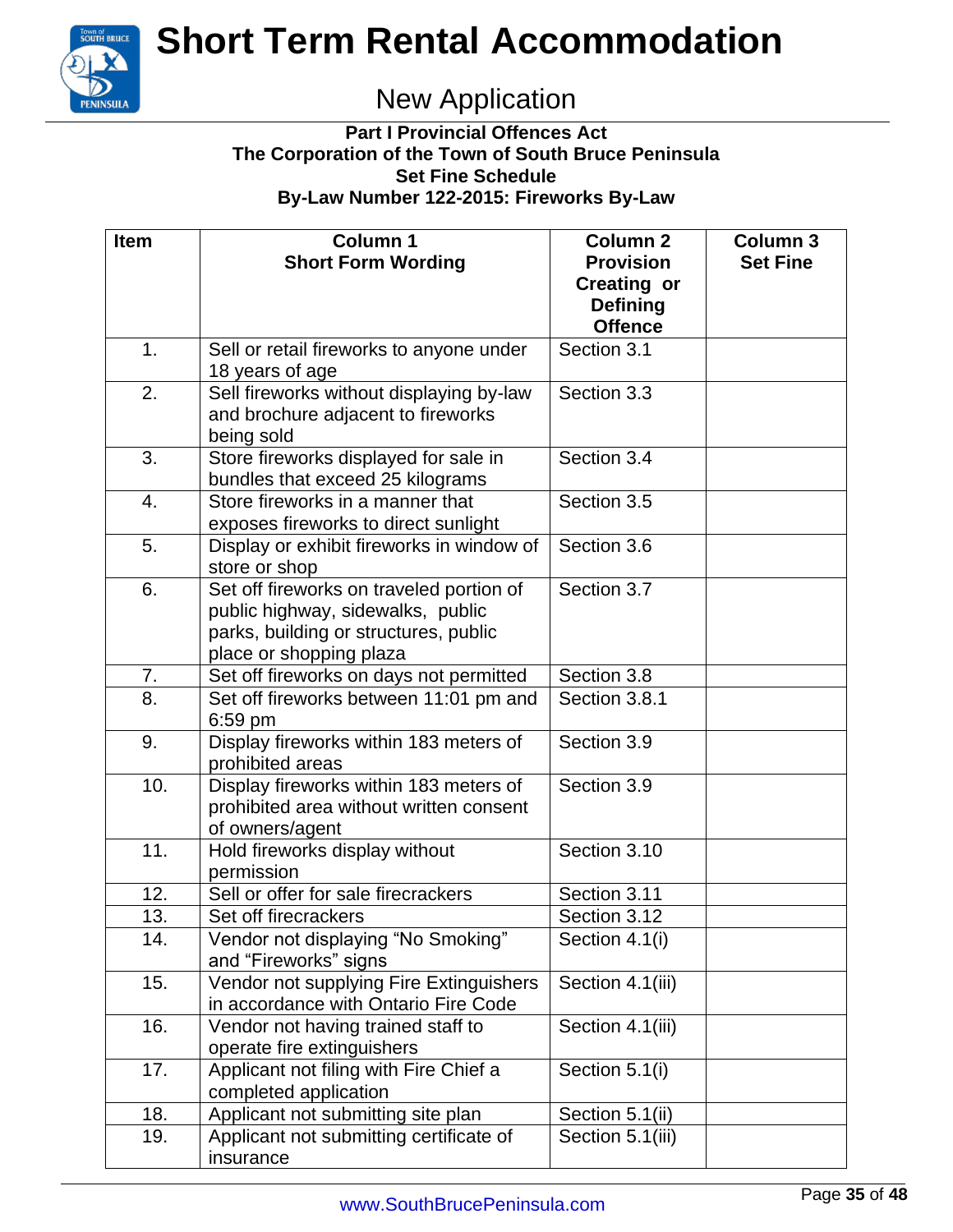

### New Application

#### **Part I Provincial Offences Act The Corporation of the Town of South Bruce Peninsula Set Fine Schedule By-Law Number 122-2015: Fireworks By-Law**

| <b>Item</b>      | Column 1                                  | <b>Column 2</b>    | <b>Column 3</b> |
|------------------|-------------------------------------------|--------------------|-----------------|
|                  | <b>Short Form Wording</b>                 | <b>Provision</b>   | <b>Set Fine</b> |
|                  |                                           | <b>Creating or</b> |                 |
|                  |                                           | <b>Defining</b>    |                 |
|                  |                                           | <b>Offence</b>     |                 |
| 1.               | Sell or retail fireworks to anyone under  | Section 3.1        |                 |
|                  | 18 years of age                           |                    |                 |
| 2.               | Sell fireworks without displaying by-law  | Section 3.3        |                 |
|                  | and brochure adjacent to fireworks        |                    |                 |
|                  | being sold                                |                    |                 |
| 3.               | Store fireworks displayed for sale in     | Section 3.4        |                 |
|                  | bundles that exceed 25 kilograms          |                    |                 |
| 4.               | Store fireworks in a manner that          | Section 3.5        |                 |
|                  | exposes fireworks to direct sunlight      |                    |                 |
| 5.               | Display or exhibit fireworks in window of | Section 3.6        |                 |
|                  | store or shop                             |                    |                 |
| 6.               | Set off fireworks on traveled portion of  | Section 3.7        |                 |
|                  | public highway, sidewalks, public         |                    |                 |
|                  | parks, building or structures, public     |                    |                 |
|                  | place or shopping plaza                   |                    |                 |
| 7.               | Set off fireworks on days not permitted   | Section 3.8        |                 |
| $\overline{8}$ . | Set off fireworks between 11:01 pm and    | Section 3.8.1      |                 |
|                  | 6:59 pm                                   |                    |                 |
| 9.               | Display fireworks within 183 meters of    | Section 3.9        |                 |
|                  | prohibited areas                          |                    |                 |
| 10.              | Display fireworks within 183 meters of    | Section 3.9        |                 |
|                  | prohibited area without written consent   |                    |                 |
|                  | of owners/agent                           |                    |                 |
| 11.              | Hold fireworks display without            | Section 3.10       |                 |
|                  | permission                                |                    |                 |
| 12.              | Sell or offer for sale firecrackers       | Section 3.11       |                 |
| 13.              | Set off firecrackers                      | Section 3.12       |                 |
| 14.              | Vendor not displaying "No Smoking"        | Section 4.1(i)     |                 |
|                  | and "Fireworks" signs                     |                    |                 |
| 15.              | Vendor not supplying Fire Extinguishers   | Section 4.1(iii)   |                 |
|                  | in accordance with Ontario Fire Code      |                    |                 |
| 16.              | Vendor not having trained staff to        | Section 4.1(iii)   |                 |
|                  | operate fire extinguishers                |                    |                 |
| 17.              | Applicant not filing with Fire Chief a    | Section 5.1(i)     |                 |
|                  | completed application                     |                    |                 |
| 18.              | Applicant not submitting site plan        | Section 5.1(ii)    |                 |
| 19.              | Applicant not submitting certificate of   | Section 5.1(iii)   |                 |
|                  | insurance                                 |                    |                 |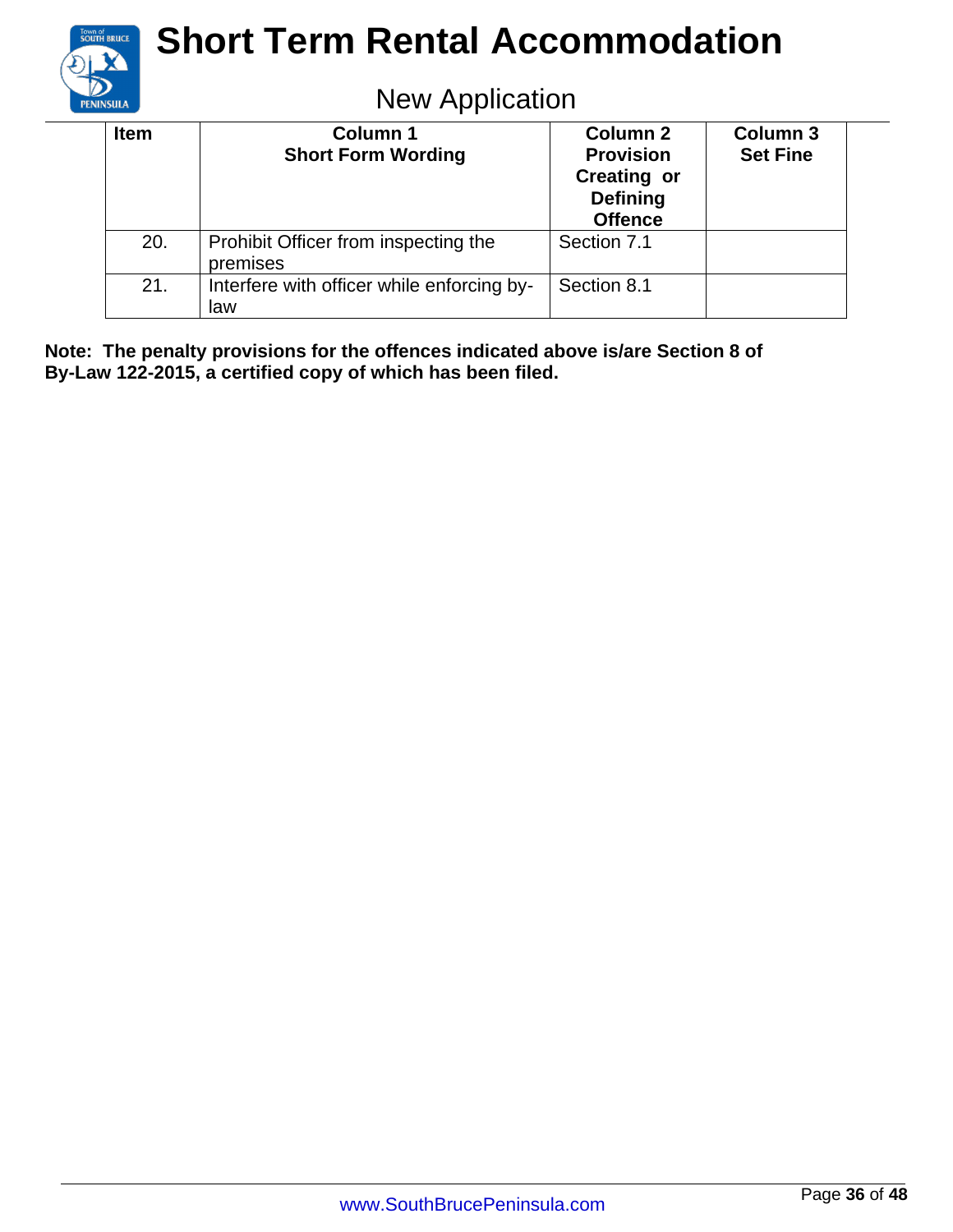

### New Application

| <b>Item</b> | <b>Column 1</b><br><b>Short Form Wording</b>      | <b>Column 2</b><br><b>Provision</b><br><b>Creating or</b><br><b>Defining</b><br><b>Offence</b> | <b>Column 3</b><br><b>Set Fine</b> |
|-------------|---------------------------------------------------|------------------------------------------------------------------------------------------------|------------------------------------|
| 20.         | Prohibit Officer from inspecting the<br>premises  | Section 7.1                                                                                    |                                    |
| 21.         | Interfere with officer while enforcing by-<br>law | Section 8.1                                                                                    |                                    |

**Note: The penalty provisions for the offences indicated above is/are Section 8 of By-Law 122-2015, a certified copy of which has been filed.**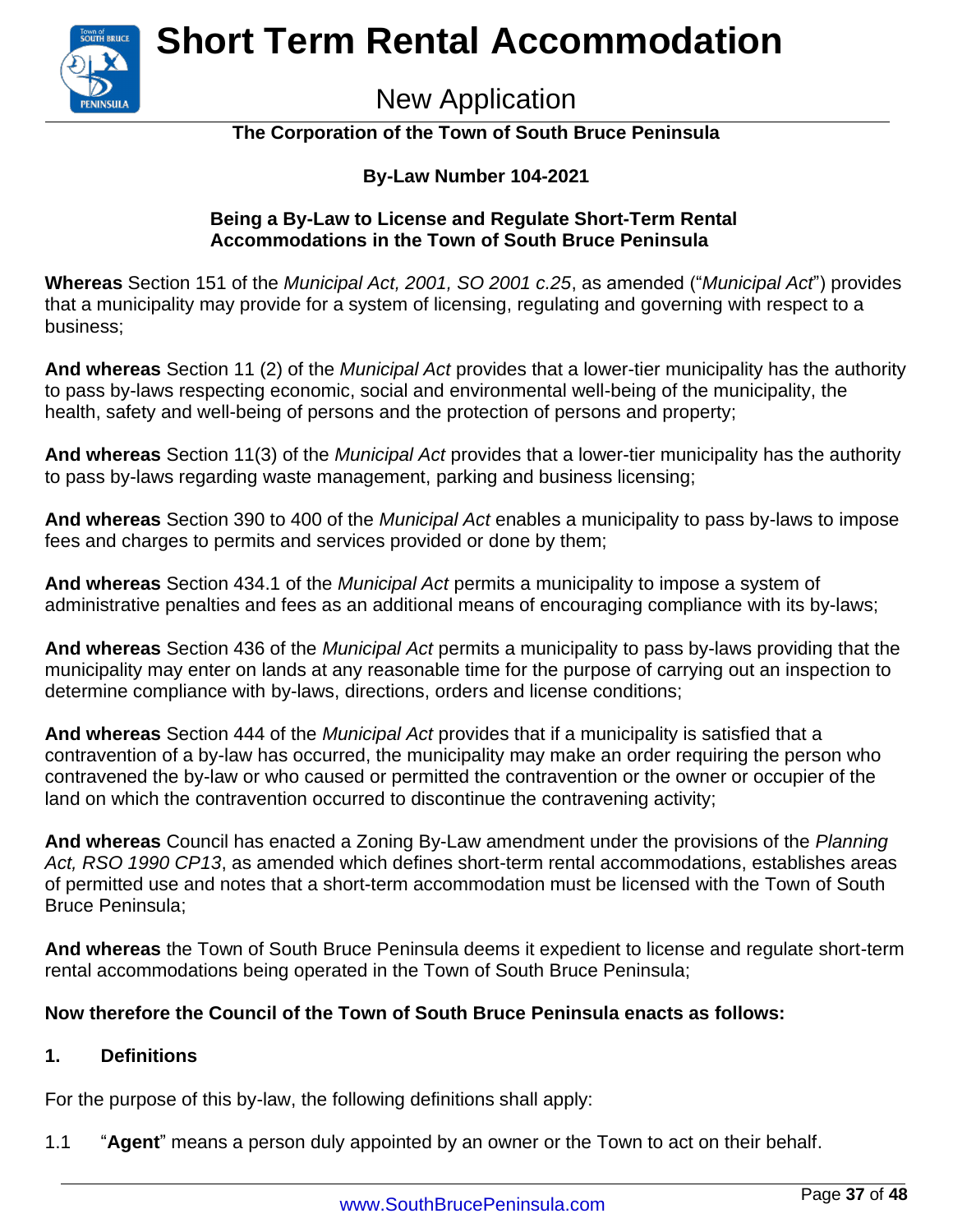

### New Application

#### **The Corporation of the Town of South Bruce Peninsula**

#### **By-Law Number 104-2021**

#### **Being a By-Law to License and Regulate Short-Term Rental Accommodations in the Town of South Bruce Peninsula**

**Whereas** Section 151 of the *Municipal Act, 2001, SO 2001 c.25*, as amended ("*Municipal Act*") provides that a municipality may provide for a system of licensing, regulating and governing with respect to a business;

**And whereas** Section 11 (2) of the *Municipal Act* provides that a lower-tier municipality has the authority to pass by-laws respecting economic, social and environmental well-being of the municipality, the health, safety and well-being of persons and the protection of persons and property;

**And whereas** Section 11(3) of the *Municipal Act* provides that a lower-tier municipality has the authority to pass by-laws regarding waste management, parking and business licensing;

**And whereas** Section 390 to 400 of the *Municipal Act* enables a municipality to pass by-laws to impose fees and charges to permits and services provided or done by them;

**And whereas** Section 434.1 of the *Municipal Act* permits a municipality to impose a system of administrative penalties and fees as an additional means of encouraging compliance with its by-laws;

**And whereas** Section 436 of the *Municipal Act* permits a municipality to pass by-laws providing that the municipality may enter on lands at any reasonable time for the purpose of carrying out an inspection to determine compliance with by-laws, directions, orders and license conditions;

**And whereas** Section 444 of the *Municipal Act* provides that if a municipality is satisfied that a contravention of a by-law has occurred, the municipality may make an order requiring the person who contravened the by-law or who caused or permitted the contravention or the owner or occupier of the land on which the contravention occurred to discontinue the contravening activity;

**And whereas** Council has enacted a Zoning By-Law amendment under the provisions of the *Planning Act, RSO 1990 CP13*, as amended which defines short-term rental accommodations, establishes areas of permitted use and notes that a short-term accommodation must be licensed with the Town of South Bruce Peninsula;

**And whereas** the Town of South Bruce Peninsula deems it expedient to license and regulate short-term rental accommodations being operated in the Town of South Bruce Peninsula;

#### **Now therefore the Council of the Town of South Bruce Peninsula enacts as follows:**

#### **1. Definitions**

For the purpose of this by-law, the following definitions shall apply:

1.1 "**Agent**" means a person duly appointed by an owner or the Town to act on their behalf.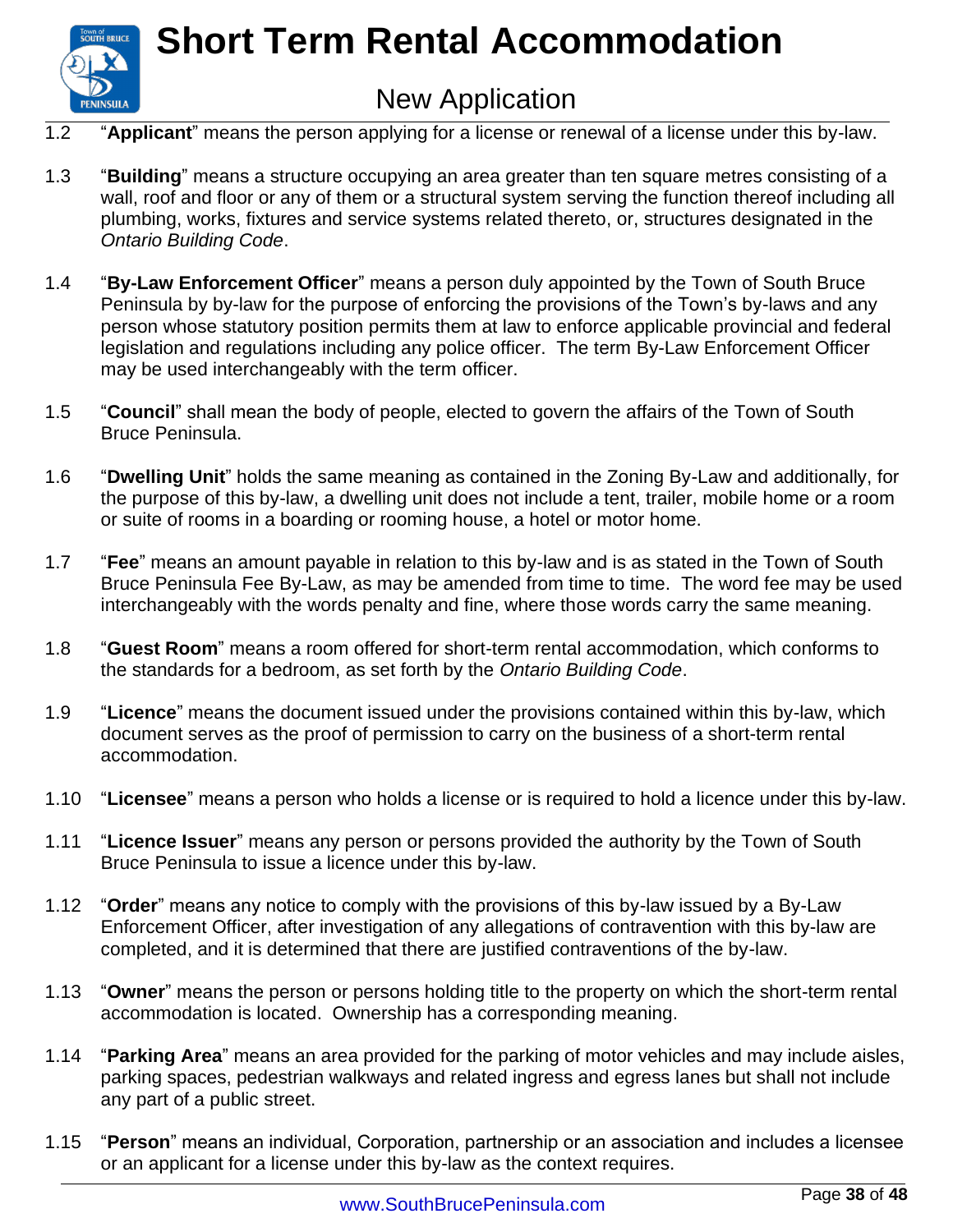

### New Application

- 1.2 "**Applicant**" means the person applying for a license or renewal of a license under this by-law.
- 1.3 "**Building**" means a structure occupying an area greater than ten square metres consisting of a wall, roof and floor or any of them or a structural system serving the function thereof including all plumbing, works, fixtures and service systems related thereto, or, structures designated in the *Ontario Building Code*.
- 1.4 "**By-Law Enforcement Officer**" means a person duly appointed by the Town of South Bruce Peninsula by by-law for the purpose of enforcing the provisions of the Town's by-laws and any person whose statutory position permits them at law to enforce applicable provincial and federal legislation and regulations including any police officer. The term By-Law Enforcement Officer may be used interchangeably with the term officer.
- 1.5 "**Council**" shall mean the body of people, elected to govern the affairs of the Town of South Bruce Peninsula.
- 1.6 "**Dwelling Unit**" holds the same meaning as contained in the Zoning By-Law and additionally, for the purpose of this by-law, a dwelling unit does not include a tent, trailer, mobile home or a room or suite of rooms in a boarding or rooming house, a hotel or motor home.
- 1.7 "**Fee**" means an amount payable in relation to this by-law and is as stated in the Town of South Bruce Peninsula Fee By-Law, as may be amended from time to time. The word fee may be used interchangeably with the words penalty and fine, where those words carry the same meaning.
- 1.8 "**Guest Room**" means a room offered for short-term rental accommodation, which conforms to the standards for a bedroom, as set forth by the *Ontario Building Code*.
- 1.9 "**Licence**" means the document issued under the provisions contained within this by-law, which document serves as the proof of permission to carry on the business of a short-term rental accommodation.
- 1.10 "**Licensee**" means a person who holds a license or is required to hold a licence under this by-law.
- 1.11 "**Licence Issuer**" means any person or persons provided the authority by the Town of South Bruce Peninsula to issue a licence under this by-law.
- 1.12 "**Order**" means any notice to comply with the provisions of this by-law issued by a By-Law Enforcement Officer, after investigation of any allegations of contravention with this by-law are completed, and it is determined that there are justified contraventions of the by-law.
- 1.13 "**Owner**" means the person or persons holding title to the property on which the short-term rental accommodation is located. Ownership has a corresponding meaning.
- 1.14 "**Parking Area**" means an area provided for the parking of motor vehicles and may include aisles, parking spaces, pedestrian walkways and related ingress and egress lanes but shall not include any part of a public street.
- 1.15 "**Person**" means an individual, Corporation, partnership or an association and includes a licensee or an applicant for a license under this by-law as the context requires.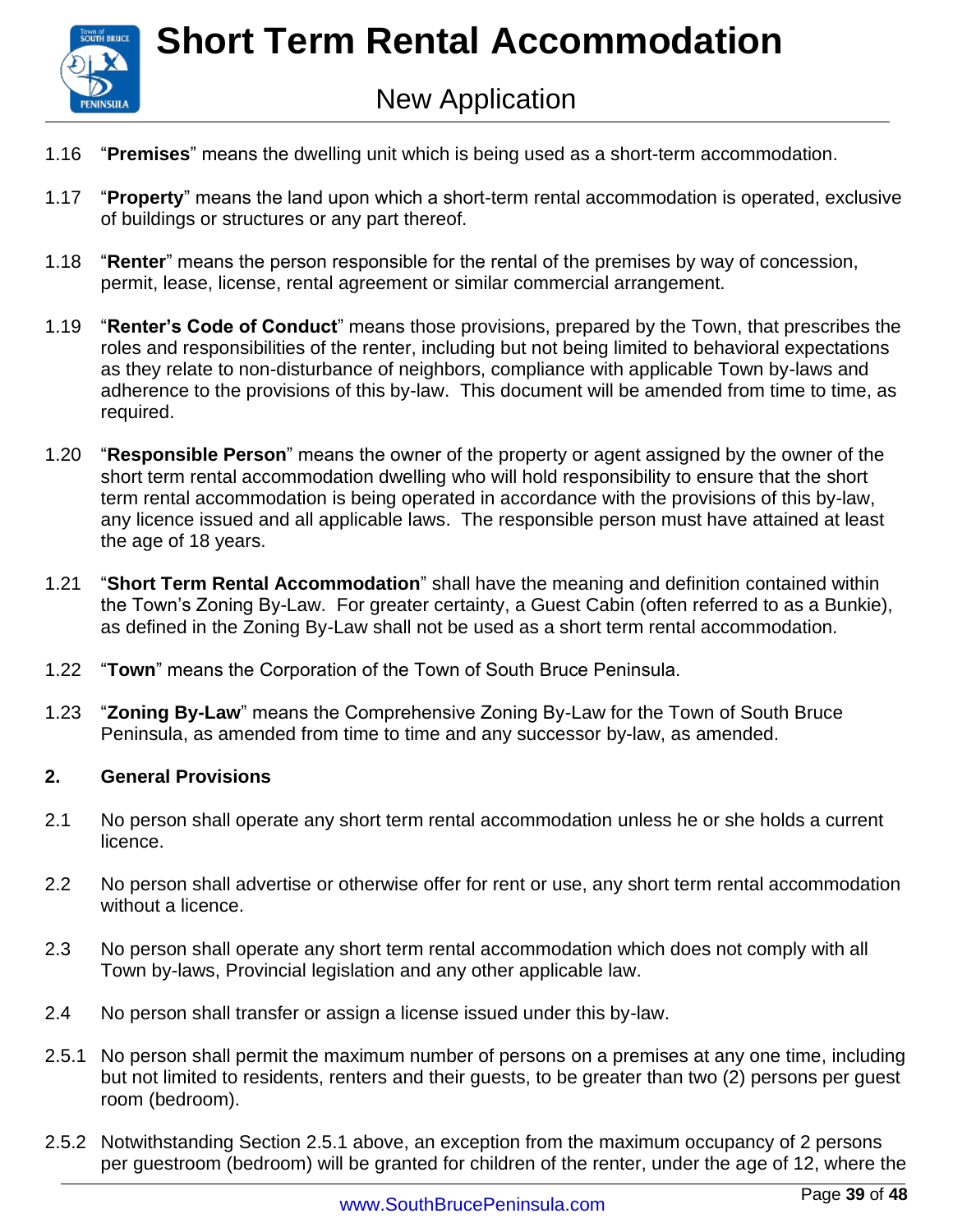

- 1.16 "**Premises**" means the dwelling unit which is being used as a short-term accommodation.
- 1.17 "**Property**" means the land upon which a short-term rental accommodation is operated, exclusive of buildings or structures or any part thereof.
- 1.18 "**Renter**" means the person responsible for the rental of the premises by way of concession, permit, lease, license, rental agreement or similar commercial arrangement.
- 1.19 "**Renter's Code of Conduct**" means those provisions, prepared by the Town, that prescribes the roles and responsibilities of the renter, including but not being limited to behavioral expectations as they relate to non-disturbance of neighbors, compliance with applicable Town by-laws and adherence to the provisions of this by-law. This document will be amended from time to time, as required.
- 1.20 "**Responsible Person**" means the owner of the property or agent assigned by the owner of the short term rental accommodation dwelling who will hold responsibility to ensure that the short term rental accommodation is being operated in accordance with the provisions of this by-law, any licence issued and all applicable laws. The responsible person must have attained at least the age of 18 years.
- 1.21 "**Short Term Rental Accommodation**" shall have the meaning and definition contained within the Town's Zoning By-Law. For greater certainty, a Guest Cabin (often referred to as a Bunkie), as defined in the Zoning By-Law shall not be used as a short term rental accommodation.
- 1.22 "**Town**" means the Corporation of the Town of South Bruce Peninsula.
- 1.23 "**Zoning By-Law**" means the Comprehensive Zoning By-Law for the Town of South Bruce Peninsula, as amended from time to time and any successor by-law, as amended.

#### **2. General Provisions**

- 2.1 No person shall operate any short term rental accommodation unless he or she holds a current licence.
- 2.2 No person shall advertise or otherwise offer for rent or use, any short term rental accommodation without a licence.
- 2.3 No person shall operate any short term rental accommodation which does not comply with all Town by-laws, Provincial legislation and any other applicable law.
- 2.4 No person shall transfer or assign a license issued under this by-law.
- 2.5.1 No person shall permit the maximum number of persons on a premises at any one time, including but not limited to residents, renters and their guests, to be greater than two (2) persons per guest room (bedroom).
- 2.5.2 Notwithstanding Section 2.5.1 above, an exception from the maximum occupancy of 2 persons per guestroom (bedroom) will be granted for children of the renter, under the age of 12, where the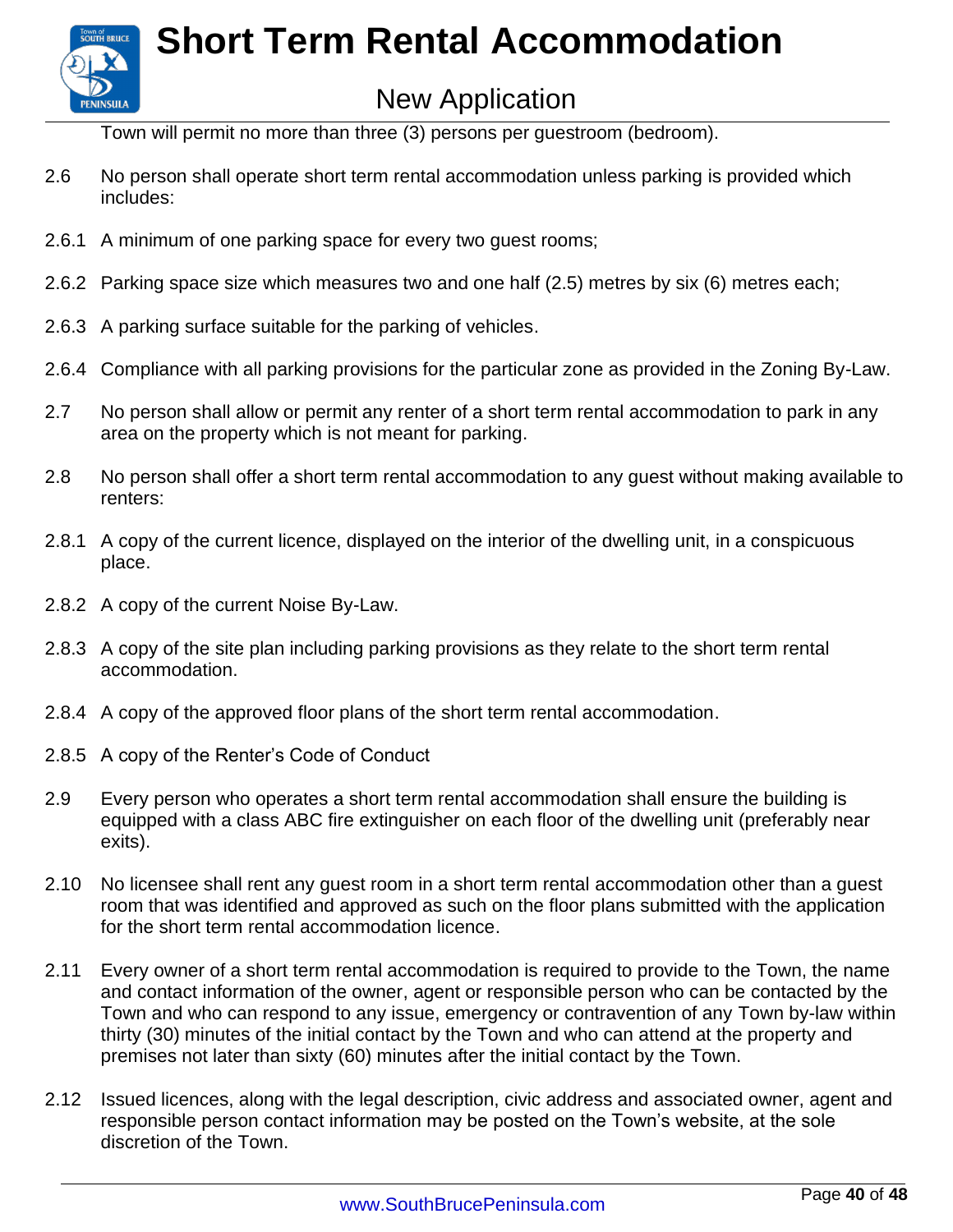

### New Application

Town will permit no more than three (3) persons per guestroom (bedroom).

- 2.6 No person shall operate short term rental accommodation unless parking is provided which includes:
- 2.6.1 A minimum of one parking space for every two guest rooms;
- 2.6.2 Parking space size which measures two and one half (2.5) metres by six (6) metres each;
- 2.6.3 A parking surface suitable for the parking of vehicles.
- 2.6.4 Compliance with all parking provisions for the particular zone as provided in the Zoning By-Law.
- 2.7 No person shall allow or permit any renter of a short term rental accommodation to park in any area on the property which is not meant for parking.
- 2.8 No person shall offer a short term rental accommodation to any guest without making available to renters:
- 2.8.1 A copy of the current licence, displayed on the interior of the dwelling unit, in a conspicuous place.
- 2.8.2 A copy of the current Noise By-Law.
- 2.8.3 A copy of the site plan including parking provisions as they relate to the short term rental accommodation.
- 2.8.4 A copy of the approved floor plans of the short term rental accommodation.
- 2.8.5 A copy of the Renter's Code of Conduct
- 2.9 Every person who operates a short term rental accommodation shall ensure the building is equipped with a class ABC fire extinguisher on each floor of the dwelling unit (preferably near exits).
- 2.10 No licensee shall rent any guest room in a short term rental accommodation other than a guest room that was identified and approved as such on the floor plans submitted with the application for the short term rental accommodation licence.
- 2.11 Every owner of a short term rental accommodation is required to provide to the Town, the name and contact information of the owner, agent or responsible person who can be contacted by the Town and who can respond to any issue, emergency or contravention of any Town by-law within thirty (30) minutes of the initial contact by the Town and who can attend at the property and premises not later than sixty (60) minutes after the initial contact by the Town.
- 2.12 Issued licences, along with the legal description, civic address and associated owner, agent and responsible person contact information may be posted on the Town's website, at the sole discretion of the Town.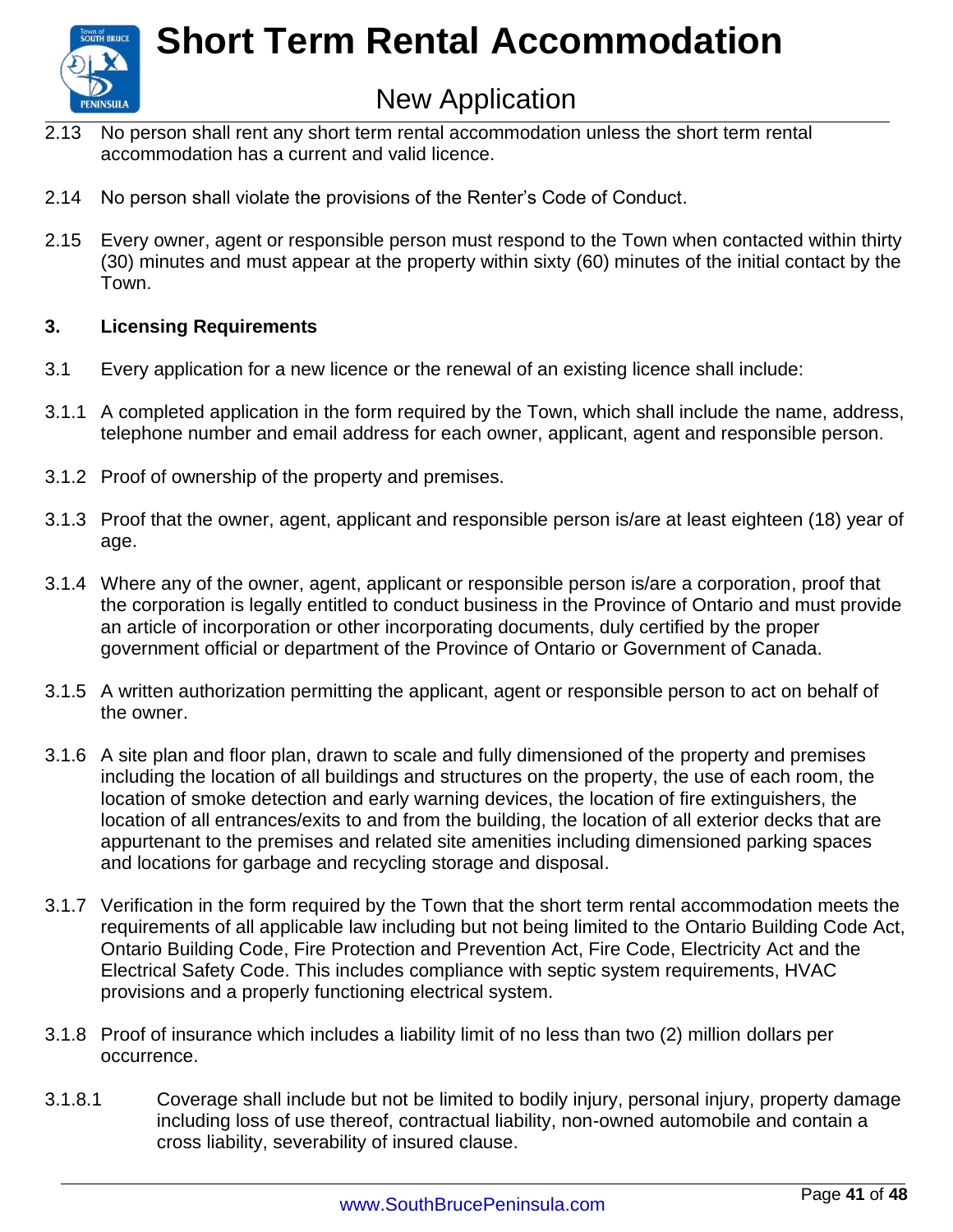

### New Application

- 2.13 No person shall rent any short term rental accommodation unless the short term rental accommodation has a current and valid licence.
- 2.14 No person shall violate the provisions of the Renter's Code of Conduct.
- 2.15 Every owner, agent or responsible person must respond to the Town when contacted within thirty (30) minutes and must appear at the property within sixty (60) minutes of the initial contact by the Town.

#### **3. Licensing Requirements**

- 3.1 Every application for a new licence or the renewal of an existing licence shall include:
- 3.1.1 A completed application in the form required by the Town, which shall include the name, address, telephone number and email address for each owner, applicant, agent and responsible person.
- 3.1.2 Proof of ownership of the property and premises.
- 3.1.3 Proof that the owner, agent, applicant and responsible person is/are at least eighteen (18) year of age.
- 3.1.4 Where any of the owner, agent, applicant or responsible person is/are a corporation, proof that the corporation is legally entitled to conduct business in the Province of Ontario and must provide an article of incorporation or other incorporating documents, duly certified by the proper government official or department of the Province of Ontario or Government of Canada.
- 3.1.5 A written authorization permitting the applicant, agent or responsible person to act on behalf of the owner.
- 3.1.6 A site plan and floor plan, drawn to scale and fully dimensioned of the property and premises including the location of all buildings and structures on the property, the use of each room, the location of smoke detection and early warning devices, the location of fire extinguishers, the location of all entrances/exits to and from the building, the location of all exterior decks that are appurtenant to the premises and related site amenities including dimensioned parking spaces and locations for garbage and recycling storage and disposal.
- 3.1.7 Verification in the form required by the Town that the short term rental accommodation meets the requirements of all applicable law including but not being limited to the Ontario Building Code Act, Ontario Building Code, Fire Protection and Prevention Act, Fire Code, Electricity Act and the Electrical Safety Code. This includes compliance with septic system requirements, HVAC provisions and a properly functioning electrical system.
- 3.1.8 Proof of insurance which includes a liability limit of no less than two (2) million dollars per occurrence.
- 3.1.8.1 Coverage shall include but not be limited to bodily injury, personal injury, property damage including loss of use thereof, contractual liability, non-owned automobile and contain a cross liability, severability of insured clause.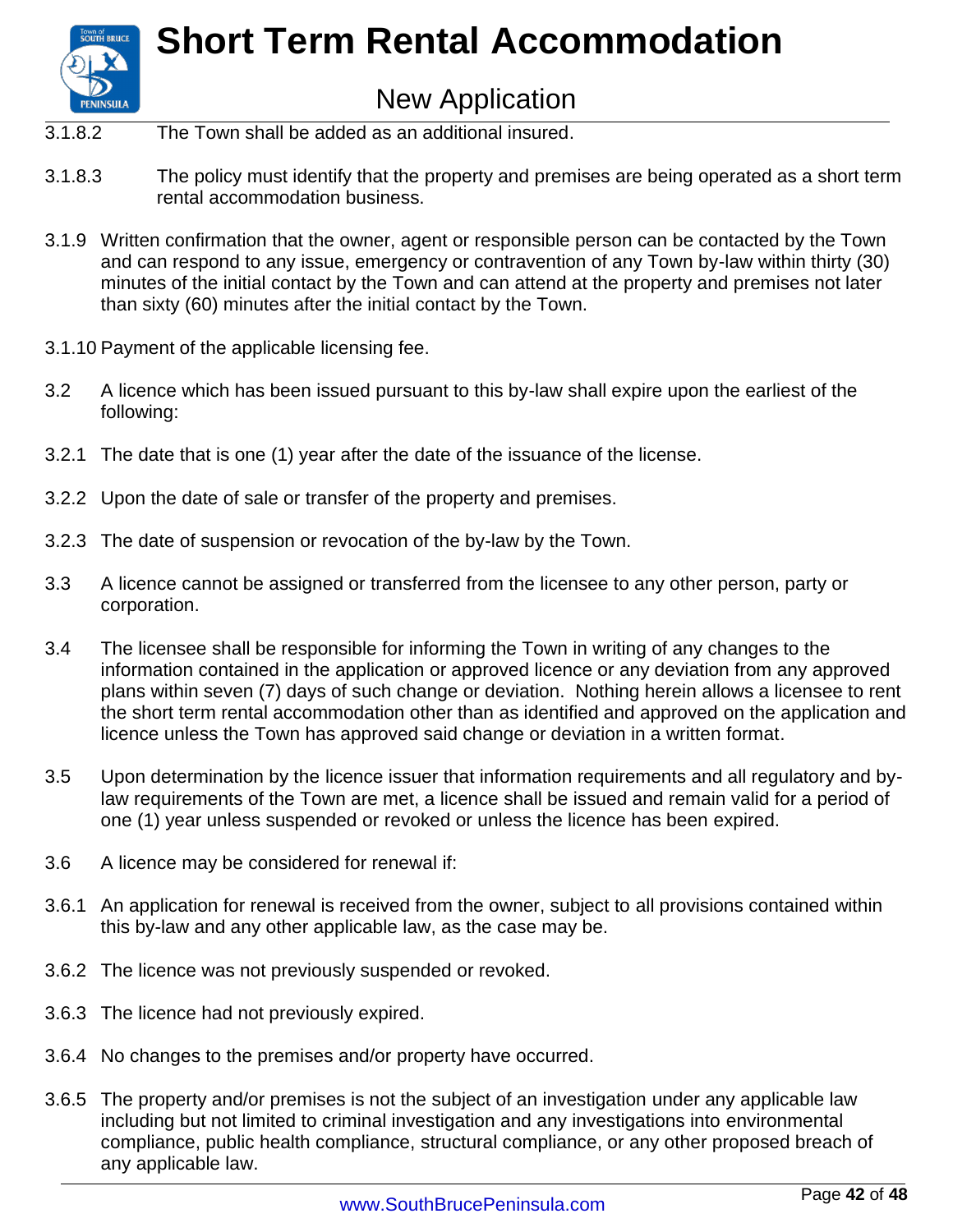

### New Application

- 3.1.8.2 The Town shall be added as an additional insured.
- 3.1.8.3 The policy must identify that the property and premises are being operated as a short term rental accommodation business.
- 3.1.9 Written confirmation that the owner, agent or responsible person can be contacted by the Town and can respond to any issue, emergency or contravention of any Town by-law within thirty (30) minutes of the initial contact by the Town and can attend at the property and premises not later than sixty (60) minutes after the initial contact by the Town.
- 3.1.10 Payment of the applicable licensing fee.
- 3.2 A licence which has been issued pursuant to this by-law shall expire upon the earliest of the following:
- 3.2.1 The date that is one (1) year after the date of the issuance of the license.
- 3.2.2 Upon the date of sale or transfer of the property and premises.
- 3.2.3 The date of suspension or revocation of the by-law by the Town.
- 3.3 A licence cannot be assigned or transferred from the licensee to any other person, party or corporation.
- 3.4 The licensee shall be responsible for informing the Town in writing of any changes to the information contained in the application or approved licence or any deviation from any approved plans within seven (7) days of such change or deviation. Nothing herein allows a licensee to rent the short term rental accommodation other than as identified and approved on the application and licence unless the Town has approved said change or deviation in a written format.
- 3.5 Upon determination by the licence issuer that information requirements and all regulatory and bylaw requirements of the Town are met, a licence shall be issued and remain valid for a period of one (1) year unless suspended or revoked or unless the licence has been expired.
- 3.6 A licence may be considered for renewal if:
- 3.6.1 An application for renewal is received from the owner, subject to all provisions contained within this by-law and any other applicable law, as the case may be.
- 3.6.2 The licence was not previously suspended or revoked.
- 3.6.3 The licence had not previously expired.
- 3.6.4 No changes to the premises and/or property have occurred.
- 3.6.5 The property and/or premises is not the subject of an investigation under any applicable law including but not limited to criminal investigation and any investigations into environmental compliance, public health compliance, structural compliance, or any other proposed breach of any applicable law.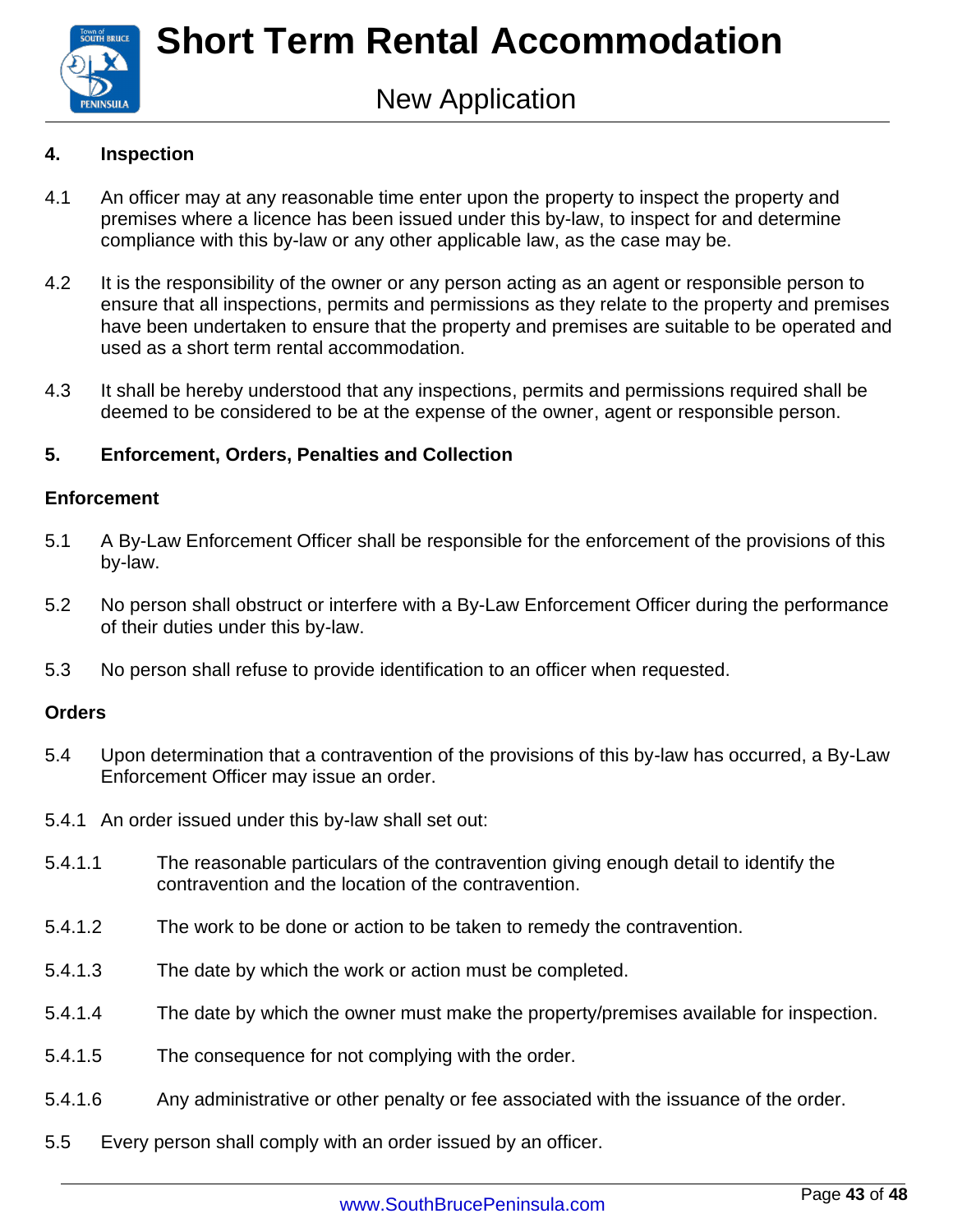

#### **4. Inspection**

- 4.1 An officer may at any reasonable time enter upon the property to inspect the property and premises where a licence has been issued under this by-law, to inspect for and determine compliance with this by-law or any other applicable law, as the case may be.
- 4.2 It is the responsibility of the owner or any person acting as an agent or responsible person to ensure that all inspections, permits and permissions as they relate to the property and premises have been undertaken to ensure that the property and premises are suitable to be operated and used as a short term rental accommodation.
- 4.3 It shall be hereby understood that any inspections, permits and permissions required shall be deemed to be considered to be at the expense of the owner, agent or responsible person.

#### **5. Enforcement, Orders, Penalties and Collection**

#### **Enforcement**

- 5.1 A By-Law Enforcement Officer shall be responsible for the enforcement of the provisions of this by-law.
- 5.2 No person shall obstruct or interfere with a By-Law Enforcement Officer during the performance of their duties under this by-law.
- 5.3 No person shall refuse to provide identification to an officer when requested.

#### **Orders**

- 5.4 Upon determination that a contravention of the provisions of this by-law has occurred, a By-Law Enforcement Officer may issue an order.
- 5.4.1 An order issued under this by-law shall set out:
- 5.4.1.1 The reasonable particulars of the contravention giving enough detail to identify the contravention and the location of the contravention.
- 5.4.1.2 The work to be done or action to be taken to remedy the contravention.
- 5.4.1.3 The date by which the work or action must be completed.
- 5.4.1.4 The date by which the owner must make the property/premises available for inspection.
- 5.4.1.5 The consequence for not complying with the order.
- 5.4.1.6 Any administrative or other penalty or fee associated with the issuance of the order.
- 5.5 Every person shall comply with an order issued by an officer.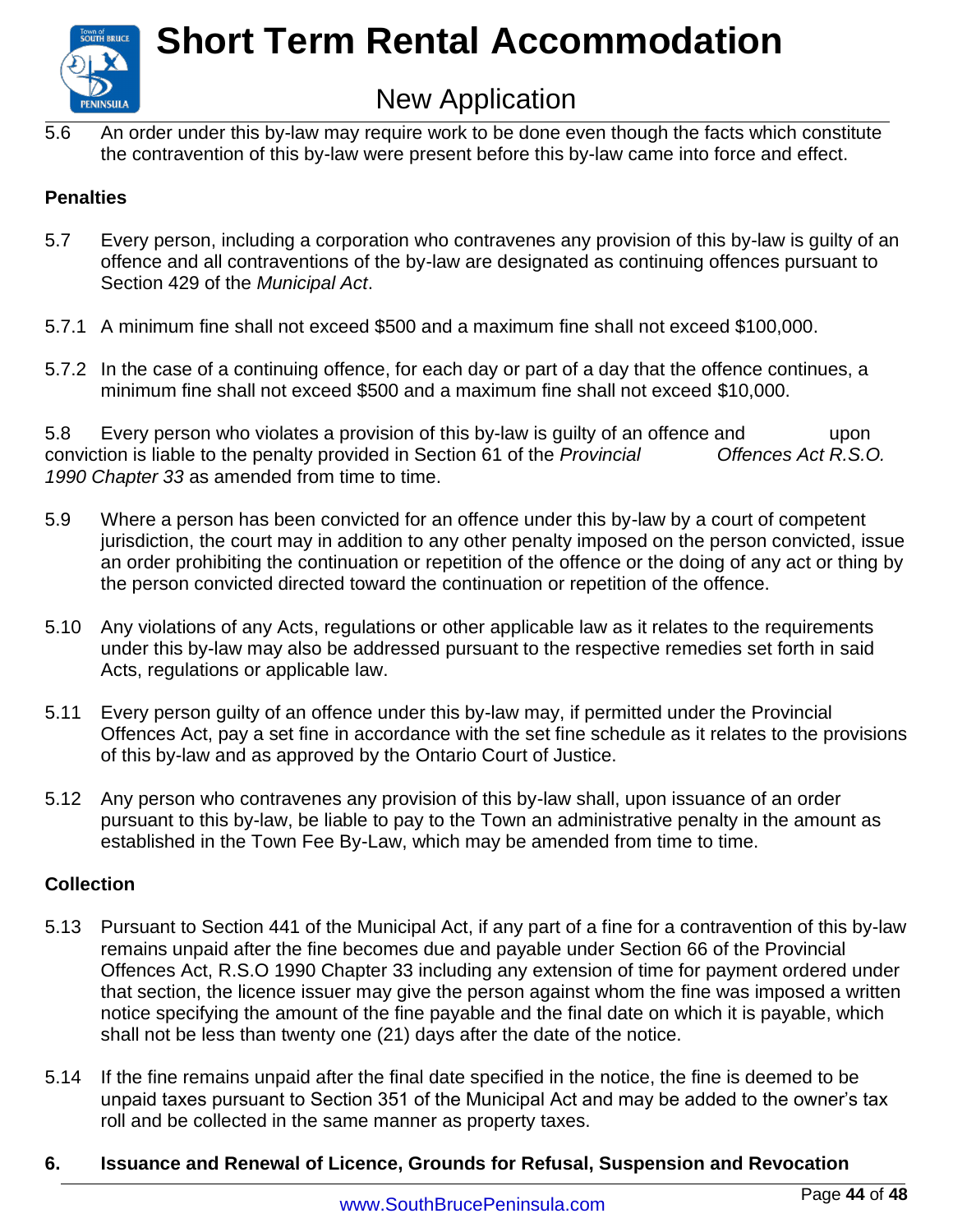

### New Application

5.6 An order under this by-law may require work to be done even though the facts which constitute the contravention of this by-law were present before this by-law came into force and effect.

#### **Penalties**

- 5.7 Every person, including a corporation who contravenes any provision of this by-law is guilty of an offence and all contraventions of the by-law are designated as continuing offences pursuant to Section 429 of the *Municipal Act*.
- 5.7.1 A minimum fine shall not exceed \$500 and a maximum fine shall not exceed \$100,000.
- 5.7.2 In the case of a continuing offence, for each day or part of a day that the offence continues, a minimum fine shall not exceed \$500 and a maximum fine shall not exceed \$10,000.

5.8 Every person who violates a provision of this by-law is guilty of an offence and upon conviction is liable to the penalty provided in Section 61 of the *Provincial Offences Act R.S.O. 1990 Chapter 33* as amended from time to time.

- 5.9 Where a person has been convicted for an offence under this by-law by a court of competent jurisdiction, the court may in addition to any other penalty imposed on the person convicted, issue an order prohibiting the continuation or repetition of the offence or the doing of any act or thing by the person convicted directed toward the continuation or repetition of the offence.
- 5.10 Any violations of any Acts, regulations or other applicable law as it relates to the requirements under this by-law may also be addressed pursuant to the respective remedies set forth in said Acts, regulations or applicable law.
- 5.11 Every person guilty of an offence under this by-law may, if permitted under the Provincial Offences Act, pay a set fine in accordance with the set fine schedule as it relates to the provisions of this by-law and as approved by the Ontario Court of Justice.
- 5.12 Any person who contravenes any provision of this by-law shall, upon issuance of an order pursuant to this by-law, be liable to pay to the Town an administrative penalty in the amount as established in the Town Fee By-Law, which may be amended from time to time.

#### **Collection**

- 5.13 Pursuant to Section 441 of the Municipal Act, if any part of a fine for a contravention of this by-law remains unpaid after the fine becomes due and payable under Section 66 of the Provincial Offences Act, R.S.O 1990 Chapter 33 including any extension of time for payment ordered under that section, the licence issuer may give the person against whom the fine was imposed a written notice specifying the amount of the fine payable and the final date on which it is payable, which shall not be less than twenty one (21) days after the date of the notice.
- 5.14 If the fine remains unpaid after the final date specified in the notice, the fine is deemed to be unpaid taxes pursuant to Section 351 of the Municipal Act and may be added to the owner's tax roll and be collected in the same manner as property taxes.

#### **6. Issuance and Renewal of Licence, Grounds for Refusal, Suspension and Revocation**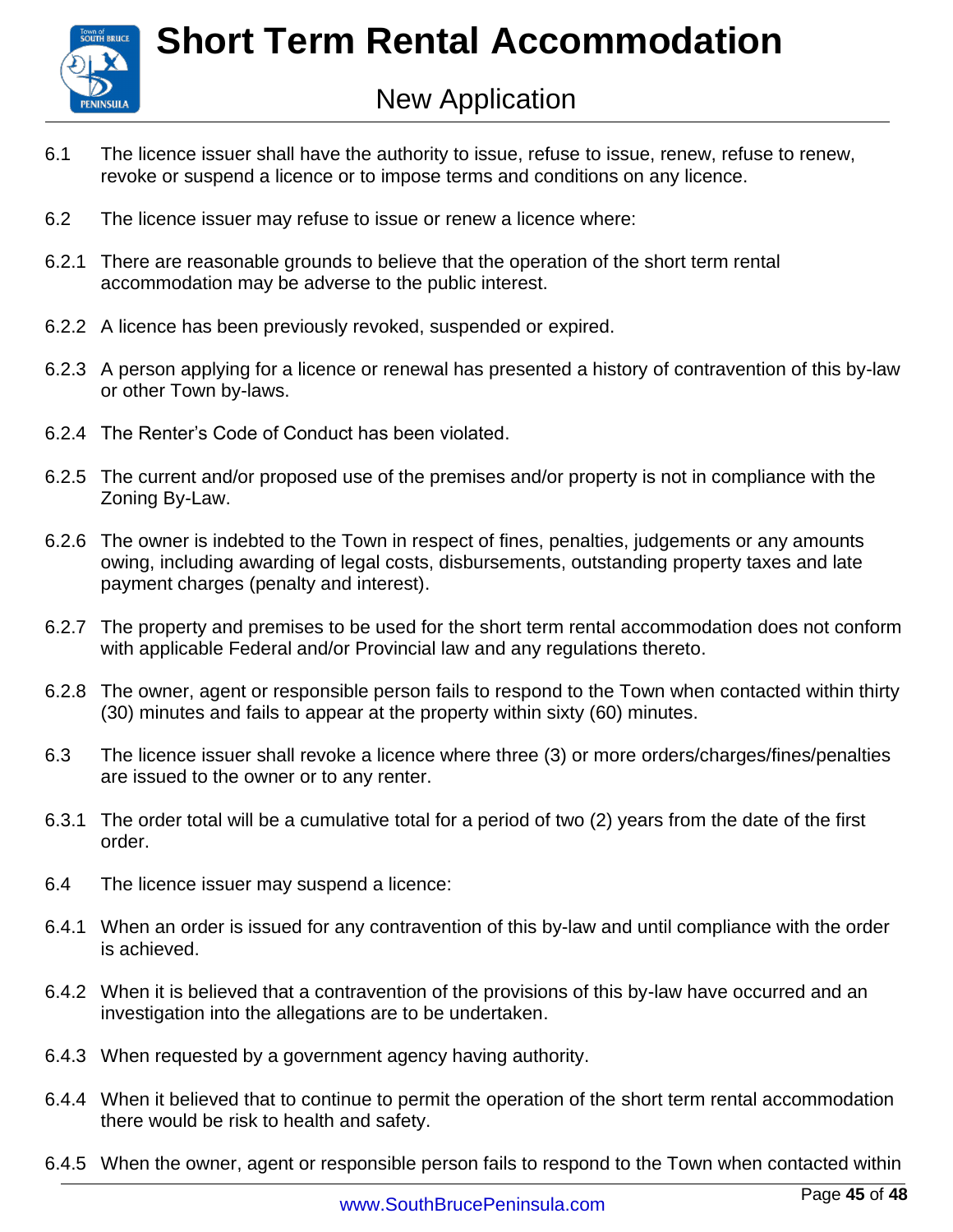

- 6.1 The licence issuer shall have the authority to issue, refuse to issue, renew, refuse to renew, revoke or suspend a licence or to impose terms and conditions on any licence.
- 6.2 The licence issuer may refuse to issue or renew a licence where:
- 6.2.1 There are reasonable grounds to believe that the operation of the short term rental accommodation may be adverse to the public interest.
- 6.2.2 A licence has been previously revoked, suspended or expired.
- 6.2.3 A person applying for a licence or renewal has presented a history of contravention of this by-law or other Town by-laws.
- 6.2.4 The Renter's Code of Conduct has been violated.
- 6.2.5 The current and/or proposed use of the premises and/or property is not in compliance with the Zoning By-Law.
- 6.2.6 The owner is indebted to the Town in respect of fines, penalties, judgements or any amounts owing, including awarding of legal costs, disbursements, outstanding property taxes and late payment charges (penalty and interest).
- 6.2.7 The property and premises to be used for the short term rental accommodation does not conform with applicable Federal and/or Provincial law and any regulations thereto.
- 6.2.8 The owner, agent or responsible person fails to respond to the Town when contacted within thirty (30) minutes and fails to appear at the property within sixty (60) minutes.
- 6.3 The licence issuer shall revoke a licence where three (3) or more orders/charges/fines/penalties are issued to the owner or to any renter.
- 6.3.1 The order total will be a cumulative total for a period of two (2) years from the date of the first order.
- 6.4 The licence issuer may suspend a licence:
- 6.4.1 When an order is issued for any contravention of this by-law and until compliance with the order is achieved.
- 6.4.2 When it is believed that a contravention of the provisions of this by-law have occurred and an investigation into the allegations are to be undertaken.
- 6.4.3 When requested by a government agency having authority.
- 6.4.4 When it believed that to continue to permit the operation of the short term rental accommodation there would be risk to health and safety.
- 6.4.5 When the owner, agent or responsible person fails to respond to the Town when contacted within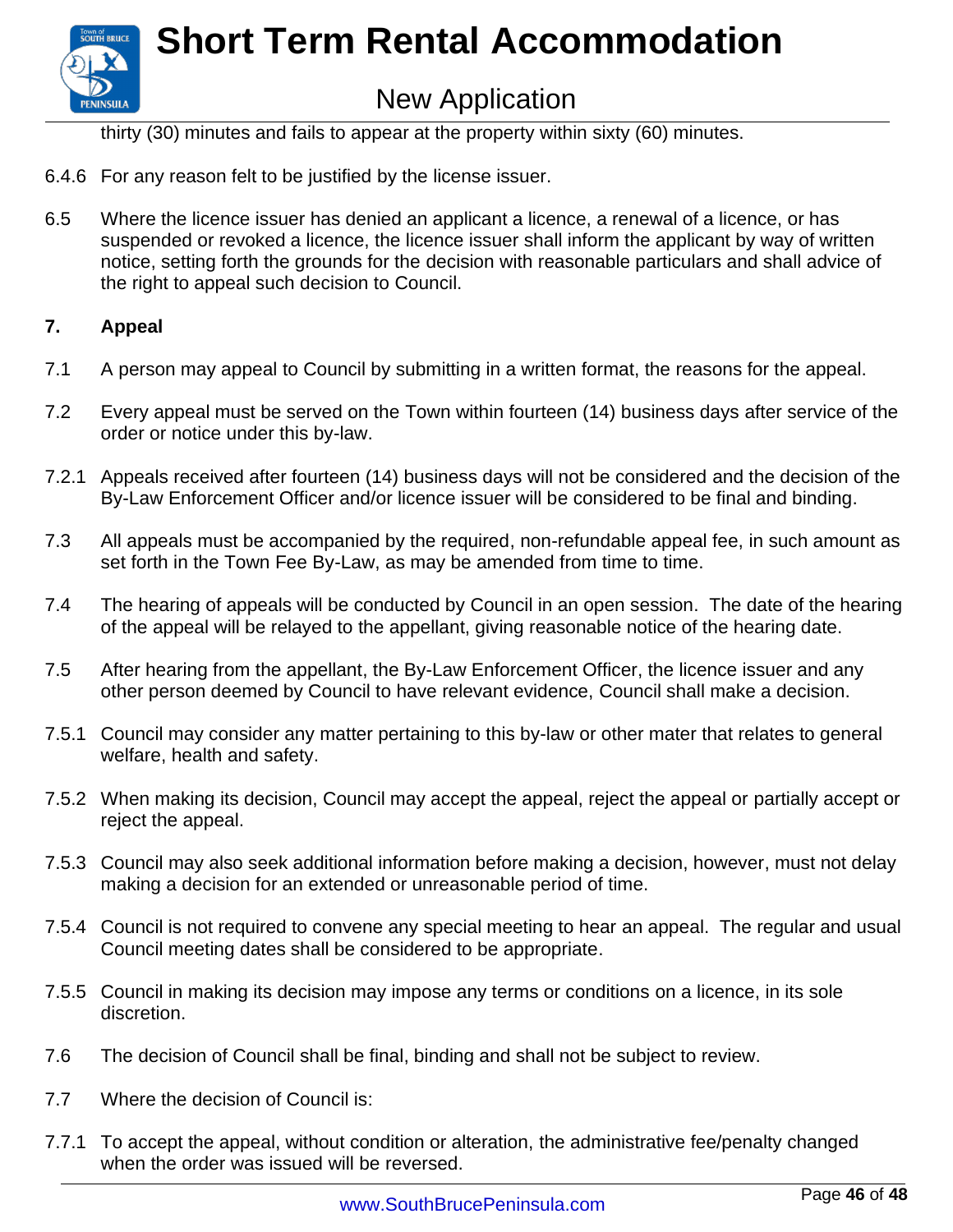

thirty (30) minutes and fails to appear at the property within sixty (60) minutes.

- 6.4.6 For any reason felt to be justified by the license issuer.
- 6.5 Where the licence issuer has denied an applicant a licence, a renewal of a licence, or has suspended or revoked a licence, the licence issuer shall inform the applicant by way of written notice, setting forth the grounds for the decision with reasonable particulars and shall advice of the right to appeal such decision to Council.

#### **7. Appeal**

- 7.1 A person may appeal to Council by submitting in a written format, the reasons for the appeal.
- 7.2 Every appeal must be served on the Town within fourteen (14) business days after service of the order or notice under this by-law.
- 7.2.1 Appeals received after fourteen (14) business days will not be considered and the decision of the By-Law Enforcement Officer and/or licence issuer will be considered to be final and binding.
- 7.3 All appeals must be accompanied by the required, non-refundable appeal fee, in such amount as set forth in the Town Fee By-Law, as may be amended from time to time.
- 7.4 The hearing of appeals will be conducted by Council in an open session. The date of the hearing of the appeal will be relayed to the appellant, giving reasonable notice of the hearing date.
- 7.5 After hearing from the appellant, the By-Law Enforcement Officer, the licence issuer and any other person deemed by Council to have relevant evidence, Council shall make a decision.
- 7.5.1 Council may consider any matter pertaining to this by-law or other mater that relates to general welfare, health and safety.
- 7.5.2 When making its decision, Council may accept the appeal, reject the appeal or partially accept or reject the appeal.
- 7.5.3 Council may also seek additional information before making a decision, however, must not delay making a decision for an extended or unreasonable period of time.
- 7.5.4 Council is not required to convene any special meeting to hear an appeal. The regular and usual Council meeting dates shall be considered to be appropriate.
- 7.5.5 Council in making its decision may impose any terms or conditions on a licence, in its sole discretion.
- 7.6 The decision of Council shall be final, binding and shall not be subject to review.
- 7.7 Where the decision of Council is:
- 7.7.1 To accept the appeal, without condition or alteration, the administrative fee/penalty changed when the order was issued will be reversed.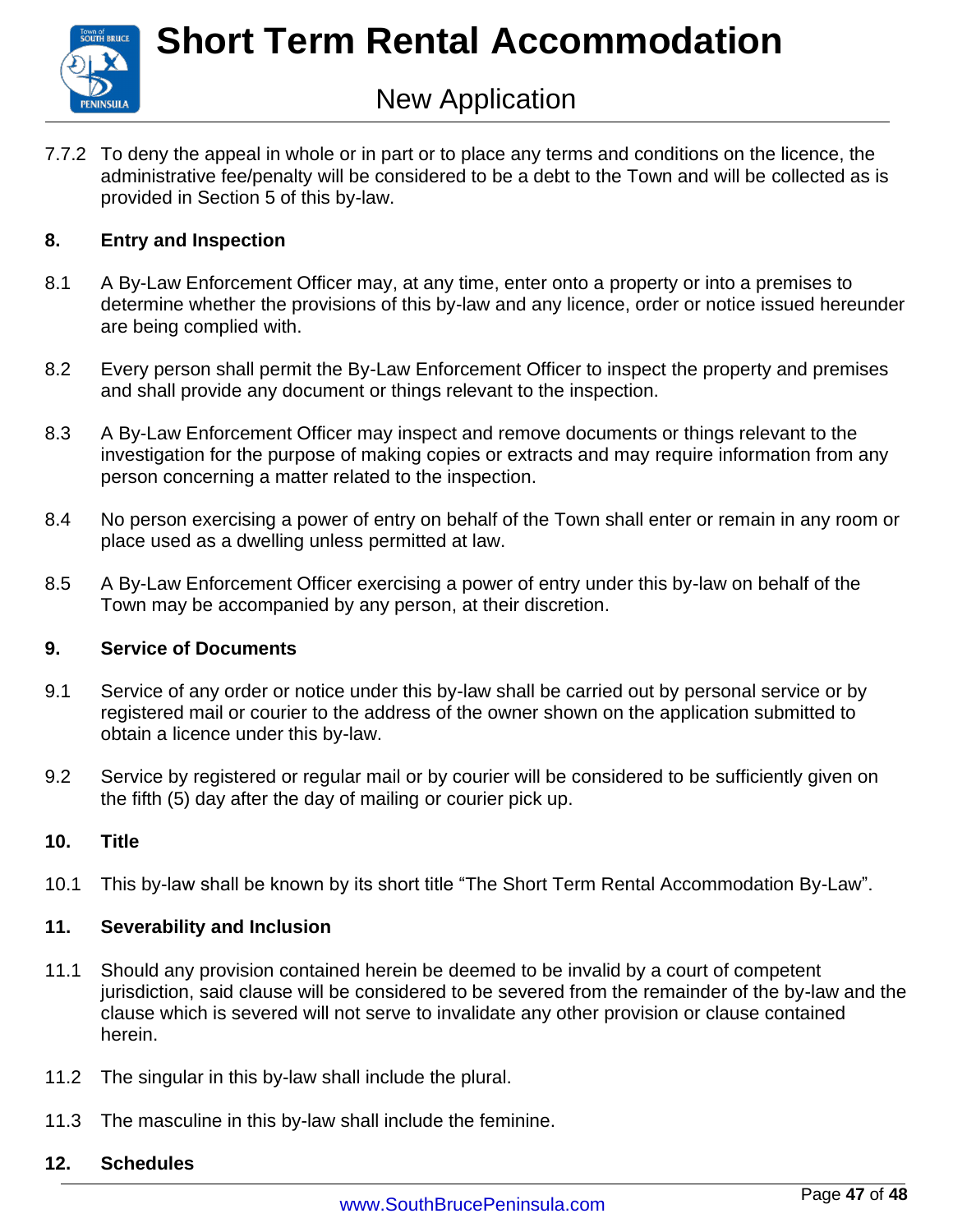

7.7.2 To deny the appeal in whole or in part or to place any terms and conditions on the licence, the administrative fee/penalty will be considered to be a debt to the Town and will be collected as is provided in Section 5 of this by-law.

#### **8. Entry and Inspection**

- 8.1 A By-Law Enforcement Officer may, at any time, enter onto a property or into a premises to determine whether the provisions of this by-law and any licence, order or notice issued hereunder are being complied with.
- 8.2 Every person shall permit the By-Law Enforcement Officer to inspect the property and premises and shall provide any document or things relevant to the inspection.
- 8.3 A By-Law Enforcement Officer may inspect and remove documents or things relevant to the investigation for the purpose of making copies or extracts and may require information from any person concerning a matter related to the inspection.
- 8.4 No person exercising a power of entry on behalf of the Town shall enter or remain in any room or place used as a dwelling unless permitted at law.
- 8.5 A By-Law Enforcement Officer exercising a power of entry under this by-law on behalf of the Town may be accompanied by any person, at their discretion.

#### **9. Service of Documents**

- 9.1 Service of any order or notice under this by-law shall be carried out by personal service or by registered mail or courier to the address of the owner shown on the application submitted to obtain a licence under this by-law.
- 9.2 Service by registered or regular mail or by courier will be considered to be sufficiently given on the fifth (5) day after the day of mailing or courier pick up.

#### **10. Title**

10.1 This by-law shall be known by its short title "The Short Term Rental Accommodation By-Law".

#### **11. Severability and Inclusion**

- 11.1 Should any provision contained herein be deemed to be invalid by a court of competent jurisdiction, said clause will be considered to be severed from the remainder of the by-law and the clause which is severed will not serve to invalidate any other provision or clause contained herein.
- 11.2 The singular in this by-law shall include the plural.
- 11.3 The masculine in this by-law shall include the feminine.

#### **12. Schedules**